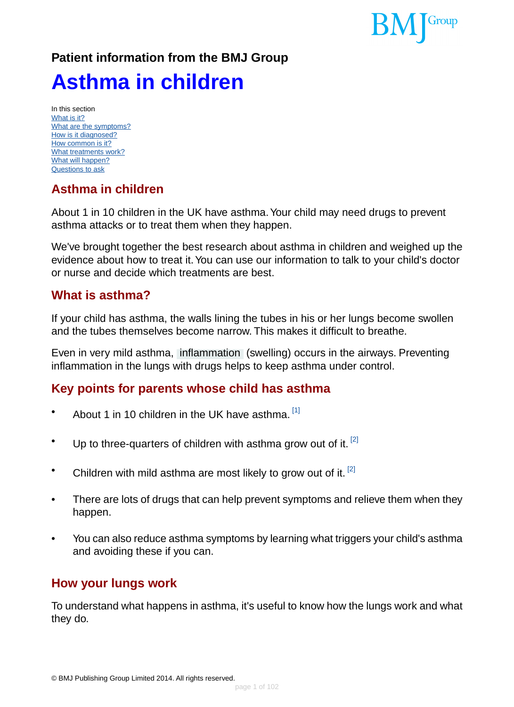

# **Patient information from the BMJ Group Asthma in children**

In this section [What is it?](#page-0-0) [What are the symptoms?](#page-4-0) [How is it diagnosed?](#page-6-0) [How common is it?](#page-9-0) [What treatments work?](#page-10-0) [What will happen?](#page-17-0) [Questions to ask](#page-17-1)

# **Asthma in children**

About 1 in 10 children in the UK have asthma.Your child may need drugs to prevent asthma attacks or to treat them when they happen.

<span id="page-0-0"></span>We've brought together the best research about asthma in children and weighed up the evidence about how to treat it.You can use our information to talk to your child's doctor or nurse and decide which treatments are best.

### **What is asthma?**

If your child has asthma, the walls lining the tubes in his or her lungs become swollen and the tubes themselves become narrow. This makes it difficult to breathe.

Even in very mild asthma, [inflammation](#page-93-0) (swelling) occurs in the airways. Preventing inflammation in the lungs with drugs helps to keep asthma under control.

## **Key points for parents whose child has asthma**

- About 1 in 10 children in the UK have asthma.  $[1]$
- Up to three-quarters of children with asthma grow out of it.  $[2]$
- Children with mild asthma are most likely to grow out of it.  $\left| \cdot \right|$
- There are lots of drugs that can help prevent symptoms and relieve them when they happen.
- You can also reduce asthma symptoms by learning what triggers your child's asthma and avoiding these if you can.

### **How your lungs work**

To understand what happens in asthma, it's useful to know how the lungs work and what they do.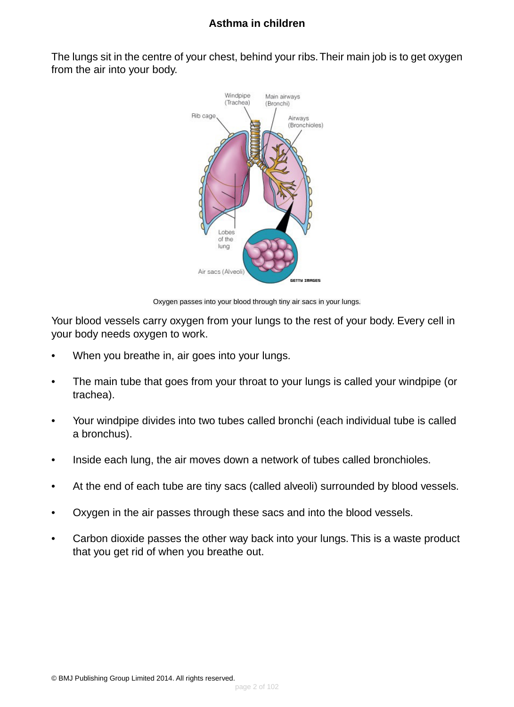The lungs sit in the centre of your chest, behind your ribs.Their main job is to get oxygen from the air into your body.



Oxygen passes into your blood through tiny air sacs in your lungs.

Your blood vessels carry oxygen from your lungs to the rest of your body. Every cell in your body needs oxygen to work.

- When you breathe in, air goes into your lungs.
- The main tube that goes from your throat to your lungs is called your windpipe (or trachea).
- Your windpipe divides into two tubes called bronchi (each individual tube is called a bronchus).
- Inside each lung, the air moves down a network of tubes called bronchioles.
- At the end of each tube are tiny sacs (called alveoli) surrounded by blood vessels.
- Oxygen in the air passes through these sacs and into the blood vessels.
- Carbon dioxide passes the other way back into your lungs. This is a waste product that you get rid of when you breathe out.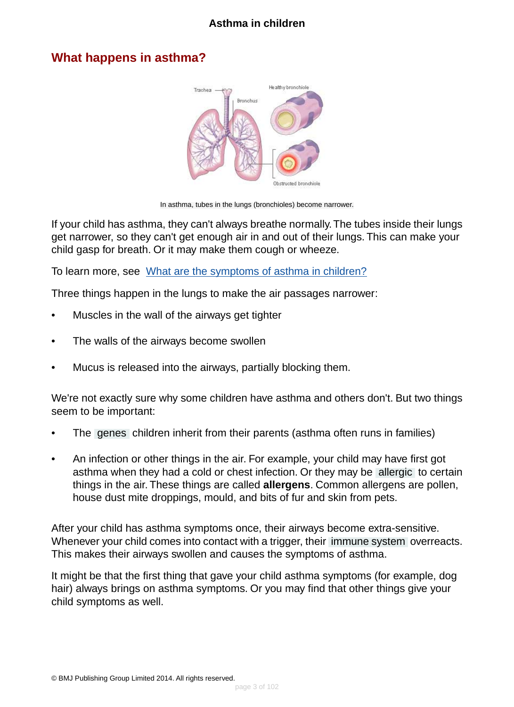### **What happens in asthma?**



In asthma, tubes in the lungs (bronchioles) become narrower.

If your child has asthma, they can't always breathe normally.The tubes inside their lungs get narrower, so they can't get enough air in and out of their lungs. This can make your child gasp for breath. Or it may make them cough or wheeze.

To learn more, see [What are the symptoms of asthma in children?](#page-4-0)

Three things happen in the lungs to make the air passages narrower:

- Muscles in the wall of the airways get tighter
- The walls of the airways become swollen
- Mucus is released into the airways, partially blocking them.

We're not exactly sure why some children have asthma and others don't. But two things seem to be important:

- The [genes](#page-93-1) children inherit from their parents (asthma often runs in families)
- An infection or other things in the air. For example, your child may have first got asthma when they had a cold or chest infection. Or they may be [allergic](#page-93-2) to certain things in the air. These things are called **allergens**. Common allergens are pollen, house dust mite droppings, mould, and bits of fur and skin from pets.

After your child has asthma symptoms once, their airways become extra-sensitive. Whenever your child comes into contact with a trigger, their [immune system](#page-93-3) overreacts. This makes their airways swollen and causes the symptoms of asthma.

It might be that the first thing that gave your child asthma symptoms (for example, dog hair) always brings on asthma symptoms. Or you may find that other things give your child symptoms as well.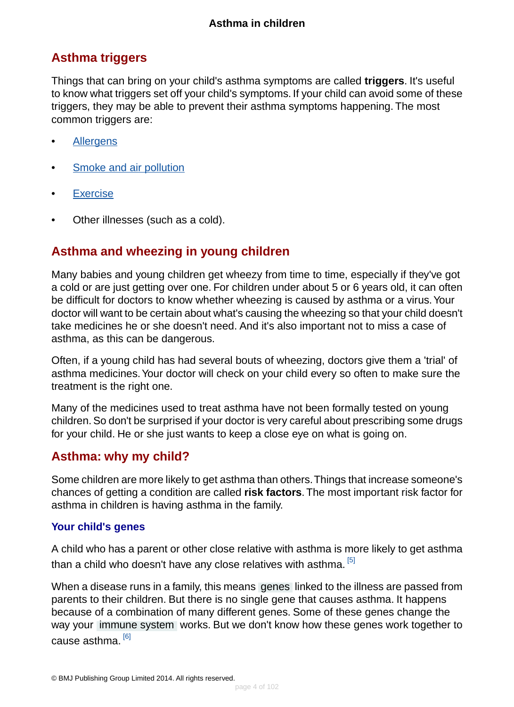# **Asthma triggers**

Things that can bring on your child's asthma symptoms are called **triggers**. It's useful to know what triggers set off your child's symptoms. If your child can avoid some of these triggers, they may be able to prevent their asthma symptoms happening. The most common triggers are:

- [Allergens](#page-81-0)
- [Smoke and air pollution](#page-82-0)
- [Exercise](#page-82-1)
- Other illnesses (such as a cold).

# **Asthma and wheezing in young children**

Many babies and young children get wheezy from time to time, especially if they've got a cold or are just getting over one. For children under about 5 or 6 years old, it can often be difficult for doctors to know whether wheezing is caused by asthma or a virus.Your doctor will want to be certain about what's causing the wheezing so that your child doesn't take medicines he or she doesn't need. And it's also important not to miss a case of asthma, as this can be dangerous.

Often, if a young child has had several bouts of wheezing, doctors give them a 'trial' of asthma medicines.Your doctor will check on your child every so often to make sure the treatment is the right one.

Many of the medicines used to treat asthma have not been formally tested on young children. So don't be surprised if your doctor is very careful about prescribing some drugs for your child. He or she just wants to keep a close eye on what is going on.

## **Asthma: why my child?**

Some children are more likely to get asthma than others.Things that increase someone's chances of getting a condition are called **risk factors**. The most important risk factor for asthma in children is having asthma in the family.

#### **Your child's genes**

A child who has a parent or other close relative with asthma is more likely to get asthma than a child who doesn't have any close relatives with asthma. [\[5\]](#page-94-2)

When a disease runs in a family, this means [genes](#page-93-1) linked to the illness are passed from parents to their children. But there is no single gene that causes asthma. It happens because of a combination of many different genes. Some of these genes change the way your [immune system](#page-93-3) works. But we don't know how these genes work together to cause asthma.<sup>[\[6\]](#page-94-3)</sup>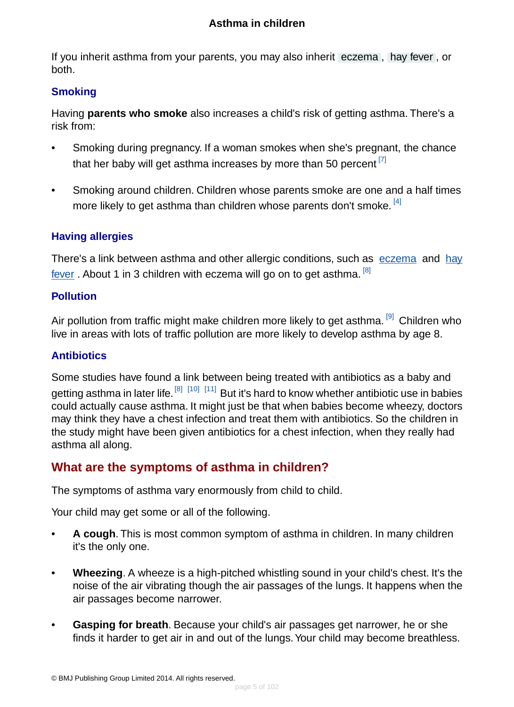If you inherit asthma from your parents, you may also inherit [eczema](#page-93-4) , [hay fever](#page-93-5) , or both.

#### **Smoking**

Having **parents who smoke** also increases a child's risk of getting asthma. There's a risk from:

- Smoking during pregnancy. If a woman smokes when she's pregnant, the chance that her baby will get asthma increases by more than 50 percent  $^{[7]}$  $^{[7]}$  $^{[7]}$
- Smoking around children. Children whose parents smoke are one and a half times more likely to get asthma than children whose parents don't smoke. <sup>[\[4\]](#page-94-5)</sup>

### **Having allergies**

There's a link between asthma and other allergic conditions, such as [eczema](http://besthealth.bmj.com) and [hay](http://besthealth.bmj.com) [fever](http://besthealth.bmj.com). About 1 in 3 children with eczema will go on to get asthma. <sup>[\[8\]](#page-94-6)</sup>

#### **Pollution**

Air pollution from traffic might make children more likely to get asthma.<sup>[\[9\]](#page-94-7)</sup> Children who live in areas with lots of traffic pollution are more likely to develop asthma by age 8.

#### **Antibiotics**

<span id="page-4-0"></span>Some studies have found a link between being treated with antibiotics as a baby and getting asthma in later life. <sup>[\[8\]](#page-94-6) [\[10\]](#page-94-8) [\[11\]](#page-94-9)</sup> But it's hard to know whether antibiotic use in babies could actually cause asthma. It might just be that when babies become wheezy, doctors may think they have a chest infection and treat them with antibiotics. So the children in the study might have been given antibiotics for a chest infection, when they really had asthma all along.

# **What are the symptoms of asthma in children?**

The symptoms of asthma vary enormously from child to child.

Your child may get some or all of the following.

- **A cough**. This is most common symptom of asthma in children. In many children it's the only one.
- **Wheezing**. A wheeze is a high-pitched whistling sound in your child's chest. It's the noise of the air vibrating though the air passages of the lungs. It happens when the air passages become narrower.
- **Gasping for breath**. Because your child's air passages get narrower, he or she finds it harder to get air in and out of the lungs.Your child may become breathless.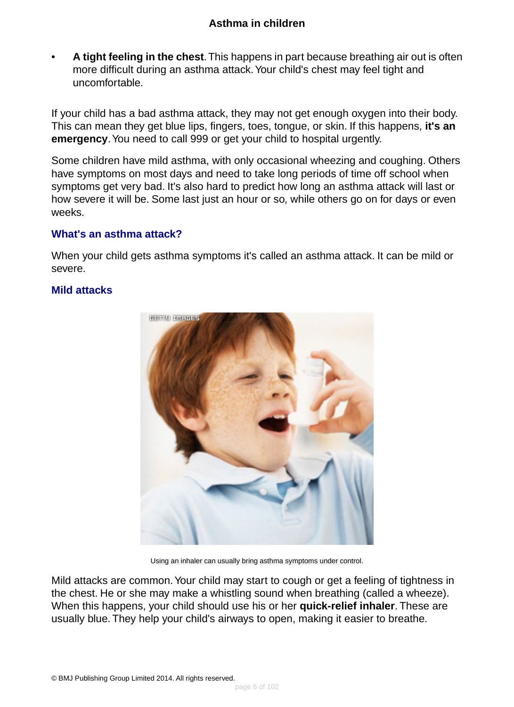• **A tight feeling in the chest**.This happens in part because breathing air out is often more difficult during an asthma attack.Your child's chest may feel tight and uncomfortable.

If your child has a bad asthma attack, they may not get enough oxygen into their body. This can mean they get blue lips, fingers, toes, tongue, or skin. If this happens, **it's an emergency**.You need to call 999 or get your child to hospital urgently.

Some children have mild asthma, with only occasional wheezing and coughing. Others have symptoms on most days and need to take long periods of time off school when symptoms get very bad. It's also hard to predict how long an asthma attack will last or how severe it will be. Some last just an hour or so, while others go on for days or even weeks.

#### **What's an asthma attack?**

When your child gets asthma symptoms it's called an asthma attack. It can be mild or severe.

#### **Mild attacks**



Using an inhaler can usually bring asthma symptoms under control.

Mild attacks are common.Your child may start to cough or get a feeling of tightness in the chest. He or she may make a whistling sound when breathing (called a wheeze). When this happens, your child should use his or her **quick-relief inhaler**. These are usually blue. They help your child's airways to open, making it easier to breathe.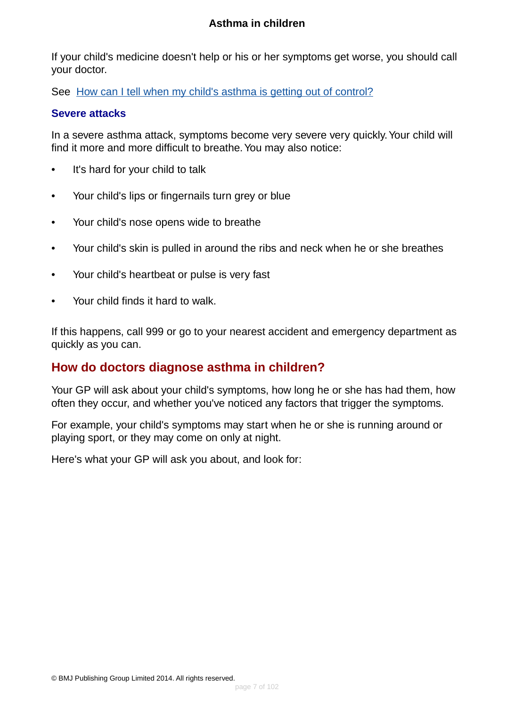If your child's medicine doesn't help or his or her symptoms get worse, you should call your doctor.

See [How can I tell when my child's asthma is getting out of control?](#page-83-0)

#### **Severe attacks**

In a severe asthma attack, symptoms become very severe very quickly.Your child will find it more and more difficult to breathe. You may also notice:

- It's hard for your child to talk
- Your child's lips or fingernails turn grey or blue
- Your child's nose opens wide to breathe
- Your child's skin is pulled in around the ribs and neck when he or she breathes
- Your child's heartbeat or pulse is very fast
- Your child finds it hard to walk.

<span id="page-6-0"></span>If this happens, call 999 or go to your nearest accident and emergency department as quickly as you can.

## **How do doctors diagnose asthma in children?**

Your GP will ask about your child's symptoms, how long he or she has had them, how often they occur, and whether you've noticed any factors that trigger the symptoms.

For example, your child's symptoms may start when he or she is running around or playing sport, or they may come on only at night.

Here's what your GP will ask you about, and look for: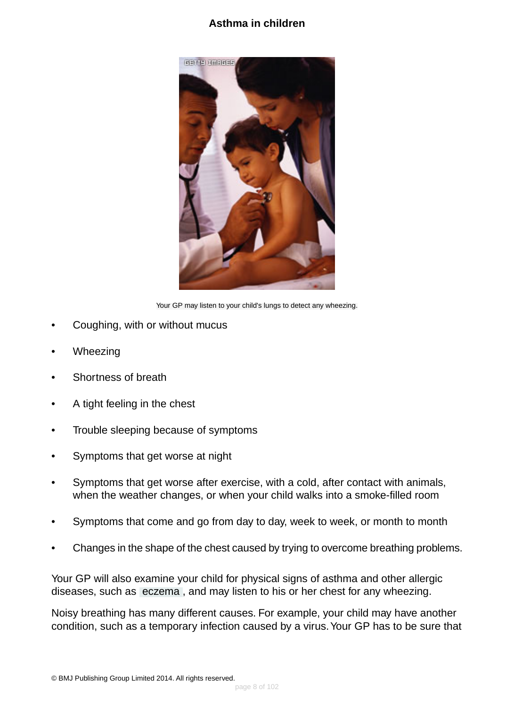

Your GP may listen to your child's lungs to detect any wheezing.

- Coughing, with or without mucus
- **Wheezing**
- Shortness of breath
- A tight feeling in the chest
- Trouble sleeping because of symptoms
- Symptoms that get worse at night
- Symptoms that get worse after exercise, with a cold, after contact with animals, when the weather changes, or when your child walks into a smoke-filled room
- Symptoms that come and go from day to day, week to week, or month to month
- Changes in the shape of the chest caused by trying to overcome breathing problems.

Your GP will also examine your child for physical signs of asthma and other allergic diseases, such as [eczema](#page-93-4) , and may listen to his or her chest for any wheezing.

Noisy breathing has many different causes. For example, your child may have another condition, such as a temporary infection caused by a virus.Your GP has to be sure that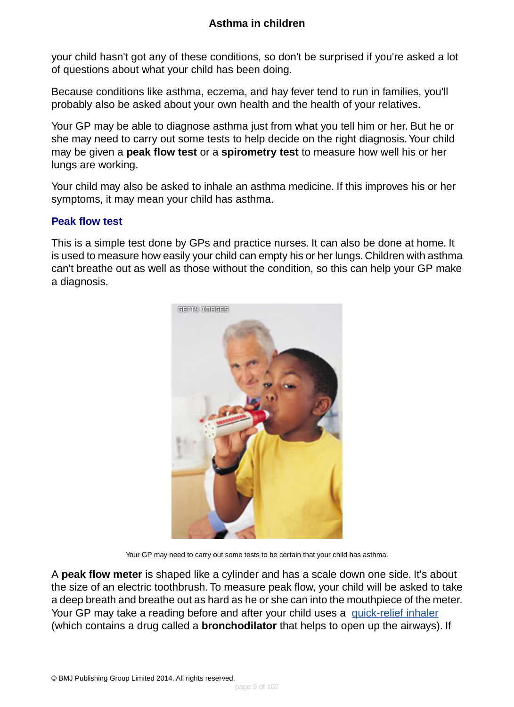your child hasn't got any of these conditions, so don't be surprised if you're asked a lot of questions about what your child has been doing.

Because conditions like asthma, eczema, and hay fever tend to run in families, you'll probably also be asked about your own health and the health of your relatives.

Your GP may be able to diagnose asthma just from what you tell him or her. But he or she may need to carry out some tests to help decide on the right diagnosis.Your child may be given a **peak flow test** or a **spirometry test** to measure how well his or her lungs are working.

Your child may also be asked to inhale an asthma medicine. If this improves his or her symptoms, it may mean your child has asthma.

#### **Peak flow test**

This is a simple test done by GPs and practice nurses. It can also be done at home. It is used to measure how easily your child can empty his or her lungs. Children with asthma can't breathe out as well as those without the condition, so this can help your GP make a diagnosis.



Your GP may need to carry out some tests to be certain that your child has asthma.

A **peak flow meter** is shaped like a cylinder and has a scale down one side. It's about the size of an electric toothbrush. To measure peak flow, your child will be asked to take a deep breath and breathe out as hard as he or she can into the mouthpiece of the meter. Your GP may take a reading before and after your child uses a [quick-relief inhaler](#page-37-0) (which contains a drug called a **bronchodilator** that helps to open up the airways). If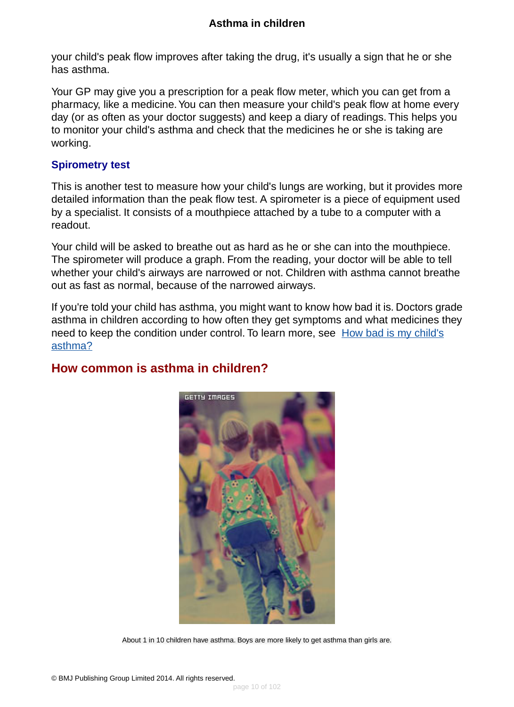your child's peak flow improves after taking the drug, it's usually a sign that he or she has asthma.

Your GP may give you a prescription for a peak flow meter, which you can get from a pharmacy, like a medicine.You can then measure your child's peak flow at home every day (or as often as your doctor suggests) and keep a diary of readings. This helps you to monitor your child's asthma and check that the medicines he or she is taking are working.

#### **Spirometry test**

This is another test to measure how your child's lungs are working, but it provides more detailed information than the peak flow test. A spirometer is a piece of equipment used by a specialist. It consists of a mouthpiece attached by a tube to a computer with a readout.

Your child will be asked to breathe out as hard as he or she can into the mouthpiece. The spirometer will produce a graph. From the reading, your doctor will be able to tell whether your child's airways are narrowed or not. Children with asthma cannot breathe out as fast as normal, because of the narrowed airways.

<span id="page-9-0"></span>If you're told your child has asthma, you might want to know how bad it is. Doctors grade asthma in children according to how often they get symptoms and what medicines they need to keep the condition under control. To learn more, see [How bad is my child's](#page-84-0) [asthma?](#page-84-0)

## **How common is asthma in children?**



About 1 in 10 children have asthma. Boys are more likely to get asthma than girls are.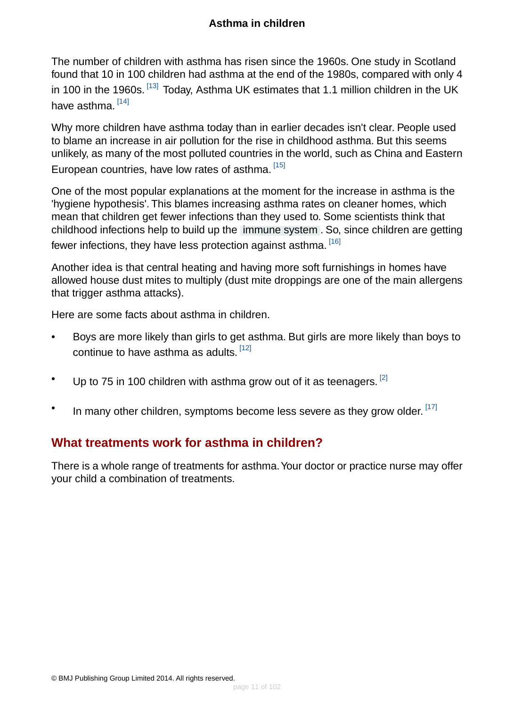The number of children with asthma has risen since the 1960s. One study in Scotland found that 10 in 100 children had asthma at the end of the 1980s, compared with only 4 in 100 in the 1960s. <sup>[\[13\]](#page-95-0)</sup> Today, Asthma UK estimates that 1.1 million children in the UK have asthma.<sup>[\[14\]](#page-95-1)</sup>

Why more children have asthma today than in earlier decades isn't clear. People used to blame an increase in air pollution for the rise in childhood asthma. But this seems unlikely, as many of the most polluted countries in the world, such as China and Eastern European countries, have low rates of asthma. [\[15\]](#page-95-2)

One of the most popular explanations at the moment for the increase in asthma is the 'hygiene hypothesis'. This blames increasing asthma rates on cleaner homes, which mean that children get fewer infections than they used to. Some scientists think that childhood infections help to build up the [immune system](#page-93-3) . So, since children are getting fewer infections, they have less protection against asthma. [\[16\]](#page-95-3)

Another idea is that central heating and having more soft furnishings in homes have allowed house dust mites to multiply (dust mite droppings are one of the main allergens that trigger asthma attacks).

Here are some facts about asthma in children.

- Boys are more likely than girls to get asthma. But girls are more likely than boys to continue to have asthma as adults. [\[12\]](#page-95-4)
- Up to 75 in 100 children with asthma grow out of it as teenagers.  $^{[2]}$  $^{[2]}$  $^{[2]}$
- <span id="page-10-0"></span>• In many other children, symptoms become less severe as they grow older.  $^{[17]}$  $^{[17]}$  $^{[17]}$

### **What treatments work for asthma in children?**

There is a whole range of treatments for asthma. Your doctor or practice nurse may offer your child a combination of treatments.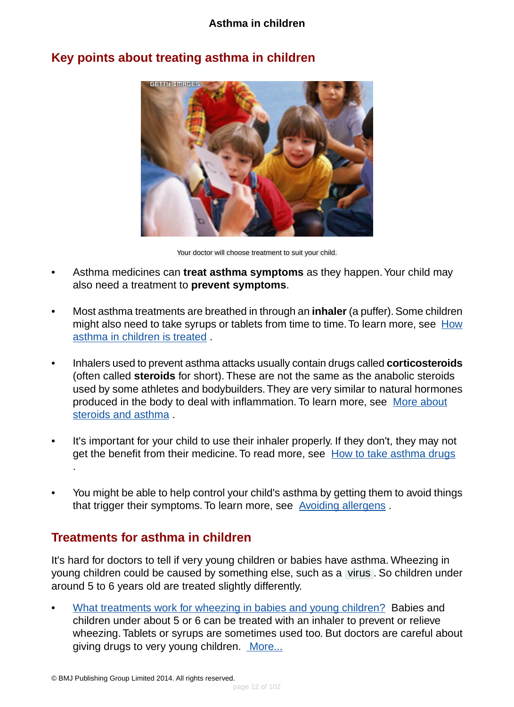

## **Key points about treating asthma in children**

Your doctor will choose treatment to suit your child.

- Asthma medicines can **treat asthma symptoms** as they happen.Your child may also need a treatment to **prevent symptoms**.
- Most asthma treatments are breathed in through an **inhaler** (a puffer). Some children might also need to take syrups or tablets from time to time. To learn more, see [How](#page-85-0) [asthma in children is treated](#page-85-0) .
- Inhalers used to prevent asthma attacks usually contain drugs called **corticosteroids** (often called **steroids** for short). These are not the same as the anabolic steroids used by some athletes and bodybuilders.They are very similar to natural hormones produced in the body to deal with inflammation. To learn more, see [More about](#page-89-0) [steroids and asthma](#page-89-0) .
- It's important for your child to use their inhaler properly. If they don't, they may not get the benefit from their medicine. To read more, see [How to take asthma drugs](#page-86-0) .
- You might be able to help control your child's asthma by getting them to avoid things that trigger their symptoms. To learn more, see [Avoiding allergens](#page-75-0) .

## **Treatments for asthma in children**

It's hard for doctors to tell if very young children or babies have asthma. Wheezing in young children could be caused by something else, such as a [virus](#page-93-6) . So children under around 5 to 6 years old are treated slightly differently.

• [What treatments work for wheezing in babies and young children?](#page-12-0) Babies and children under about 5 or 6 can be treated with an inhaler to prevent or relieve wheezing. Tablets or syrups are sometimes used too. But doctors are careful about giving drugs to very young children. [More...](#page-12-0)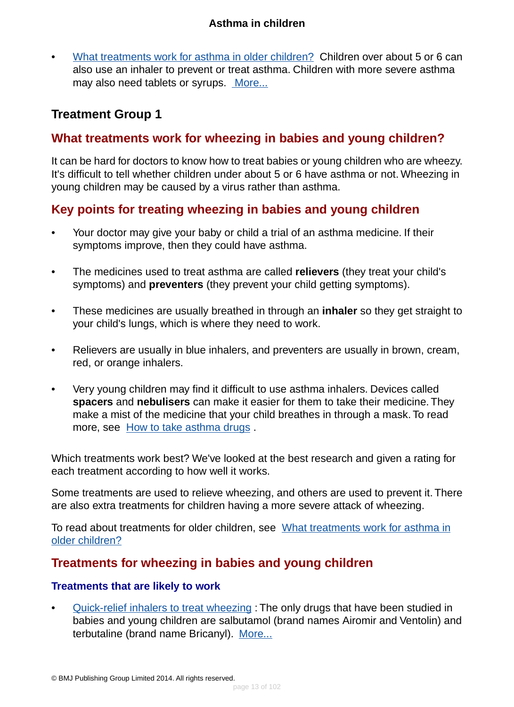• [What treatments work for asthma in older children?](#page-13-0) Children over about 5 or 6 can also use an inhaler to prevent or treat asthma. Children with more severe asthma may also need tablets or syrups. [More...](#page-13-0)

# <span id="page-12-1"></span><span id="page-12-0"></span>**Treatment Group 1**

## **What treatments work for wheezing in babies and young children?**

It can be hard for doctors to know how to treat babies or young children who are wheezy. It's difficult to tell whether children under about 5 or 6 have asthma or not. Wheezing in young children may be caused by a virus rather than asthma.

# **Key points for treating wheezing in babies and young children**

- Your doctor may give your baby or child a trial of an asthma medicine. If their symptoms improve, then they could have asthma.
- The medicines used to treat asthma are called **relievers** (they treat your child's symptoms) and **preventers** (they prevent your child getting symptoms).
- These medicines are usually breathed in through an **inhaler** so they get straight to your child's lungs, which is where they need to work.
- Relievers are usually in blue inhalers, and preventers are usually in brown, cream, red, or orange inhalers.
- Very young children may find it difficult to use asthma inhalers. Devices called **spacers** and **nebulisers** can make it easier for them to take their medicine. They make a mist of the medicine that your child breathes in through a mask. To read more, see [How to take asthma drugs](#page-86-0) .

Which treatments work best? We've looked at the best research and given a rating for each treatment according to how well it works.

Some treatments are used to relieve wheezing, and others are used to prevent it. There are also extra treatments for children having a more severe attack of wheezing.

To read about treatments for older children, see [What treatments work for asthma in](#page-13-1) [older children?](#page-13-1)

# **Treatments for wheezing in babies and young children**

#### **Treatments that are likely to work**

• [Quick-relief inhalers to treat wheezing](#page-18-0) : The only drugs that have been studied in babies and young children are salbutamol (brand names Airomir and Ventolin) and terbutaline (brand name Bricanyl). [More...](#page-18-0)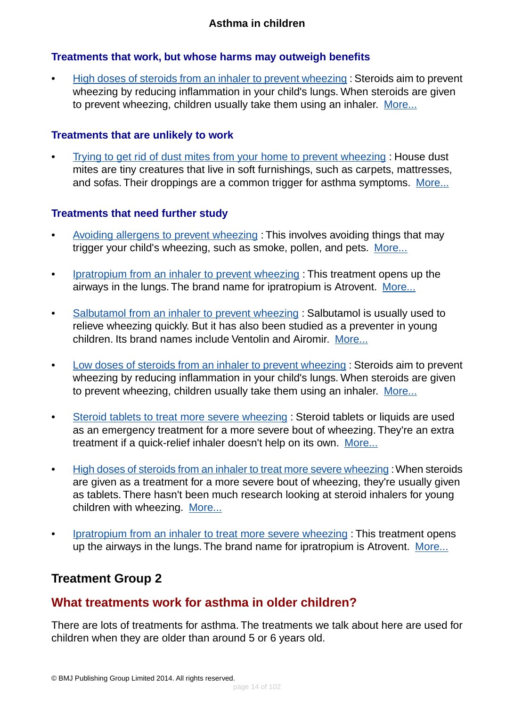#### **Treatments that work, but whose harms may outweigh benefits**

• [High doses of steroids from an inhaler to prevent wheezing](#page-20-0): Steroids aim to prevent wheezing by reducing inflammation in your child's lungs. When steroids are given to prevent wheezing, children usually take them using an inhaler. [More...](#page-32-0)

#### **Treatments that are unlikely to work**

• [Trying to get rid of dust mites from your home to prevent wheezing](#page-23-0) : House dust mites are tiny creatures that live in soft furnishings, such as carpets, mattresses, and sofas. Their droppings are a common trigger for asthma symptoms. [More...](#page-23-0)

#### **Treatments that need further study**

- [Avoiding allergens to prevent wheezing](#page-35-0) : This involves avoiding things that may trigger your child's wheezing, such as smoke, pollen, and pets. [More...](#page-35-0)
- [Ipratropium from an inhaler to prevent wheezing](#page-25-0) : This treatment opens up the airways in the lungs. The brand name for ipratropium is Atrovent. [More...](#page-25-0)
- [Salbutamol from an inhaler to prevent wheezing](#page-27-0) : Salbutamol is usually used to relieve wheezing quickly. But it has also been studied as a preventer in young children. Its brand names include Ventolin and Airomir. [More...](#page-27-0)
- [Low doses of steroids from an inhaler to prevent wheezing](#page-28-0) : Steroids aim to prevent wheezing by reducing inflammation in your child's lungs. When steroids are given to prevent wheezing, children usually take them using an inhaler. [More...](#page-28-0)
- [Steroid tablets to treat more severe wheezing](#page-30-0) : Steroid tablets or liquids are used as an emergency treatment for a more severe bout of wheezing. They're an extra treatment if a quick-relief inhaler doesn't help on its own. [More...](#page-30-0)
- [High doses of steroids from an inhaler to treat more severe wheezing](#page-32-0) : When steroids are given as a treatment for a more severe bout of wheezing, they're usually given as tablets. There hasn't been much research looking at steroid inhalers for young children with wheezing. [More...](#page-32-0)
- <span id="page-13-1"></span><span id="page-13-0"></span>• [Ipratropium from an inhaler to treat more severe wheezing](#page-33-0) : This treatment opens up the airways in the lungs. The brand name for ipratropium is Atrovent. [More...](#page-33-0)

# **Treatment Group 2**

# **What treatments work for asthma in older children?**

There are lots of treatments for asthma. The treatments we talk about here are used for children when they are older than around 5 or 6 years old.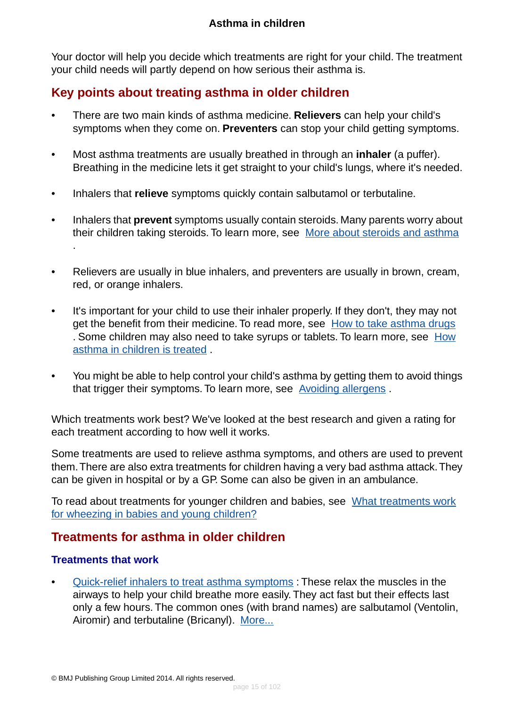Your doctor will help you decide which treatments are right for your child. The treatment your child needs will partly depend on how serious their asthma is.

# **Key points about treating asthma in older children**

- There are two main kinds of asthma medicine. **Relievers** can help your child's symptoms when they come on. **Preventers** can stop your child getting symptoms.
- Most asthma treatments are usually breathed in through an **inhaler** (a puffer). Breathing in the medicine lets it get straight to your child's lungs, where it's needed.
- Inhalers that **relieve** symptoms quickly contain salbutamol or terbutaline.
- Inhalers that **prevent** symptoms usually contain steroids. Many parents worry about their children taking steroids. To learn more, see [More about steroids and asthma](#page-89-0) .
- Relievers are usually in blue inhalers, and preventers are usually in brown, cream, red, or orange inhalers.
- It's important for your child to use their inhaler properly. If they don't, they may not get the benefit from their medicine. To read more, see [How to take asthma drugs](#page-86-0) . Some children may also need to take syrups or tablets. To learn more, see [How](#page-85-0) [asthma in children is treated](#page-85-0) .
- You might be able to help control your child's asthma by getting them to avoid things that trigger their symptoms. To learn more, see [Avoiding allergens](#page-75-0) .

Which treatments work best? We've looked at the best research and given a rating for each treatment according to how well it works.

Some treatments are used to relieve asthma symptoms, and others are used to prevent them.There are also extra treatments for children having a very bad asthma attack.They can be given in hospital or by a GP. Some can also be given in an ambulance.

To read about treatments for younger children and babies, see [What treatments work](#page-12-1) [for wheezing in babies and young children?](#page-12-1)

# **Treatments for asthma in older children**

#### **Treatments that work**

• [Quick-relief inhalers to treat asthma symptoms](#page-37-0) : These relax the muscles in the airways to help your child breathe more easily. They act fast but their effects last only a few hours. The common ones (with brand names) are salbutamol (Ventolin, Airomir) and terbutaline (Bricanyl). [More...](#page-37-0)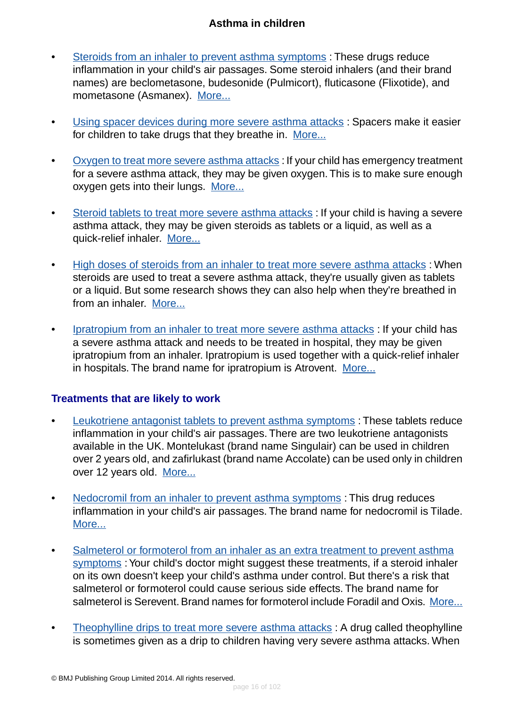- [Steroids from an inhaler to prevent asthma symptoms](#page-40-0) : These drugs reduce inflammation in your child's air passages. Some steroid inhalers (and their brand names) are beclometasone, budesonide (Pulmicort), fluticasone (Flixotide), and mometasone (Asmanex). [More...](#page-40-0)
- [Using spacer devices during more severe asthma attacks](#page-43-0) : Spacers make it easier for children to take drugs that they breathe in. [More...](#page-43-0)
- [Oxygen to treat more severe asthma attacks](#page-45-0): If your child has emergency treatment for a severe asthma attack, they may be given oxygen.This is to make sure enough oxygen gets into their lungs. [More...](#page-45-0)
- [Steroid tablets to treat more severe asthma attacks](#page-46-0) : If your child is having a severe asthma attack, they may be given steroids as tablets or a liquid, as well as a quick-relief inhaler. [More...](#page-46-0)
- [High doses of steroids from an inhaler to treat more severe asthma attacks](#page-49-0): When steroids are used to treat a severe asthma attack, they're usually given as tablets or a liquid. But some research shows they can also help when they're breathed in from an inhaler. [More...](#page-49-0)
- [Ipratropium from an inhaler to treat more severe asthma attacks](#page-50-0) : If your child has a severe asthma attack and needs to be treated in hospital, they may be given ipratropium from an inhaler. Ipratropium is used together with a quick-relief inhaler in hospitals. The brand name for ipratropium is Atrovent. [More...](#page-50-0)

#### **Treatments that are likely to work**

- [Leukotriene antagonist tablets to prevent asthma symptoms](#page-52-0) : These tablets reduce inflammation in your child's air passages. There are two leukotriene antagonists available in the UK. Montelukast (brand name Singulair) can be used in children over 2 years old, and zafirlukast (brand name Accolate) can be used only in children over 12 years old. [More...](#page-52-0)
- [Nedocromil from an inhaler to prevent asthma symptoms](#page-55-0) : This drug reduces inflammation in your child's air passages. The brand name for nedocromil is Tilade. [More...](#page-55-0)
- [Salmeterol or formoterol from an inhaler as an extra treatment to prevent asthma](#page-66-0) [symptoms](#page-66-0) : Your child's doctor might suggest these treatments, if a steroid inhaler on its own doesn't keep your child's asthma under control. But there's a risk that salmeterol or formoterol could cause serious side effects. The brand name for salmeterol is Serevent. Brand names for formoterol include Foradil and Oxis. [More...](#page-66-0)
- [Theophylline drips to treat more severe asthma attacks](#page-57-0): A drug called theophylline is sometimes given as a drip to children having very severe asthma attacks. When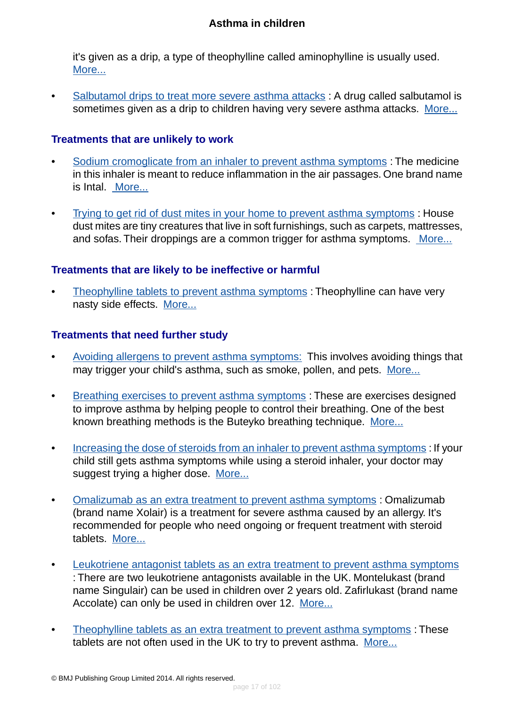it's given as a drip, a type of theophylline called aminophylline is usually used. [More...](#page-57-0)

• [Salbutamol drips to treat more severe asthma attacks](#page-72-0) : A drug called salbutamol is sometimes given as a drip to children having very severe asthma attacks. [More...](#page-72-0)

#### **Treatments that are unlikely to work**

- [Sodium cromoglicate from an inhaler to prevent asthma symptoms](#page-60-0) : The medicine in this inhaler is meant to reduce inflammation in the air passages. One brand name is Intal. [More...](#page-60-0)
- [Trying to get rid of dust mites in your home to prevent asthma symptoms](#page-62-0) : House dust mites are tiny creatures that live in soft furnishings, such as carpets, mattresses, and sofas. Their droppings are a common trigger for asthma symptoms. [More...](#page-62-0)

#### **Treatments that are likely to be ineffective or harmful**

• [Theophylline tablets to prevent asthma symptoms](#page-58-0) : Theophylline can have very nasty side effects. [More...](#page-58-0)

#### **Treatments that need further study**

- [Avoiding allergens to prevent asthma symptoms:](#page-75-0) This involves avoiding things that may trigger your child's asthma, such as smoke, pollen, and pets. [More...](#page-75-0)
- [Breathing exercises to prevent asthma symptoms](#page-77-0) : These are exercises designed to improve asthma by helping people to control their breathing. One of the best known breathing methods is the Buteyko breathing technique. [More...](#page-77-0)
- [Increasing the dose of steroids from an inhaler to prevent asthma symptoms](#page-64-0) : If your child still gets asthma symptoms while using a steroid inhaler, your doctor may suggest trying a higher dose. [More...](#page-64-0)
- [Omalizumab as an extra treatment to prevent asthma symptoms](#page-80-0) : Omalizumab (brand name Xolair) is a treatment for severe asthma caused by an allergy. It's recommended for people who need ongoing or frequent treatment with steroid tablets. [More...](#page-80-0)
- [Leukotriene antagonist tablets as an extra treatment to prevent asthma symptoms](#page-70-0) : There are two leukotriene antagonists available in the UK. Montelukast (brand name Singulair) can be used in children over 2 years old. Zafirlukast (brand name Accolate) can only be used in children over 12. [More...](#page-70-0)
- [Theophylline tablets as an extra treatment to prevent asthma symptoms](#page-68-0) : These tablets are not often used in the UK to try to prevent asthma. [More...](#page-68-0)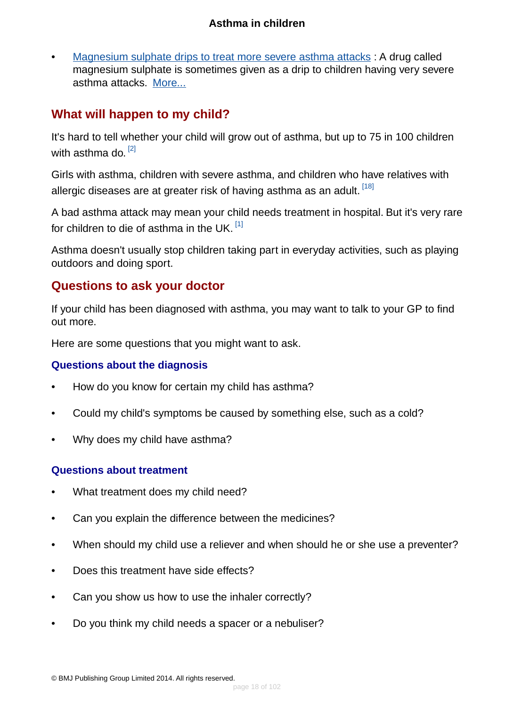• [Magnesium sulphate drips to treat more severe asthma attacks](#page-74-0) : A drug called magnesium sulphate is sometimes given as a drip to children having very severe asthma attacks. [More...](#page-74-0)

# <span id="page-17-0"></span>**What will happen to my child?**

It's hard to tell whether your child will grow out of asthma, but up to 75 in 100 children with asthma do. <sup>[\[2\]](#page-94-1)</sup>

Girls with asthma, children with severe asthma, and children who have relatives with allergic diseases are at greater risk of having asthma as an adult. [\[18\]](#page-95-6)

A bad asthma attack may mean your child needs treatment in hospital. But it's very rare for children to die of asthma in the UK.  $^{[1]}$  $^{[1]}$  $^{[1]}$ 

<span id="page-17-1"></span>Asthma doesn't usually stop children taking part in everyday activities, such as playing outdoors and doing sport.

# **Questions to ask your doctor**

If your child has been diagnosed with asthma, you may want to talk to your GP to find out more.

Here are some questions that you might want to ask.

### **Questions about the diagnosis**

- How do you know for certain my child has asthma?
- Could my child's symptoms be caused by something else, such as a cold?
- Why does my child have asthma?

### **Questions about treatment**

- What treatment does my child need?
- Can you explain the difference between the medicines?
- When should my child use a reliever and when should he or she use a preventer?
- Does this treatment have side effects?
- Can you show us how to use the inhaler correctly?
- Do you think my child needs a spacer or a nebuliser?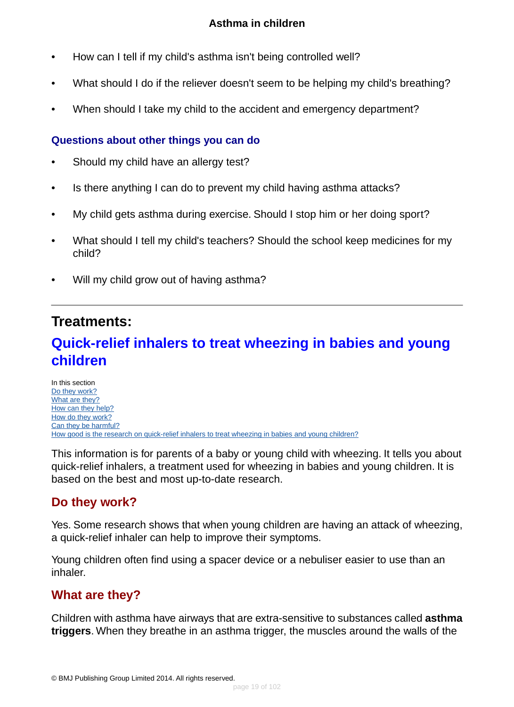- How can I tell if my child's asthma isn't being controlled well?
- What should I do if the reliever doesn't seem to be helping my child's breathing?
- When should I take my child to the accident and emergency department?

#### **Questions about other things you can do**

- Should my child have an allergy test?
- Is there anything I can do to prevent my child having asthma attacks?
- My child gets asthma during exercise. Should I stop him or her doing sport?
- What should I tell my child's teachers? Should the school keep medicines for my child?
- Will my child grow out of having asthma?

# <span id="page-18-0"></span>**Treatments:**

# **Quick-relief inhalers to treat wheezing in babies and young children**

In this section [Do they work?](#page-18-1) [What are they?](#page-18-2) [How can they help?](#page-19-0) [How do they work?](#page-20-1) [Can they be harmful?](#page-20-2) [How good is the research on quick-relief inhalers to treat wheezing in babies and young children?](#page-20-3)

<span id="page-18-1"></span>This information is for parents of a baby or young child with wheezing. It tells you about quick-relief inhalers, a treatment used for wheezing in babies and young children. It is based on the best and most up-to-date research.

# **Do they work?**

<span id="page-18-2"></span>Yes. Some research shows that when young children are having an attack of wheezing, a quick-relief inhaler can help to improve their symptoms.

Young children often find using a spacer device or a nebuliser easier to use than an inhaler.

## **What are they?**

Children with asthma have airways that are extra-sensitive to substances called **asthma triggers**. When they breathe in an asthma trigger, the muscles around the walls of the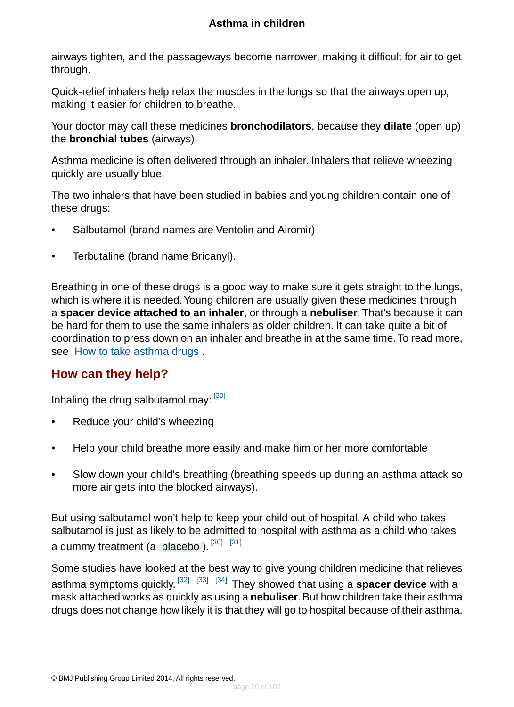airways tighten, and the passageways become narrower, making it difficult for air to get through.

Quick-relief inhalers help relax the muscles in the lungs so that the airways open up, making it easier for children to breathe.

Your doctor may call these medicines **bronchodilators**, because they **dilate** (open up) the **bronchial tubes** (airways).

Asthma medicine is often delivered through an inhaler. Inhalers that relieve wheezing quickly are usually blue.

The two inhalers that have been studied in babies and young children contain one of these drugs:

- Salbutamol (brand names are Ventolin and Airomir)
- Terbutaline (brand name Bricanyl).

Breathing in one of these drugs is a good way to make sure it gets straight to the lungs, which is where it is needed. Young children are usually given these medicines through a **spacer device attached to an inhaler**, or through a **nebuliser**. That's because it can be hard for them to use the same inhalers as older children. It can take quite a bit of coordination to press down on an inhaler and breathe in at the same time. To read more, see [How to take asthma drugs](#page-86-0) .

## <span id="page-19-0"></span>**How can they help?**

Inhaling the drug salbutamol may: [\[30\]](#page-95-7)

- Reduce your child's wheezing
- Help your child breathe more easily and make him or her more comfortable
- Slow down your child's breathing (breathing speeds up during an asthma attack so more air gets into the blocked airways).

But using salbutamol won't help to keep your child out of hospital. A child who takes salbutamol is just as likely to be admitted to hospital with asthma as a child who takes a dummy treatment (a [placebo](#page-93-7)).  $[30]$   $[31]$ 

Some studies have looked at the best way to give young children medicine that relieves asthma symptoms quickly. [\[32\]](#page-95-9) [\[33\]](#page-96-0) [\[34\]](#page-96-1) They showed that using a **spacer device** with a mask attached works as quickly as using a **nebuliser**. But how children take their asthma drugs does not change how likely it is that they will go to hospital because of their asthma.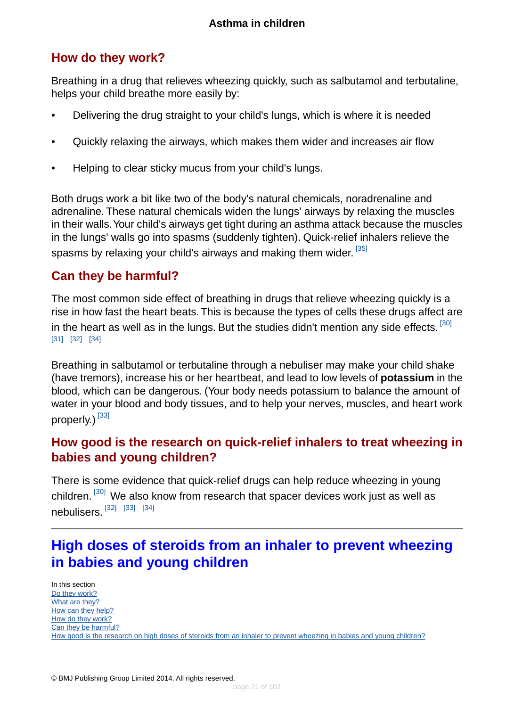# <span id="page-20-1"></span>**How do they work?**

Breathing in a drug that relieves wheezing quickly, such as salbutamol and terbutaline, helps your child breathe more easily by:

- Delivering the drug straight to your child's lungs, which is where it is needed
- Quickly relaxing the airways, which makes them wider and increases air flow
- Helping to clear sticky mucus from your child's lungs.

Both drugs work a bit like two of the body's natural chemicals, noradrenaline and adrenaline. These natural chemicals widen the lungs' airways by relaxing the muscles in their walls.Your child's airways get tight during an asthma attack because the muscles in the lungs' walls go into spasms (suddenly tighten). Quick-relief inhalers relieve the spasms by relaxing your child's airways and making them wider.  $^{\left[ 35\right] }$ 

## <span id="page-20-2"></span>**Can they be harmful?**

The most common side effect of breathing in drugs that relieve wheezing quickly is a rise in how fast the heart beats.This is because the types of cells these drugs affect are in the heart as well as in the lungs. But the studies didn't mention any side effects.  $^{\left[ 30 \right]}$ [\[31\]](#page-95-8) [\[32\]](#page-95-9) [\[34\]](#page-96-1)

<span id="page-20-3"></span>Breathing in salbutamol or terbutaline through a nebuliser may make your child shake (have tremors), increase his or her heartbeat, and lead to low levels of **potassium** in the blood, which can be dangerous. (Your body needs potassium to balance the amount of water in your blood and body tissues, and to help your nerves, muscles, and heart work properly.) [\[33\]](#page-96-0)

# **How good is the research on quick-relief inhalers to treat wheezing in babies and young children?**

<span id="page-20-0"></span>There is some evidence that quick-relief drugs can help reduce wheezing in young children. [\[30\]](#page-95-7) We also know from research that spacer devices work just as well as nebulisers. [\[32\]](#page-95-9) [\[33\]](#page-96-0) [\[34\]](#page-96-1)

# **High doses of steroids from an inhaler to prevent wheezing in babies and young children**

In this section [Do they work?](#page-21-0) [What are they?](#page-21-1) [How can they help?](#page-22-0) [How do they work?](#page-22-1) [Can they be harmful?](#page-22-2) [How good is the research on high doses of steroids from an inhaler to prevent wheezing in babies and young children?](#page-23-1)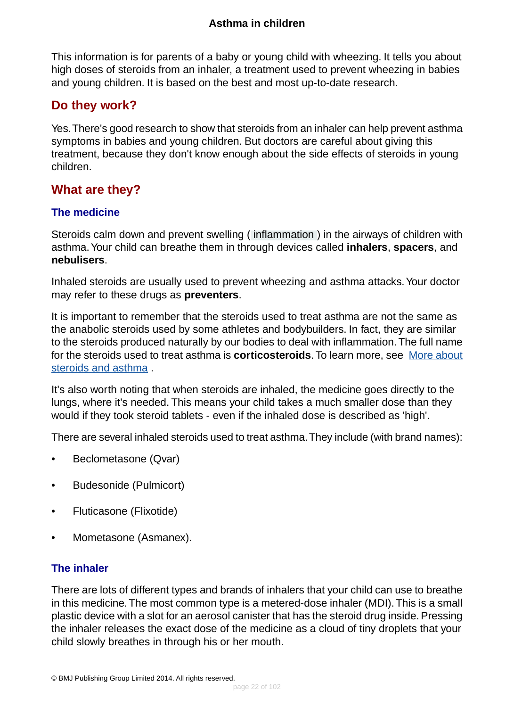This information is for parents of a baby or young child with wheezing. It tells you about high doses of steroids from an inhaler, a treatment used to prevent wheezing in babies and young children. It is based on the best and most up-to-date research.

### <span id="page-21-0"></span>**Do they work?**

Yes.There's good research to show that steroids from an inhaler can help prevent asthma symptoms in babies and young children. But doctors are careful about giving this treatment, because they don't know enough about the side effects of steroids in young children.

# <span id="page-21-1"></span>**What are they?**

#### **The medicine**

Steroids calm down and prevent swelling ( [inflammation](#page-93-0) ) in the airways of children with asthma.Your child can breathe them in through devices called **inhalers**, **spacers**, and **nebulisers**.

Inhaled steroids are usually used to prevent wheezing and asthma attacks.Your doctor may refer to these drugs as **preventers**.

It is important to remember that the steroids used to treat asthma are not the same as the anabolic steroids used by some athletes and bodybuilders. In fact, they are similar to the steroids produced naturally by our bodies to deal with inflammation.The full name for the steroids used to treat asthma is **corticosteroids**.To learn more, see [More about](#page-89-0) [steroids and asthma](#page-89-0) .

It's also worth noting that when steroids are inhaled, the medicine goes directly to the lungs, where it's needed. This means your child takes a much smaller dose than they would if they took steroid tablets - even if the inhaled dose is described as 'high'.

There are several inhaled steroids used to treat asthma.They include (with brand names):

- Beclometasone (Qvar)
- Budesonide (Pulmicort)
- Fluticasone (Flixotide)
- Mometasone (Asmanex).

#### **The inhaler**

There are lots of different types and brands of inhalers that your child can use to breathe in this medicine.The most common type is a metered-dose inhaler (MDI).This is a small plastic device with a slot for an aerosol canister that has the steroid drug inside. Pressing the inhaler releases the exact dose of the medicine as a cloud of tiny droplets that your child slowly breathes in through his or her mouth.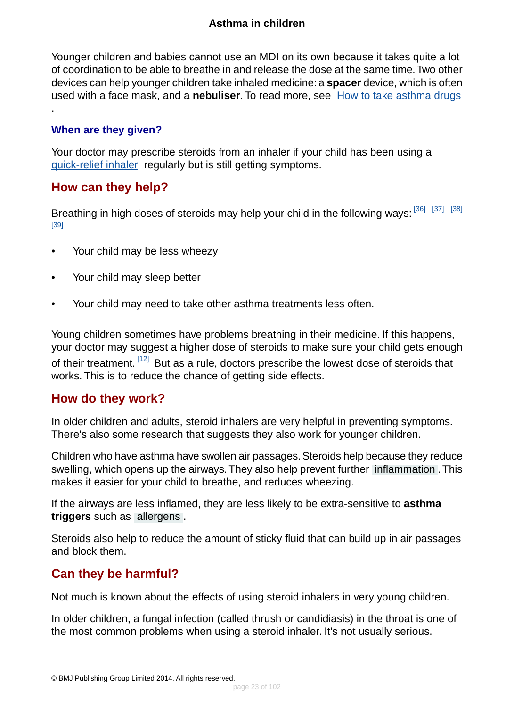Younger children and babies cannot use an MDI on its own because it takes quite a lot of coordination to be able to breathe in and release the dose at the same time.Two other devices can help younger children take inhaled medicine: a **spacer** device, which is often used with a face mask, and a **nebuliser**. To read more, see [How to take asthma drugs](#page-86-0)

#### **When are they given?**

.

<span id="page-22-0"></span>Your doctor may prescribe steroids from an inhaler if your child has been using a [quick-relief inhaler](#page-18-0) regularly but is still getting symptoms.

### **How can they help?**

Breathing in high doses of steroids may help your child in the following ways: [\[36\]](#page-96-3) [\[37\]](#page-96-4) [\[38\]](#page-96-5) [\[39\]](#page-96-6)

- Your child may be less wheezy
- Your child may sleep better
- Your child may need to take other asthma treatments less often.

<span id="page-22-1"></span>Young children sometimes have problems breathing in their medicine. If this happens, your doctor may suggest a higher dose of steroids to make sure your child gets enough of their treatment. [\[12\]](#page-95-4) But as a rule, doctors prescribe the lowest dose of steroids that works. This is to reduce the chance of getting side effects.

### **How do they work?**

In older children and adults, steroid inhalers are very helpful in preventing symptoms. There's also some research that suggests they also work for younger children.

Children who have asthma have swollen air passages. Steroids help because they reduce swelling, which opens up the airways.They also help prevent further [inflammation](#page-93-0) .This makes it easier for your child to breathe, and reduces wheezing.

<span id="page-22-2"></span>If the airways are less inflamed, they are less likely to be extra-sensitive to **asthma triggers** such as [allergens](#page-94-10) .

Steroids also help to reduce the amount of sticky fluid that can build up in air passages and block them.

## **Can they be harmful?**

Not much is known about the effects of using steroid inhalers in very young children.

In older children, a fungal infection (called thrush or candidiasis) in the throat is one of the most common problems when using a steroid inhaler. It's not usually serious.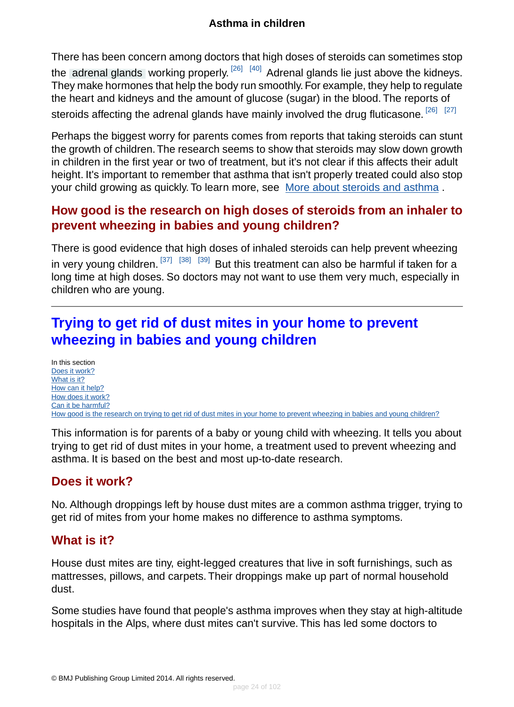There has been concern among doctors that high doses of steroids can sometimes stop the [adrenal glands](#page-94-11) working properly.<sup>[\[26\]](#page-95-10) [\[40\]](#page-96-7)</sup> Adrenal glands lie just above the kidneys. They make hormones that help the body run smoothly. For example, they help to regulate the heart and kidneys and the amount of glucose (sugar) in the blood. The reports of steroids affecting the adrenal glands have mainly involved the drug fluticasone. <sup>[\[26\]](#page-95-10)</sup> [<sup>27]</sup>

Perhaps the biggest worry for parents comes from reports that taking steroids can stunt the growth of children.The research seems to show that steroids may slow down growth in children in the first year or two of treatment, but it's not clear if this affects their adult height. It's important to remember that asthma that isn't properly treated could also stop your child growing as quickly. To learn more, see [More about steroids and asthma](#page-89-0) .

## <span id="page-23-1"></span>**How good is the research on high doses of steroids from an inhaler to prevent wheezing in babies and young children?**

There is good evidence that high doses of inhaled steroids can help prevent wheezing in very young children.  $^{[37]}$  $^{[37]}$  $^{[37]}$   $^{[38]}$  $^{[38]}$  $^{[38]}$   $^{[39]}$  $^{[39]}$  $^{[39]}$  But this treatment can also be harmful if taken for a long time at high doses. So doctors may not want to use them very much, especially in children who are young.

# <span id="page-23-0"></span>**Trying to get rid of dust mites in your home to prevent wheezing in babies and young children**

In this section [Does it work?](#page-23-2) [What is it?](#page-23-3) [How can it help?](#page-24-0) [How does it work?](#page-25-1) [Can it be harmful?](#page-25-2) [How good is the research on trying to get rid of dust mites in your home to prevent wheezing in babies and young children?](#page-25-3)

<span id="page-23-2"></span>This information is for parents of a baby or young child with wheezing. It tells you about trying to get rid of dust mites in your home, a treatment used to prevent wheezing and asthma. It is based on the best and most up-to-date research.

# <span id="page-23-3"></span>**Does it work?**

No. Although droppings left by house dust mites are a common asthma trigger, trying to get rid of mites from your home makes no difference to asthma symptoms.

## **What is it?**

House dust mites are tiny, eight-legged creatures that live in soft furnishings, such as mattresses, pillows, and carpets. Their droppings make up part of normal household dust.

Some studies have found that people's asthma improves when they stay at high-altitude hospitals in the Alps, where dust mites can't survive. This has led some doctors to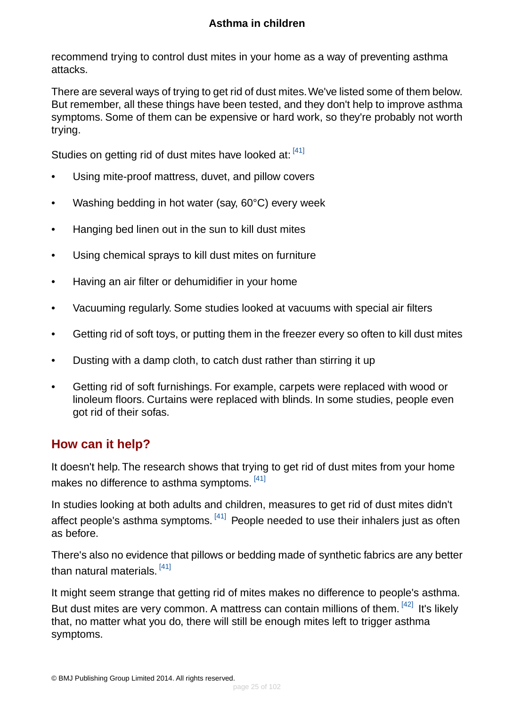recommend trying to control dust mites in your home as a way of preventing asthma attacks.

There are several ways of trying to get rid of dust mites.We've listed some of them below. But remember, all these things have been tested, and they don't help to improve asthma symptoms. Some of them can be expensive or hard work, so they're probably not worth trying.

Studies on getting rid of dust mites have looked at: [\[41\]](#page-96-8)

- Using mite-proof mattress, duvet, and pillow covers
- Washing bedding in hot water (say, 60°C) every week
- Hanging bed linen out in the sun to kill dust mites
- Using chemical sprays to kill dust mites on furniture
- Having an air filter or dehumidifier in your home
- Vacuuming regularly. Some studies looked at vacuums with special air filters
- Getting rid of soft toys, or putting them in the freezer every so often to kill dust mites
- Dusting with a damp cloth, to catch dust rather than stirring it up
- <span id="page-24-0"></span>• Getting rid of soft furnishings. For example, carpets were replaced with wood or linoleum floors. Curtains were replaced with blinds. In some studies, people even got rid of their sofas.

## **How can it help?**

It doesn't help. The research shows that trying to get rid of dust mites from your home makes no difference to asthma symptoms.  $^{[41]}$  $^{[41]}$  $^{[41]}$ 

In studies looking at both adults and children, measures to get rid of dust mites didn't affect people's asthma symptoms. <sup>[\[41\]](#page-96-8)</sup> People needed to use their inhalers just as often as before.

There's also no evidence that pillows or bedding made of synthetic fabrics are any better than natural materials. <sup>[\[41\]](#page-96-8)</sup>

It might seem strange that getting rid of mites makes no difference to people's asthma. But dust mites are very common. A mattress can contain millions of them. [\[42\]](#page-96-9) It's likely that, no matter what you do, there will still be enough mites left to trigger asthma symptoms.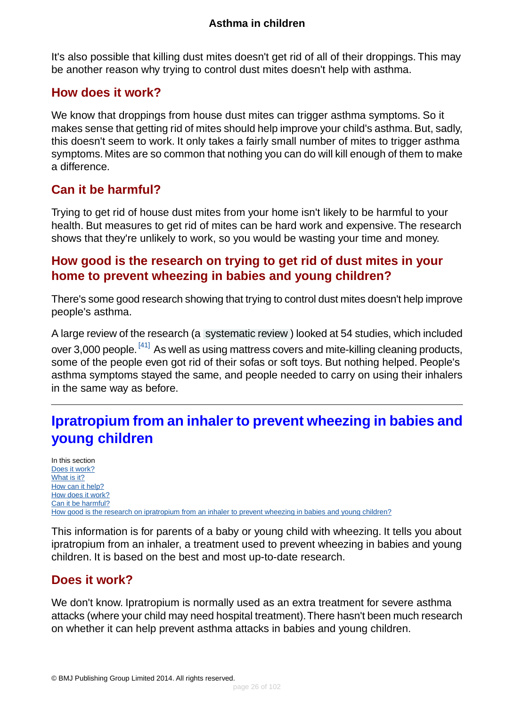It's also possible that killing dust mites doesn't get rid of all of their droppings. This may be another reason why trying to control dust mites doesn't help with asthma.

### <span id="page-25-1"></span>**How does it work?**

We know that droppings from house dust mites can trigger asthma symptoms. So it makes sense that getting rid of mites should help improve your child's asthma. But, sadly, this doesn't seem to work. It only takes a fairly small number of mites to trigger asthma symptoms. Mites are so common that nothing you can do will kill enough of them to make a difference.

# <span id="page-25-2"></span>**Can it be harmful?**

<span id="page-25-3"></span>Trying to get rid of house dust mites from your home isn't likely to be harmful to your health. But measures to get rid of mites can be hard work and expensive. The research shows that they're unlikely to work, so you would be wasting your time and money.

# **How good is the research on trying to get rid of dust mites in your home to prevent wheezing in babies and young children?**

There's some good research showing that trying to control dust mites doesn't help improve people's asthma.

A large review of the research (a [systematic review](#page-94-12) ) looked at 54 studies, which included over 3,000 people. <sup>[\[41\]](#page-96-8)</sup> As well as using mattress covers and mite-killing cleaning products, some of the people even got rid of their sofas or soft toys. But nothing helped. People's asthma symptoms stayed the same, and people needed to carry on using their inhalers in the same way as before.

# <span id="page-25-0"></span>**Ipratropium from an inhaler to prevent wheezing in babies and young children**

In this section [Does it work?](#page-25-4) [What is it?](#page-26-0) [How can it help?](#page-26-1) [How does it work?](#page-26-2) [Can it be harmful?](#page-26-3) [How good is the research on ipratropium from an inhaler to prevent wheezing in babies and young children?](#page-27-1)

<span id="page-25-4"></span>This information is for parents of a baby or young child with wheezing. It tells you about ipratropium from an inhaler, a treatment used to prevent wheezing in babies and young children. It is based on the best and most up-to-date research.

## **Does it work?**

We don't know. Ipratropium is normally used as an extra treatment for severe asthma attacks (where your child may need hospital treatment).There hasn't been much research on whether it can help prevent asthma attacks in babies and young children.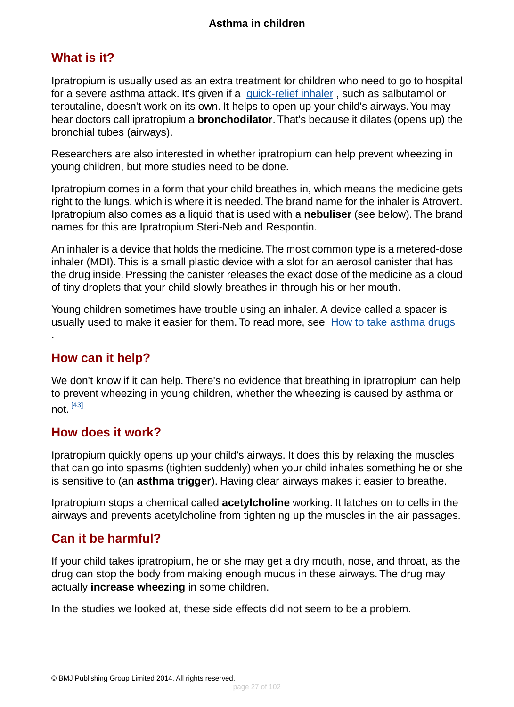## <span id="page-26-0"></span>**What is it?**

Ipratropium is usually used as an extra treatment for children who need to go to hospital for a severe asthma attack. It's given if a [quick-relief inhaler](#page-18-0), such as salbutamol or terbutaline, doesn't work on its own. It helps to open up your child's airways.You may hear doctors call ipratropium a **bronchodilator**.That's because it dilates (opens up) the bronchial tubes (airways).

Researchers are also interested in whether ipratropium can help prevent wheezing in young children, but more studies need to be done.

Ipratropium comes in a form that your child breathes in, which means the medicine gets right to the lungs, which is where it is needed.The brand name for the inhaler is Atrovert. Ipratropium also comes as a liquid that is used with a **nebuliser** (see below). The brand names for this are Ipratropium Steri-Neb and Respontin.

An inhaler is a device that holds the medicine.The most common type is a metered-dose inhaler (MDI). This is a small plastic device with a slot for an aerosol canister that has the drug inside. Pressing the canister releases the exact dose of the medicine as a cloud of tiny droplets that your child slowly breathes in through his or her mouth.

<span id="page-26-1"></span>Young children sometimes have trouble using an inhaler. A device called a spacer is usually used to make it easier for them. To read more, see [How to take asthma drugs](#page-86-0)

# **How can it help?**

.

<span id="page-26-2"></span>We don't know if it can help. There's no evidence that breathing in ipratropium can help to prevent wheezing in young children, whether the wheezing is caused by asthma or not. [\[43\]](#page-96-10)

### **How does it work?**

Ipratropium quickly opens up your child's airways. It does this by relaxing the muscles that can go into spasms (tighten suddenly) when your child inhales something he or she is sensitive to (an **asthma trigger**). Having clear airways makes it easier to breathe.

<span id="page-26-3"></span>Ipratropium stops a chemical called **acetylcholine** working. It latches on to cells in the airways and prevents acetylcholine from tightening up the muscles in the air passages.

## **Can it be harmful?**

If your child takes ipratropium, he or she may get a dry mouth, nose, and throat, as the drug can stop the body from making enough mucus in these airways. The drug may actually **increase wheezing** in some children.

In the studies we looked at, these side effects did not seem to be a problem.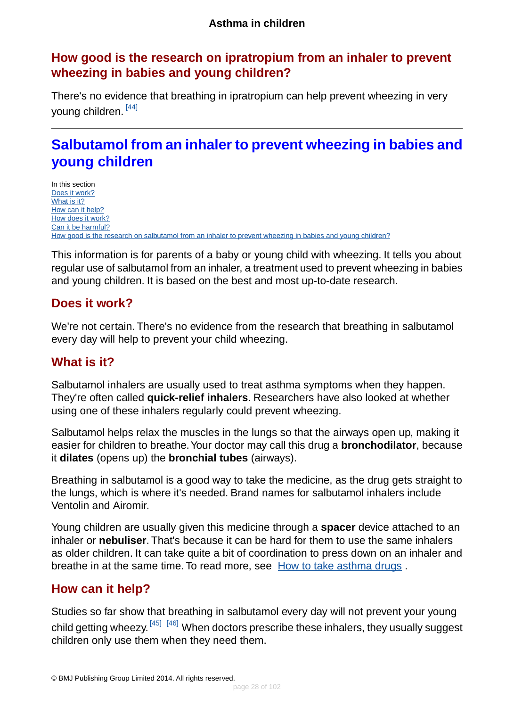# <span id="page-27-1"></span>**How good is the research on ipratropium from an inhaler to prevent wheezing in babies and young children?**

There's no evidence that breathing in ipratropium can help prevent wheezing in very young children. [\[44\]](#page-96-11)

# <span id="page-27-0"></span>**Salbutamol from an inhaler to prevent wheezing in babies and young children**

In this section [Does it work?](#page-27-2) [What is it?](#page-27-3) [How can it help?](#page-27-4) [How does it work?](#page-28-1) [Can it be harmful?](#page-28-2) [How good is the research on salbutamol from an inhaler to prevent wheezing in babies and young children?](#page-28-3)

<span id="page-27-2"></span>This information is for parents of a baby or young child with wheezing. It tells you about regular use of salbutamol from an inhaler, a treatment used to prevent wheezing in babies and young children. It is based on the best and most up-to-date research.

## **Does it work?**

<span id="page-27-3"></span>We're not certain. There's no evidence from the research that breathing in salbutamol every day will help to prevent your child wheezing.

# **What is it?**

Salbutamol inhalers are usually used to treat asthma symptoms when they happen. They're often called **quick-relief inhalers**. Researchers have also looked at whether using one of these inhalers regularly could prevent wheezing.

Salbutamol helps relax the muscles in the lungs so that the airways open up, making it easier for children to breathe.Your doctor may call this drug a **bronchodilator**, because it **dilates** (opens up) the **bronchial tubes** (airways).

Breathing in salbutamol is a good way to take the medicine, as the drug gets straight to the lungs, which is where it's needed. Brand names for salbutamol inhalers include Ventolin and Airomir.

<span id="page-27-4"></span>Young children are usually given this medicine through a **spacer** device attached to an inhaler or **nebuliser**. That's because it can be hard for them to use the same inhalers as older children. It can take quite a bit of coordination to press down on an inhaler and breathe in at the same time. To read more, see [How to take asthma drugs](#page-86-0) .

# **How can it help?**

Studies so far show that breathing in salbutamol every day will not prevent your young child getting wheezy. <sup>[\[45\]](#page-96-12) [\[46\]](#page-96-13)</sup> When doctors prescribe these inhalers, they usually suggest children only use them when they need them.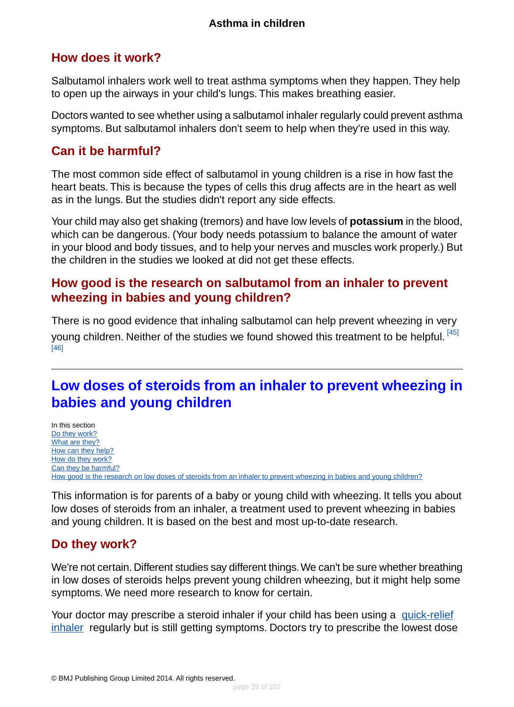# <span id="page-28-1"></span>**How does it work?**

Salbutamol inhalers work well to treat asthma symptoms when they happen. They help to open up the airways in your child's lungs. This makes breathing easier.

Doctors wanted to see whether using a salbutamol inhaler regularly could prevent asthma symptoms. But salbutamol inhalers don't seem to help when they're used in this way.

# <span id="page-28-2"></span>**Can it be harmful?**

The most common side effect of salbutamol in young children is a rise in how fast the heart beats. This is because the types of cells this drug affects are in the heart as well as in the lungs. But the studies didn't report any side effects.

Your child may also get shaking (tremors) and have low levels of **potassium** in the blood, which can be dangerous. (Your body needs potassium to balance the amount of water in your blood and body tissues, and to help your nerves and muscles work properly.) But the children in the studies we looked at did not get these effects.

# <span id="page-28-3"></span>**How good is the research on salbutamol from an inhaler to prevent wheezing in babies and young children?**

<span id="page-28-0"></span>There is no good evidence that inhaling salbutamol can help prevent wheezing in very young children. Neither of the studies we found showed this treatment to be helpful. [\[45\]](#page-96-12) [\[46\]](#page-96-13)

# **Low doses of steroids from an inhaler to prevent wheezing in babies and young children**

In this section [Do they work?](#page-28-4) [What are they?](#page-29-0) [How can they help?](#page-29-1) [How do they work?](#page-30-1) [Can they be harmful?](#page-30-2) [How good is the research on low doses of steroids from an inhaler to prevent wheezing in babies and young children?](#page-30-3)

<span id="page-28-4"></span>This information is for parents of a baby or young child with wheezing. It tells you about low doses of steroids from an inhaler, a treatment used to prevent wheezing in babies and young children. It is based on the best and most up-to-date research.

## **Do they work?**

We're not certain. Different studies say different things.We can't be sure whether breathing in low doses of steroids helps prevent young children wheezing, but it might help some symptoms. We need more research to know for certain.

Your doctor may prescribe a steroid inhaler if your child has been using a [quick-relief](#page-18-0) [inhaler](#page-18-0) regularly but is still getting symptoms. Doctors try to prescribe the lowest dose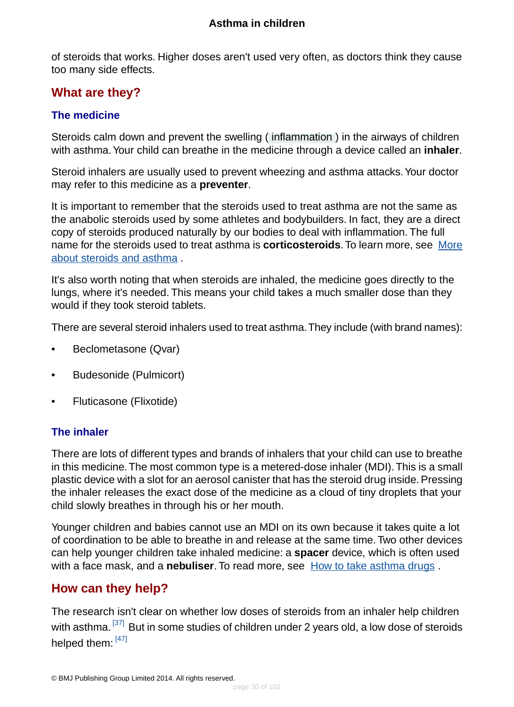of steroids that works. Higher doses aren't used very often, as doctors think they cause too many side effects.

# <span id="page-29-0"></span>**What are they?**

#### **The medicine**

Steroids calm down and prevent the swelling ( [inflammation](#page-93-0) ) in the airways of children with asthma.Your child can breathe in the medicine through a device called an **inhaler**.

Steroid inhalers are usually used to prevent wheezing and asthma attacks.Your doctor may refer to this medicine as a **preventer**.

It is important to remember that the steroids used to treat asthma are not the same as the anabolic steroids used by some athletes and bodybuilders. In fact, they are a direct copy of steroids produced naturally by our bodies to deal with inflammation. The full name for the steroids used to treat asthma is **corticosteroids**.To learn more, see [More](#page-89-0) [about steroids and asthma](#page-89-0) .

It's also worth noting that when steroids are inhaled, the medicine goes directly to the lungs, where it's needed. This means your child takes a much smaller dose than they would if they took steroid tablets.

There are several steroid inhalers used to treat asthma.They include (with brand names):

- Beclometasone (Qvar)
- Budesonide (Pulmicort)
- Fluticasone (Flixotide)

#### **The inhaler**

There are lots of different types and brands of inhalers that your child can use to breathe in this medicine.The most common type is a metered-dose inhaler (MDI).This is a small plastic device with a slot for an aerosol canister that has the steroid drug inside. Pressing the inhaler releases the exact dose of the medicine as a cloud of tiny droplets that your child slowly breathes in through his or her mouth.

<span id="page-29-1"></span>Younger children and babies cannot use an MDI on its own because it takes quite a lot of coordination to be able to breathe in and release at the same time. Two other devices can help younger children take inhaled medicine: a **spacer** device, which is often used with a face mask, and a **nebuliser**. To read more, see [How to take asthma drugs](#page-86-0) .

# **How can they help?**

The research isn't clear on whether low doses of steroids from an inhaler help children with asthma. <sup>[\[37\]](#page-96-4)</sup> But in some studies of children under 2 years old, a low dose of steroids helped them: [\[47\]](#page-96-14)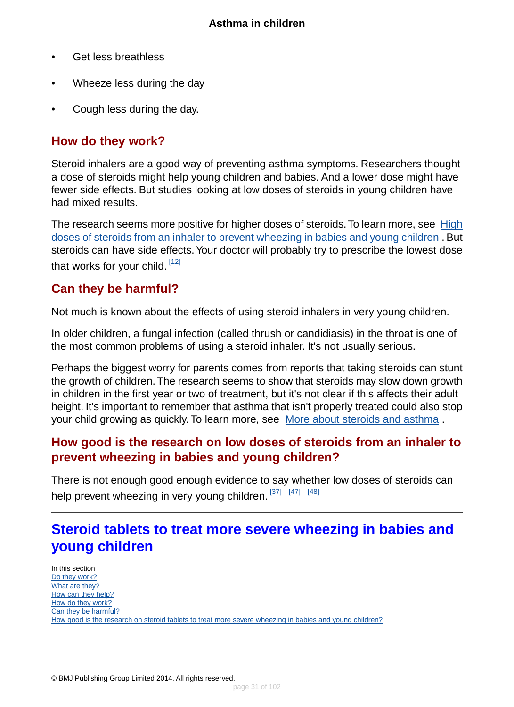- Get less breathless
- Wheeze less during the day
- Cough less during the day.

#### <span id="page-30-1"></span>**How do they work?**

Steroid inhalers are a good way of preventing asthma symptoms. Researchers thought a dose of steroids might help young children and babies. And a lower dose might have fewer side effects. But studies looking at low doses of steroids in young children have had mixed results.

The research seems more positive for higher doses of steroids. To learn more, see [High](#page-20-0) [doses of steroids from an inhaler to prevent wheezing in babies and young children](#page-20-0) . But steroids can have side effects.Your doctor will probably try to prescribe the lowest dose that works for your child. [\[12\]](#page-95-4)

### <span id="page-30-2"></span>**Can they be harmful?**

Not much is known about the effects of using steroid inhalers in very young children.

In older children, a fungal infection (called thrush or candidiasis) in the throat is one of the most common problems of using a steroid inhaler. It's not usually serious.

<span id="page-30-3"></span>Perhaps the biggest worry for parents comes from reports that taking steroids can stunt the growth of children.The research seems to show that steroids may slow down growth in children in the first year or two of treatment, but it's not clear if this affects their adult height. It's important to remember that asthma that isn't properly treated could also stop your child growing as quickly. To learn more, see [More about steroids and asthma](#page-89-0).

### **How good is the research on low doses of steroids from an inhaler to prevent wheezing in babies and young children?**

<span id="page-30-0"></span>There is not enough good enough evidence to say whether low doses of steroids can help prevent wheezing in very young children. [\[37\]](#page-96-4) [\[47\]](#page-96-14) [\[48\]](#page-96-15)

# **Steroid tablets to treat more severe wheezing in babies and young children**

In this section [Do they work?](#page-31-0) [What are they?](#page-31-1) [How can they help?](#page-31-2) [How do they work?](#page-31-3) [Can they be harmful?](#page-32-1) [How good is the research on steroid tablets to treat more severe wheezing in babies and young children?](#page-32-2)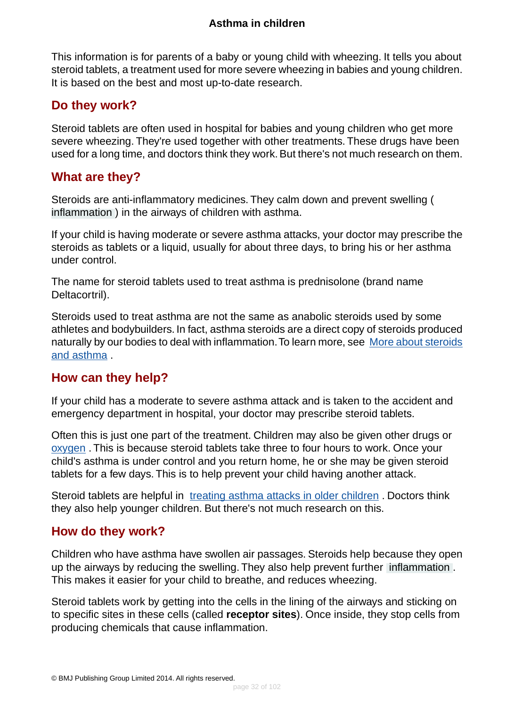This information is for parents of a baby or young child with wheezing. It tells you about steroid tablets, a treatment used for more severe wheezing in babies and young children. It is based on the best and most up-to-date research.

### <span id="page-31-0"></span>**Do they work?**

Steroid tablets are often used in hospital for babies and young children who get more severe wheezing. They're used together with other treatments. These drugs have been used for a long time, and doctors think they work. But there's not much research on them.

### <span id="page-31-1"></span>**What are they?**

Steroids are anti-inflammatory medicines. They calm down and prevent swelling ( [inflammation](#page-93-0) ) in the airways of children with asthma.

If your child is having moderate or severe asthma attacks, your doctor may prescribe the steroids as tablets or a liquid, usually for about three days, to bring his or her asthma under control.

The name for steroid tablets used to treat asthma is prednisolone (brand name Deltacortril).

<span id="page-31-2"></span>Steroids used to treat asthma are not the same as anabolic steroids used by some athletes and bodybuilders. In fact, asthma steroids are a direct copy of steroids produced naturally by our bodies to deal with inflammation. To learn more, see [More about steroids](#page-89-0) [and asthma](#page-89-0) .

## **How can they help?**

If your child has a moderate to severe asthma attack and is taken to the accident and emergency department in hospital, your doctor may prescribe steroid tablets.

Often this is just one part of the treatment. Children may also be given other drugs or [oxygen](#page-45-0) . This is because steroid tablets take three to four hours to work. Once your child's asthma is under control and you return home, he or she may be given steroid tablets for a few days. This is to help prevent your child having another attack.

<span id="page-31-3"></span>Steroid tablets are helpful in [treating asthma attacks in older children](#page-46-0). Doctors think they also help younger children. But there's not much research on this.

### **How do they work?**

Children who have asthma have swollen air passages. Steroids help because they open up the airways by reducing the swelling. They also help prevent further [inflammation](#page-93-0) . This makes it easier for your child to breathe, and reduces wheezing.

Steroid tablets work by getting into the cells in the lining of the airways and sticking on to specific sites in these cells (called **receptor sites**). Once inside, they stop cells from producing chemicals that cause inflammation.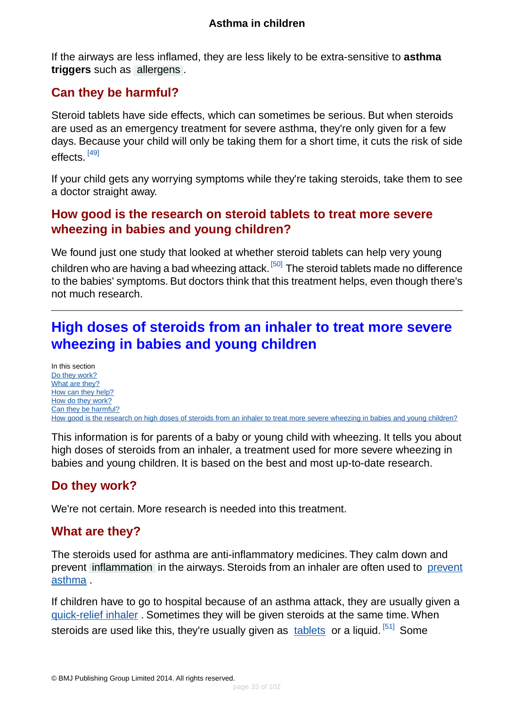If the airways are less inflamed, they are less likely to be extra-sensitive to **asthma triggers** such as [allergens](#page-94-10) .

# <span id="page-32-1"></span>**Can they be harmful?**

Steroid tablets have side effects, which can sometimes be serious. But when steroids are used as an emergency treatment for severe asthma, they're only given for a few days. Because your child will only be taking them for a short time, it cuts the risk of side effects.<sup>[\[49\]](#page-96-16)</sup>

<span id="page-32-2"></span>If your child gets any worrying symptoms while they're taking steroids, take them to see a doctor straight away.

## **How good is the research on steroid tablets to treat more severe wheezing in babies and young children?**

We found just one study that looked at whether steroid tablets can help very young children who are having a bad wheezing attack.<sup>[\[50\]](#page-96-17)</sup> The steroid tablets made no difference to the babies' symptoms. But doctors think that this treatment helps, even though there's not much research.

# <span id="page-32-0"></span>**High doses of steroids from an inhaler to treat more severe wheezing in babies and young children**

In this section [Do they work?](#page-32-3) [What are they?](#page-32-4) [How can they help?](#page-33-1) [How do they work?](#page-33-2) [Can they be harmful?](#page-33-3) [How good is the research on high doses of steroids from an inhaler to treat more severe wheezing in babies and young children?](#page-33-4)

<span id="page-32-3"></span>This information is for parents of a baby or young child with wheezing. It tells you about high doses of steroids from an inhaler, a treatment used for more severe wheezing in babies and young children. It is based on the best and most up-to-date research.

# <span id="page-32-4"></span>**Do they work?**

We're not certain. More research is needed into this treatment.

# **What are they?**

The steroids used for asthma are anti-inflammatory medicines. They calm down and prevent [inflammation](#page-93-0) in the airways. Steroids from an inhaler are often used to [prevent](#page-40-0) [asthma](#page-40-0) .

If children have to go to hospital because of an asthma attack, they are usually given a [quick-relief inhaler](#page-37-0) . Sometimes they will be given steroids at the same time. When steroids are used like this, they're usually given as [tablets](#page-46-0) or a liquid. <sup>[\[51\]](#page-96-18)</sup> Some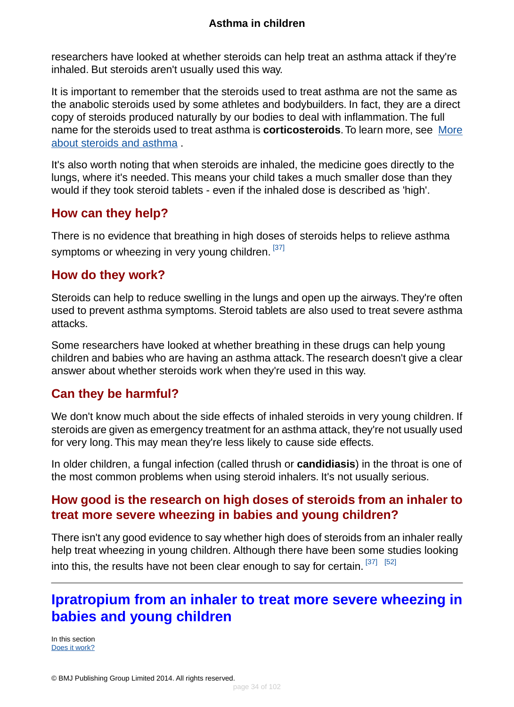researchers have looked at whether steroids can help treat an asthma attack if they're inhaled. But steroids aren't usually used this way.

It is important to remember that the steroids used to treat asthma are not the same as the anabolic steroids used by some athletes and bodybuilders. In fact, they are a direct copy of steroids produced naturally by our bodies to deal with inflammation. The full name for the steroids used to treat asthma is **corticosteroids**.To learn more, see [More](#page-89-0) [about steroids and asthma](#page-89-0) .

It's also worth noting that when steroids are inhaled, the medicine goes directly to the lungs, where it's needed. This means your child takes a much smaller dose than they would if they took steroid tablets - even if the inhaled dose is described as 'high'.

## <span id="page-33-1"></span>**How can they help?**

<span id="page-33-2"></span>There is no evidence that breathing in high doses of steroids helps to relieve asthma symptoms or wheezing in very young children. [\[37\]](#page-96-4)

### **How do they work?**

Steroids can help to reduce swelling in the lungs and open up the airways.They're often used to prevent asthma symptoms. Steroid tablets are also used to treat severe asthma attacks.

<span id="page-33-3"></span>Some researchers have looked at whether breathing in these drugs can help young children and babies who are having an asthma attack.The research doesn't give a clear answer about whether steroids work when they're used in this way.

# **Can they be harmful?**

We don't know much about the side effects of inhaled steroids in very young children. If steroids are given as emergency treatment for an asthma attack, they're not usually used for very long. This may mean they're less likely to cause side effects.

<span id="page-33-4"></span>In older children, a fungal infection (called thrush or **candidiasis**) in the throat is one of the most common problems when using steroid inhalers. It's not usually serious.

## **How good is the research on high doses of steroids from an inhaler to treat more severe wheezing in babies and young children?**

<span id="page-33-0"></span>There isn't any good evidence to say whether high does of steroids from an inhaler really help treat wheezing in young children. Although there have been some studies looking into this, the results have not been clear enough to say for certain.  $[37]$   $[52]$ 

# **Ipratropium from an inhaler to treat more severe wheezing in babies and young children**

In this section [Does it work?](#page-34-0)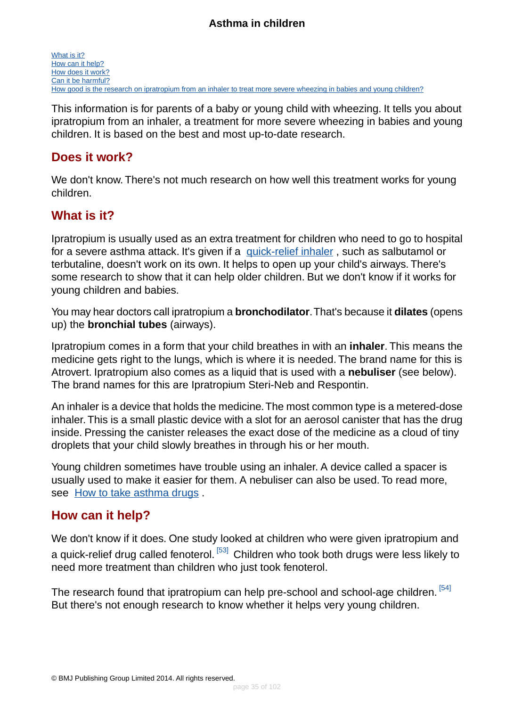This information is for parents of a baby or young child with wheezing. It tells you about ipratropium from an inhaler, a treatment for more severe wheezing in babies and young children. It is based on the best and most up-to-date research.

### <span id="page-34-0"></span>**Does it work?**

<span id="page-34-1"></span>We don't know. There's not much research on how well this treatment works for young children.

### **What is it?**

Ipratropium is usually used as an extra treatment for children who need to go to hospital for a severe asthma attack. It's given if a [quick-relief inhaler](#page-18-0), such as salbutamol or terbutaline, doesn't work on its own. It helps to open up your child's airways. There's some research to show that it can help older children. But we don't know if it works for young children and babies.

You may hear doctors call ipratropium a **bronchodilator**.That's because it **dilates** (opens up) the **bronchial tubes** (airways).

Ipratropium comes in a form that your child breathes in with an **inhaler**. This means the medicine gets right to the lungs, which is where it is needed. The brand name for this is Atrovert. Ipratropium also comes as a liquid that is used with a **nebuliser** (see below). The brand names for this are Ipratropium Steri-Neb and Respontin.

An inhaler is a device that holds the medicine.The most common type is a metered-dose inhaler. This is a small plastic device with a slot for an aerosol canister that has the drug inside. Pressing the canister releases the exact dose of the medicine as a cloud of tiny droplets that your child slowly breathes in through his or her mouth.

<span id="page-34-2"></span>Young children sometimes have trouble using an inhaler. A device called a spacer is usually used to make it easier for them. A nebuliser can also be used. To read more, see [How to take asthma drugs](#page-86-0) .

### **How can it help?**

We don't know if it does. One study looked at children who were given ipratropium and a quick-relief drug called fenoterol. [\[53\]](#page-97-0) Children who took both drugs were less likely to need more treatment than children who just took fenoterol.

The research found that ipratropium can help pre-school and school-age children. [\[54\]](#page-97-1) But there's not enough research to know whether it helps very young children.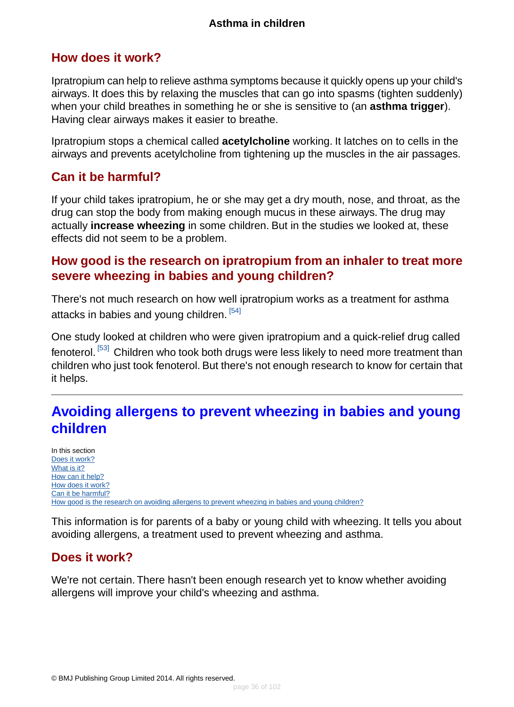### <span id="page-35-1"></span>**How does it work?**

Ipratropium can help to relieve asthma symptoms because it quickly opens up your child's airways. It does this by relaxing the muscles that can go into spasms (tighten suddenly) when your child breathes in something he or she is sensitive to (an **asthma trigger**). Having clear airways makes it easier to breathe.

Ipratropium stops a chemical called **acetylcholine** working. It latches on to cells in the airways and prevents acetylcholine from tightening up the muscles in the air passages.

## <span id="page-35-2"></span>**Can it be harmful?**

If your child takes ipratropium, he or she may get a dry mouth, nose, and throat, as the drug can stop the body from making enough mucus in these airways. The drug may actually **increase wheezing** in some children. But in the studies we looked at, these effects did not seem to be a problem.

## <span id="page-35-3"></span>**How good is the research on ipratropium from an inhaler to treat more severe wheezing in babies and young children?**

There's not much research on how well ipratropium works as a treatment for asthma attacks in babies and young children. [\[54\]](#page-97-1)

<span id="page-35-0"></span>One study looked at children who were given ipratropium and a quick-relief drug called fenoterol.<sup>[\[53\]](#page-97-0)</sup> Children who took both drugs were less likely to need more treatment than children who just took fenoterol. But there's not enough research to know for certain that it helps.

# **Avoiding allergens to prevent wheezing in babies and young children**

In this section [Does it work?](#page-35-4) [What is it?](#page-36-0) [How can it help?](#page-36-1) [How does it work?](#page-37-1) [Can it be harmful?](#page-37-2) [How good is the research on avoiding allergens to prevent wheezing in babies and young children?](#page-37-3)

<span id="page-35-4"></span>This information is for parents of a baby or young child with wheezing. It tells you about avoiding allergens, a treatment used to prevent wheezing and asthma.

## **Does it work?**

We're not certain. There hasn't been enough research yet to know whether avoiding allergens will improve your child's wheezing and asthma.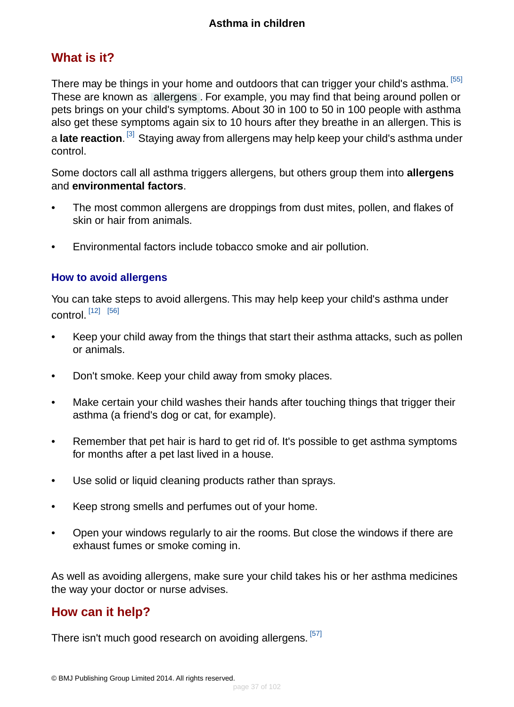### **What is it?**

There may be things in your home and outdoors that can trigger your child's asthma. [\[55\]](#page-97-0) These are known as [allergens](#page-94-0) . For example, you may find that being around pollen or pets brings on your child's symptoms. About 30 in 100 to 50 in 100 people with asthma also get these symptoms again six to 10 hours after they breathe in an allergen. This is a **late reaction**. <sup>[\[3\]](#page-94-1)</sup> Staying away from allergens may help keep your child's asthma under control.

Some doctors call all asthma triggers allergens, but others group them into **allergens** and **environmental factors**.

- The most common allergens are droppings from dust mites, pollen, and flakes of skin or hair from animals.
- Environmental factors include tobacco smoke and air pollution.

#### **How to avoid allergens**

You can take steps to avoid allergens. This may help keep your child's asthma under control. [\[12\]](#page-95-0) [\[56\]](#page-97-1)

- Keep your child away from the things that start their asthma attacks, such as pollen or animals.
- Don't smoke. Keep your child away from smoky places.
- Make certain your child washes their hands after touching things that trigger their asthma (a friend's dog or cat, for example).
- Remember that pet hair is hard to get rid of. It's possible to get asthma symptoms for months after a pet last lived in a house.
- Use solid or liquid cleaning products rather than sprays.
- Keep strong smells and perfumes out of your home.
- Open your windows regularly to air the rooms. But close the windows if there are exhaust fumes or smoke coming in.

As well as avoiding allergens, make sure your child takes his or her asthma medicines the way your doctor or nurse advises.

### **How can it help?**

There isn't much good research on avoiding allergens.  $^{\left[ 57\right] }$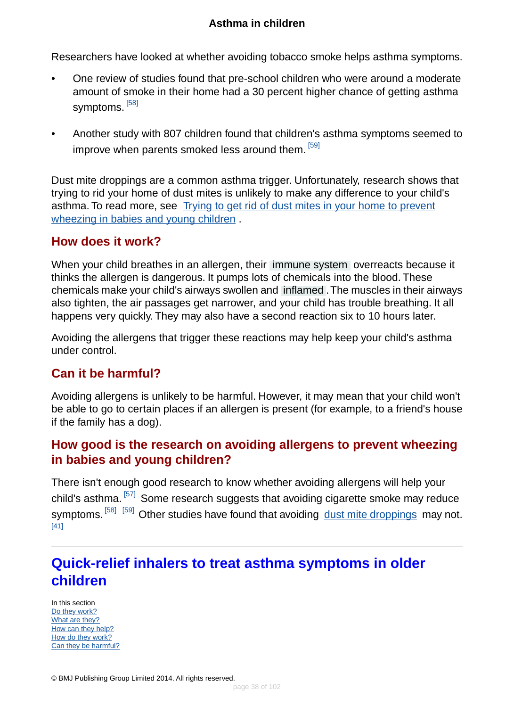Researchers have looked at whether avoiding tobacco smoke helps asthma symptoms.

- One review of studies found that pre-school children who were around a moderate amount of smoke in their home had a 30 percent higher chance of getting asthma symptoms. <sup>[\[58\]](#page-97-3)</sup>
- Another study with 807 children found that children's asthma symptoms seemed to improve when parents smoked less around them. [\[59\]](#page-97-4)

Dust mite droppings are a common asthma trigger. Unfortunately, research shows that trying to rid your home of dust mites is unlikely to make any difference to your child's asthma. To read more, see [Trying to get rid of dust mites in your home to prevent](#page-23-0) [wheezing in babies and young children](#page-23-0) .

#### **How does it work?**

When your child breathes in an allergen, their [immune system](#page-93-0) overreacts because it thinks the allergen is dangerous. It pumps lots of chemicals into the blood. These chemicals make your child's airways swollen and [inflamed](#page-93-1) .The muscles in their airways also tighten, the air passages get narrower, and your child has trouble breathing. It all happens very quickly. They may also have a second reaction six to 10 hours later.

Avoiding the allergens that trigger these reactions may help keep your child's asthma under control.

### **Can it be harmful?**

Avoiding allergens is unlikely to be harmful. However, it may mean that your child won't be able to go to certain places if an allergen is present (for example, to a friend's house if the family has a dog).

### **How good is the research on avoiding allergens to prevent wheezing in babies and young children?**

<span id="page-37-0"></span>There isn't enough good research to know whether avoiding allergens will help your child's asthma. [\[57\]](#page-97-2) Some research suggests that avoiding cigarette smoke may reduce symptoms. <sup>[\[58\]](#page-97-3) [\[59\]](#page-97-4)</sup> Other studies have found that avoiding [dust mite droppings](#page-23-0) may not. [\[41\]](#page-96-0)

# **Quick-relief inhalers to treat asthma symptoms in older children**

In this section [Do they work?](#page-38-0) [What are they?](#page-38-1) [How can they help?](#page-39-0) [How do they work?](#page-39-1) [Can they be harmful?](#page-39-2)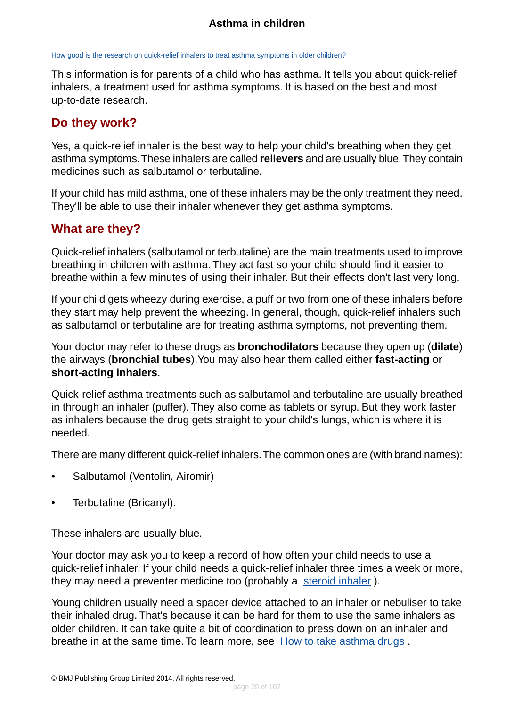[How good is the research on quick-relief inhalers to treat asthma symptoms in older children?](#page-39-3)

This information is for parents of a child who has asthma. It tells you about quick-relief inhalers, a treatment used for asthma symptoms. It is based on the best and most up-to-date research.

#### <span id="page-38-0"></span>**Do they work?**

Yes, a quick-relief inhaler is the best way to help your child's breathing when they get asthma symptoms.These inhalers are called **relievers** and are usually blue.They contain medicines such as salbutamol or terbutaline.

<span id="page-38-1"></span>If your child has mild asthma, one of these inhalers may be the only treatment they need. They'll be able to use their inhaler whenever they get asthma symptoms.

### **What are they?**

Quick-relief inhalers (salbutamol or terbutaline) are the main treatments used to improve breathing in children with asthma. They act fast so your child should find it easier to breathe within a few minutes of using their inhaler. But their effects don't last very long.

If your child gets wheezy during exercise, a puff or two from one of these inhalers before they start may help prevent the wheezing. In general, though, quick-relief inhalers such as salbutamol or terbutaline are for treating asthma symptoms, not preventing them.

Your doctor may refer to these drugs as **bronchodilators** because they open up (**dilate**) the airways (**bronchial tubes**).You may also hear them called either **fast-acting** or **short-acting inhalers**.

Quick-relief asthma treatments such as salbutamol and terbutaline are usually breathed in through an inhaler (puffer). They also come as tablets or syrup. But they work faster as inhalers because the drug gets straight to your child's lungs, which is where it is needed.

There are many different quick-relief inhalers.The common ones are (with brand names):

- Salbutamol (Ventolin, Airomir)
- Terbutaline (Bricanyl).

These inhalers are usually blue.

Your doctor may ask you to keep a record of how often your child needs to use a quick-relief inhaler. If your child needs a quick-relief inhaler three times a week or more, they may need a preventer medicine too (probably a [steroid inhaler](#page-40-0)).

Young children usually need a spacer device attached to an inhaler or nebuliser to take their inhaled drug. That's because it can be hard for them to use the same inhalers as older children. It can take quite a bit of coordination to press down on an inhaler and breathe in at the same time. To learn more, see [How to take asthma drugs](#page-86-0).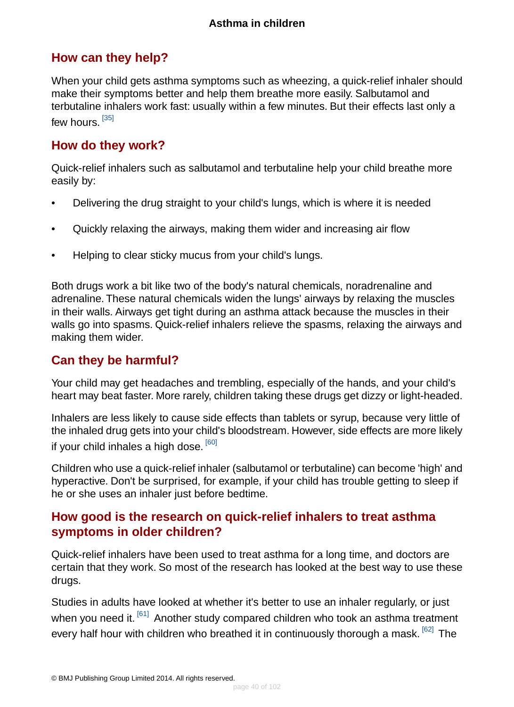### <span id="page-39-0"></span>**How can they help?**

When your child gets asthma symptoms such as wheezing, a quick-relief inhaler should make their symptoms better and help them breathe more easily. Salbutamol and terbutaline inhalers work fast: usually within a few minutes. But their effects last only a few hours. <sup>[\[35\]](#page-96-1)</sup>

#### <span id="page-39-1"></span>**How do they work?**

Quick-relief inhalers such as salbutamol and terbutaline help your child breathe more easily by:

- Delivering the drug straight to your child's lungs, which is where it is needed
- Quickly relaxing the airways, making them wider and increasing air flow
- Helping to clear sticky mucus from your child's lungs.

Both drugs work a bit like two of the body's natural chemicals, noradrenaline and adrenaline. These natural chemicals widen the lungs' airways by relaxing the muscles in their walls. Airways get tight during an asthma attack because the muscles in their walls go into spasms. Quick-relief inhalers relieve the spasms, relaxing the airways and making them wider.

#### <span id="page-39-2"></span>**Can they be harmful?**

Your child may get headaches and trembling, especially of the hands, and your child's heart may beat faster. More rarely, children taking these drugs get dizzy or light-headed.

Inhalers are less likely to cause side effects than tablets or syrup, because very little of the inhaled drug gets into your child's bloodstream. However, side effects are more likely if your child inhales a high dose. <sup>[\[60\]](#page-97-5)</sup>

<span id="page-39-3"></span>Children who use a quick-relief inhaler (salbutamol or terbutaline) can become 'high' and hyperactive. Don't be surprised, for example, if your child has trouble getting to sleep if he or she uses an inhaler just before bedtime.

### **How good is the research on quick-relief inhalers to treat asthma symptoms in older children?**

Quick-relief inhalers have been used to treat asthma for a long time, and doctors are certain that they work. So most of the research has looked at the best way to use these drugs.

Studies in adults have looked at whether it's better to use an inhaler regularly, or just when you need it. <sup>[\[61\]](#page-97-6)</sup> Another study compared children who took an asthma treatment every half hour with children who breathed it in continuously thorough a mask. <sup>[\[62\]](#page-97-7)</sup> The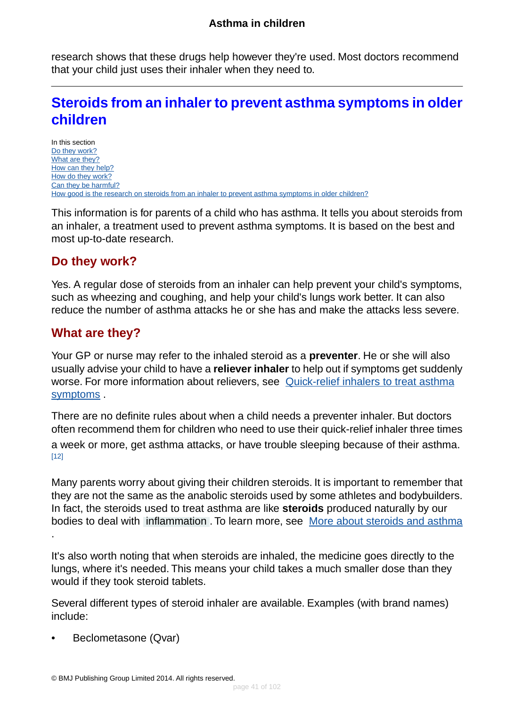research shows that these drugs help however they're used. Most doctors recommend that your child just uses their inhaler when they need to.

# <span id="page-40-0"></span>**Steroids from an inhaler to prevent asthma symptoms in older children**

In this section [Do they work?](#page-40-1) [What are they?](#page-40-2) [How can they help?](#page-41-0) [How do they work?](#page-42-0) [Can they be harmful?](#page-42-1) [How good is the research on steroids from an inhaler to prevent asthma symptoms in older children?](#page-43-0)

<span id="page-40-1"></span>This information is for parents of a child who has asthma. It tells you about steroids from an inhaler, a treatment used to prevent asthma symptoms. It is based on the best and most up-to-date research.

### **Do they work?**

<span id="page-40-2"></span>Yes. A regular dose of steroids from an inhaler can help prevent your child's symptoms, such as wheezing and coughing, and help your child's lungs work better. It can also reduce the number of asthma attacks he or she has and make the attacks less severe.

### **What are they?**

Your GP or nurse may refer to the inhaled steroid as a **preventer**. He or she will also usually advise your child to have a **reliever inhaler** to help out if symptoms get suddenly worse. For more information about relievers, see [Quick-relief inhalers to treat asthma](#page-37-0) [symptoms](#page-37-0) .

There are no definite rules about when a child needs a preventer inhaler. But doctors often recommend them for children who need to use their quick-relief inhaler three times a week or more, get asthma attacks, or have trouble sleeping because of their asthma. [\[12\]](#page-95-0)

Many parents worry about giving their children steroids. It is important to remember that they are not the same as the anabolic steroids used by some athletes and bodybuilders. In fact, the steroids used to treat asthma are like **steroids** produced naturally by our bodies to deal with [inflammation](#page-93-1) . To learn more, see [More about steroids and asthma](#page-89-0)

It's also worth noting that when steroids are inhaled, the medicine goes directly to the lungs, where it's needed. This means your child takes a much smaller dose than they would if they took steroid tablets.

Several different types of steroid inhaler are available. Examples (with brand names) include:

• Beclometasone (Qvar)

.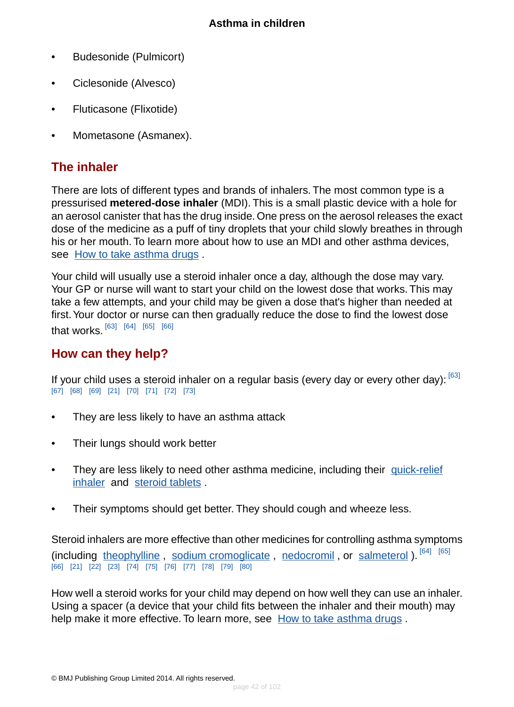- Budesonide (Pulmicort)
- Ciclesonide (Alvesco)
- Fluticasone (Flixotide)
- Mometasone (Asmanex).

## **The inhaler**

There are lots of different types and brands of inhalers. The most common type is a pressurised **metered-dose inhaler** (MDI). This is a small plastic device with a hole for an aerosol canister that has the drug inside. One press on the aerosol releases the exact dose of the medicine as a puff of tiny droplets that your child slowly breathes in through his or her mouth. To learn more about how to use an MDI and other asthma devices, see [How to take asthma drugs](#page-86-0) .

Your child will usually use a steroid inhaler once a day, although the dose may vary. Your GP or nurse will want to start your child on the lowest dose that works. This may take a few attempts, and your child may be given a dose that's higher than needed at first.Your doctor or nurse can then gradually reduce the dose to find the lowest dose that works. [\[63\]](#page-97-8) [\[64\]](#page-97-9) [\[65\]](#page-97-10) [\[66\]](#page-97-11)

### <span id="page-41-0"></span>**How can they help?**

If your child uses a steroid inhaler on a regular basis (every day or every other day):  $[63]$ [\[67\]](#page-97-12) [\[68\]](#page-97-13) [\[69\]](#page-97-14) [\[21\]](#page-95-1) [\[70\]](#page-97-15) [\[71\]](#page-97-16) [\[72\]](#page-97-17) [\[73\]](#page-98-0)

- They are less likely to have an asthma attack
- Their lungs should work better
- They are less likely to need other asthma medicine, including their [quick-relief](#page-37-0) [inhaler](#page-37-0) and [steroid tablets](#page-46-0) .
- Their symptoms should get better. They should cough and wheeze less.

Steroid inhalers are more effective than other medicines for controlling asthma symptoms (including [theophylline](#page-58-0), [sodium cromoglicate](#page-60-0), [nedocromil](#page-55-0), or [salmeterol](#page-66-0)). [\[64\]](#page-97-9) [\[65\]](#page-97-10) [\[66\]](#page-97-11) [\[21\]](#page-95-1) [\[22\]](#page-95-2) [\[23\]](#page-95-3) [\[74\]](#page-98-1) [\[75\]](#page-98-2) [\[76\]](#page-98-3) [\[77\]](#page-98-4) [\[78\]](#page-98-5) [\[79\]](#page-98-6) [\[80\]](#page-98-7)

How well a steroid works for your child may depend on how well they can use an inhaler. Using a spacer (a device that your child fits between the inhaler and their mouth) may help make it more effective. To learn more, see [How to take asthma drugs](#page-86-0) .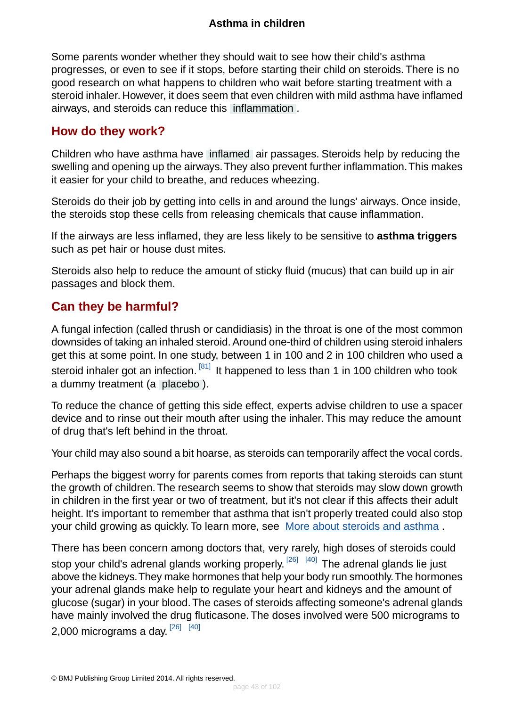Some parents wonder whether they should wait to see how their child's asthma progresses, or even to see if it stops, before starting their child on steroids. There is no good research on what happens to children who wait before starting treatment with a steroid inhaler. However, it does seem that even children with mild asthma have inflamed airways, and steroids can reduce this [inflammation](#page-93-1) .

### <span id="page-42-0"></span>**How do they work?**

Children who have asthma have [inflamed](#page-93-1) air passages. Steroids help by reducing the swelling and opening up the airways.They also prevent further inflammation.This makes it easier for your child to breathe, and reduces wheezing.

Steroids do their job by getting into cells in and around the lungs' airways. Once inside, the steroids stop these cells from releasing chemicals that cause inflammation.

If the airways are less inflamed, they are less likely to be sensitive to **asthma triggers** such as pet hair or house dust mites.

<span id="page-42-1"></span>Steroids also help to reduce the amount of sticky fluid (mucus) that can build up in air passages and block them.

## **Can they be harmful?**

A fungal infection (called thrush or candidiasis) in the throat is one of the most common downsides of taking an inhaled steroid. Around one-third of children using steroid inhalers get this at some point. In one study, between 1 in 100 and 2 in 100 children who used a steroid inhaler got an infection.  $[81]$  It happened to less than 1 in 100 children who took a dummy treatment (a [placebo](#page-93-2) ).

To reduce the chance of getting this side effect, experts advise children to use a spacer device and to rinse out their mouth after using the inhaler. This may reduce the amount of drug that's left behind in the throat.

Your child may also sound a bit hoarse, as steroids can temporarily affect the vocal cords.

Perhaps the biggest worry for parents comes from reports that taking steroids can stunt the growth of children.The research seems to show that steroids may slow down growth in children in the first year or two of treatment, but it's not clear if this affects their adult height. It's important to remember that asthma that isn't properly treated could also stop your child growing as quickly. To learn more, see [More about steroids and asthma](#page-89-0) .

There has been concern among doctors that, very rarely, high doses of steroids could stop your child's adrenal glands working properly. <sup>[\[26\]](#page-95-4) [\[40\]](#page-96-2)</sup> The adrenal glands lie just above the kidneys.They make hormones that help your body run smoothly.The hormones your adrenal glands make help to regulate your heart and kidneys and the amount of glucose (sugar) in your blood.The cases of steroids affecting someone's adrenal glands have mainly involved the drug fluticasone. The doses involved were 500 micrograms to 2,000 micrograms a day.  $^{[26]}$  $^{[26]}$  $^{[26]}$   $^{\,[40]}$  $^{\,[40]}$  $^{\,[40]}$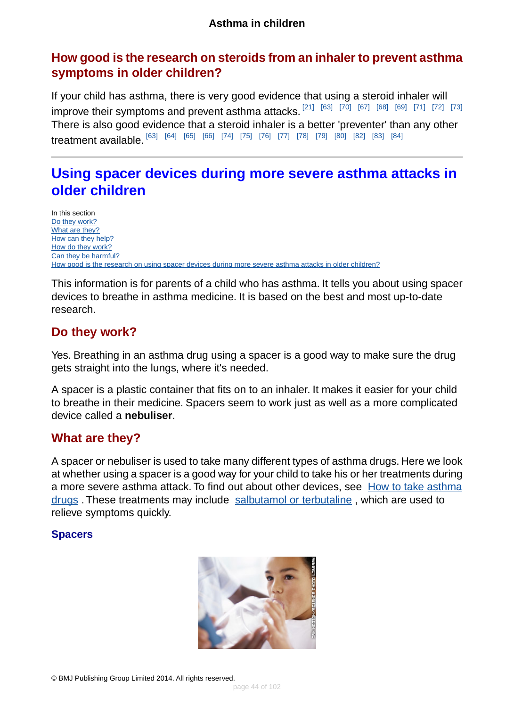### <span id="page-43-0"></span>**How good is the research on steroids from an inhaler to prevent asthma symptoms in older children?**

If your child has asthma, there is very good evidence that using a steroid inhaler will improve their symptoms and prevent asthma attacks.  $^{[21]}$  $^{[21]}$  $^{[21]}$   $^{[63]}$  $^{[63]}$  $^{[63]}$   $^{[70]}$  $^{[70]}$  $^{[70]}$   $^{[67]}$  $^{[67]}$  $^{[67]}$   $^{[68]}$  $^{[68]}$  $^{[68]}$   $^{[69]}$  $^{[69]}$  $^{[69]}$   $^{[71]}$  $^{[71]}$  $^{[71]}$   $^{[72]}$  $^{[72]}$  $^{[72]}$   $^{[73]}$  $^{[73]}$  $^{[73]}$ There is also good evidence that a steroid inhaler is a better 'preventer' than any other treatment available. [\[63\]](#page-97-8) [\[64\]](#page-97-9) [\[65\]](#page-97-10) [\[66\]](#page-97-11) [\[74\]](#page-98-1) [\[75\]](#page-98-2) [\[76\]](#page-98-3) [\[77\]](#page-98-4) [\[78\]](#page-98-5) [\[79\]](#page-98-6) [\[80\]](#page-98-7) [\[82\]](#page-98-9) [\[83\]](#page-98-10) [\[84\]](#page-98-11)

# **Using spacer devices during more severe asthma attacks in older children**

In this section [Do they work?](#page-43-1) [What are they?](#page-43-2) [How can they help?](#page-44-0) [How do they work?](#page-44-1) [Can they be harmful?](#page-45-0) [How good is the research on using spacer devices during more severe asthma attacks in older children?](#page-45-1)

<span id="page-43-1"></span>This information is for parents of a child who has asthma. It tells you about using spacer devices to breathe in asthma medicine. It is based on the best and most up-to-date research.

### **Do they work?**

Yes. Breathing in an asthma drug using a spacer is a good way to make sure the drug gets straight into the lungs, where it's needed.

<span id="page-43-2"></span>A spacer is a plastic container that fits on to an inhaler. It makes it easier for your child to breathe in their medicine. Spacers seem to work just as well as a more complicated device called a **nebuliser**.

### **What are they?**

A spacer or nebuliser is used to take many different types of asthma drugs. Here we look at whether using a spacer is a good way for your child to take his or her treatments during a more severe asthma attack. To find out about other devices, see [How to take asthma](#page-86-0) [drugs](#page-86-0). These treatments may include [salbutamol or terbutaline](#page-37-0), which are used to relieve symptoms quickly.

#### **Spacers**

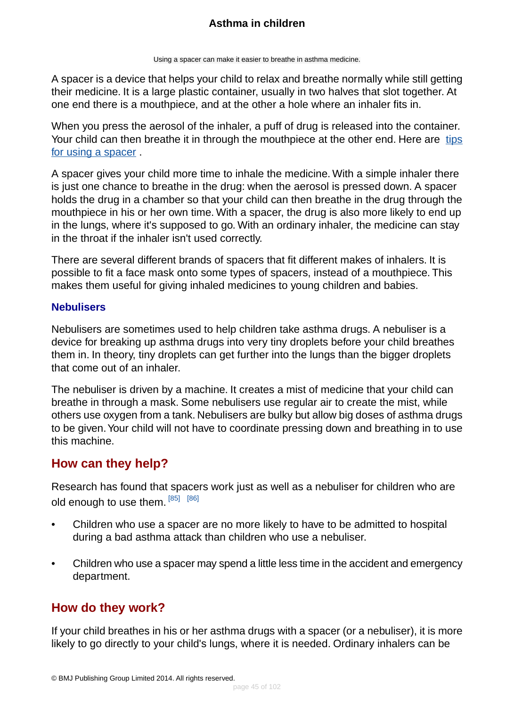Using a spacer can make it easier to breathe in asthma medicine.

A spacer is a device that helps your child to relax and breathe normally while still getting their medicine. It is a large plastic container, usually in two halves that slot together. At one end there is a mouthpiece, and at the other a hole where an inhaler fits in.

When you press the aerosol of the inhaler, a puff of drug is released into the container. Your child can then breathe it in through the mouthpiece at the other end. Here are [tips](#page-92-0) [for using a spacer](#page-92-0) .

A spacer gives your child more time to inhale the medicine. With a simple inhaler there is just one chance to breathe in the drug: when the aerosol is pressed down. A spacer holds the drug in a chamber so that your child can then breathe in the drug through the mouthpiece in his or her own time. With a spacer, the drug is also more likely to end up in the lungs, where it's supposed to go. With an ordinary inhaler, the medicine can stay in the throat if the inhaler isn't used correctly.

There are several different brands of spacers that fit different makes of inhalers. It is possible to fit a face mask onto some types of spacers, instead of a mouthpiece. This makes them useful for giving inhaled medicines to young children and babies.

#### **Nebulisers**

Nebulisers are sometimes used to help children take asthma drugs. A nebuliser is a device for breaking up asthma drugs into very tiny droplets before your child breathes them in. In theory, tiny droplets can get further into the lungs than the bigger droplets that come out of an inhaler.

<span id="page-44-0"></span>The nebuliser is driven by a machine. It creates a mist of medicine that your child can breathe in through a mask. Some nebulisers use regular air to create the mist, while others use oxygen from a tank. Nebulisers are bulky but allow big doses of asthma drugs to be given.Your child will not have to coordinate pressing down and breathing in to use this machine.

## **How can they help?**

Research has found that spacers work just as well as a nebuliser for children who are old enough to use them. [\[85\]](#page-98-12) [\[86\]](#page-98-13)

- Children who use a spacer are no more likely to have to be admitted to hospital during a bad asthma attack than children who use a nebuliser.
- <span id="page-44-1"></span>• Children who use a spacer may spend a little less time in the accident and emergency department.

## **How do they work?**

If your child breathes in his or her asthma drugs with a spacer (or a nebuliser), it is more likely to go directly to your child's lungs, where it is needed. Ordinary inhalers can be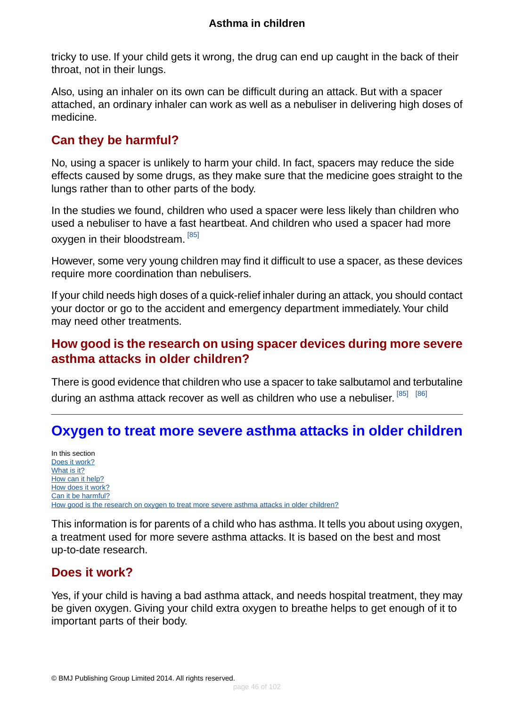tricky to use. If your child gets it wrong, the drug can end up caught in the back of their throat, not in their lungs.

Also, using an inhaler on its own can be difficult during an attack. But with a spacer attached, an ordinary inhaler can work as well as a nebuliser in delivering high doses of medicine.

### <span id="page-45-0"></span>**Can they be harmful?**

No, using a spacer is unlikely to harm your child. In fact, spacers may reduce the side effects caused by some drugs, as they make sure that the medicine goes straight to the lungs rather than to other parts of the body.

In the studies we found, children who used a spacer were less likely than children who used a nebuliser to have a fast heartbeat. And children who used a spacer had more oxygen in their bloodstream. [\[85\]](#page-98-12)

However, some very young children may find it difficult to use a spacer, as these devices require more coordination than nebulisers.

<span id="page-45-1"></span>If your child needs high doses of a quick-relief inhaler during an attack, you should contact your doctor or go to the accident and emergency department immediately.Your child may need other treatments.

### **How good is the research on using spacer devices during more severe asthma attacks in older children?**

<span id="page-45-3"></span>There is good evidence that children who use a spacer to take salbutamol and terbutaline during an asthma attack recover as well as children who use a nebuliser. <sup>[\[85\]](#page-98-12) [\[86\]](#page-98-13)</sup>

# **Oxygen to treat more severe asthma attacks in older children**

In this section [Does it work?](#page-45-2) [What is it?](#page-46-1) [How can it help?](#page-46-2) [How does it work?](#page-46-3) [Can it be harmful?](#page-46-4) [How good is the research on oxygen to treat more severe asthma attacks in older children?](#page-46-5)

<span id="page-45-2"></span>This information is for parents of a child who has asthma. It tells you about using oxygen, a treatment used for more severe asthma attacks. It is based on the best and most up-to-date research.

## **Does it work?**

Yes, if your child is having a bad asthma attack, and needs hospital treatment, they may be given oxygen. Giving your child extra oxygen to breathe helps to get enough of it to important parts of their body.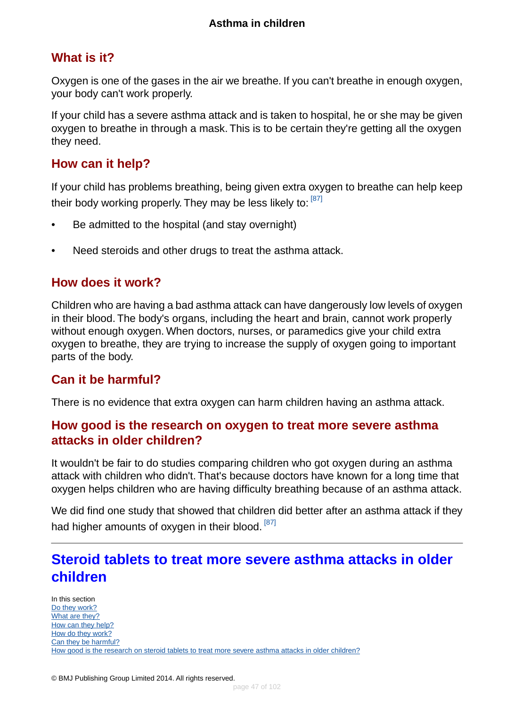### <span id="page-46-1"></span>**What is it?**

Oxygen is one of the gases in the air we breathe. If you can't breathe in enough oxygen, your body can't work properly.

If your child has a severe asthma attack and is taken to hospital, he or she may be given oxygen to breathe in through a mask. This is to be certain they're getting all the oxygen they need.

#### <span id="page-46-2"></span>**How can it help?**

If your child has problems breathing, being given extra oxygen to breathe can help keep their body working properly. They may be less likely to: [\[87\]](#page-98-14)

- Be admitted to the hospital (and stay overnight)
- <span id="page-46-3"></span>• Need steroids and other drugs to treat the asthma attack.

#### **How does it work?**

<span id="page-46-4"></span>Children who are having a bad asthma attack can have dangerously low levels of oxygen in their blood. The body's organs, including the heart and brain, cannot work properly without enough oxygen. When doctors, nurses, or paramedics give your child extra oxygen to breathe, they are trying to increase the supply of oxygen going to important parts of the body.

### <span id="page-46-5"></span>**Can it be harmful?**

There is no evidence that extra oxygen can harm children having an asthma attack.

#### **How good is the research on oxygen to treat more severe asthma attacks in older children?**

It wouldn't be fair to do studies comparing children who got oxygen during an asthma attack with children who didn't. That's because doctors have known for a long time that oxygen helps children who are having difficulty breathing because of an asthma attack.

<span id="page-46-0"></span>We did find one study that showed that children did better after an asthma attack if they had higher amounts of oxygen in their blood.<sup>[\[87\]](#page-98-14)</sup>

# **Steroid tablets to treat more severe asthma attacks in older children**

In this section [Do they work?](#page-47-0) [What are they?](#page-47-1) [How can they help?](#page-48-0) [How do they work?](#page-48-1) [Can they be harmful?](#page-48-2) [How good is the research on steroid tablets to treat more severe asthma attacks in older children?](#page-48-3)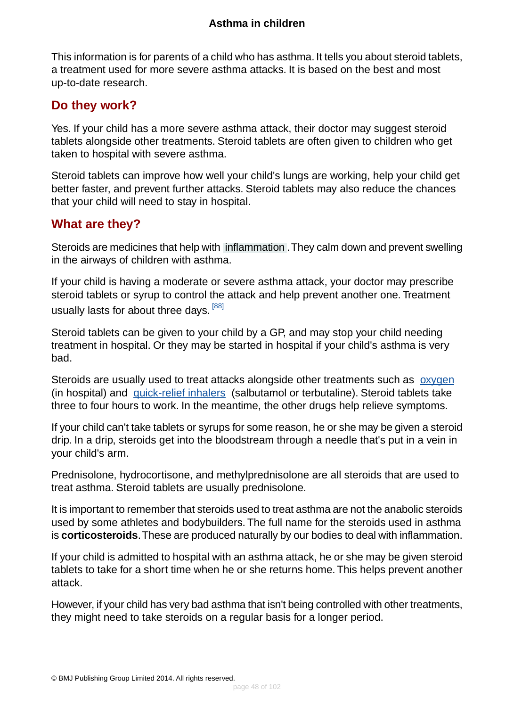This information is for parents of a child who has asthma. It tells you about steroid tablets, a treatment used for more severe asthma attacks. It is based on the best and most up-to-date research.

### <span id="page-47-0"></span>**Do they work?**

Yes. If your child has a more severe asthma attack, their doctor may suggest steroid tablets alongside other treatments. Steroid tablets are often given to children who get taken to hospital with severe asthma.

Steroid tablets can improve how well your child's lungs are working, help your child get better faster, and prevent further attacks. Steroid tablets may also reduce the chances that your child will need to stay in hospital.

### <span id="page-47-1"></span>**What are they?**

Steroids are medicines that help with [inflammation](#page-93-1) .They calm down and prevent swelling in the airways of children with asthma.

If your child is having a moderate or severe asthma attack, your doctor may prescribe steroid tablets or syrup to control the attack and help prevent another one. Treatment usually lasts for about three days. <sup>[\[88\]](#page-98-15)</sup>

Steroid tablets can be given to your child by a GP, and may stop your child needing treatment in hospital. Or they may be started in hospital if your child's asthma is very bad.

Steroids are usually used to treat attacks alongside other treatments such as [oxygen](#page-45-3) (in hospital) and [quick-relief inhalers](#page-37-0) (salbutamol or terbutaline). Steroid tablets take three to four hours to work. In the meantime, the other drugs help relieve symptoms.

If your child can't take tablets or syrups for some reason, he or she may be given a steroid drip. In a drip, steroids get into the bloodstream through a needle that's put in a vein in your child's arm.

Prednisolone, hydrocortisone, and methylprednisolone are all steroids that are used to treat asthma. Steroid tablets are usually prednisolone.

It is important to remember that steroids used to treat asthma are not the anabolic steroids used by some athletes and bodybuilders. The full name for the steroids used in asthma is **corticosteroids**.These are produced naturally by our bodies to deal with inflammation.

If your child is admitted to hospital with an asthma attack, he or she may be given steroid tablets to take for a short time when he or she returns home.This helps prevent another attack.

However, if your child has very bad asthma that isn't being controlled with other treatments, they might need to take steroids on a regular basis for a longer period.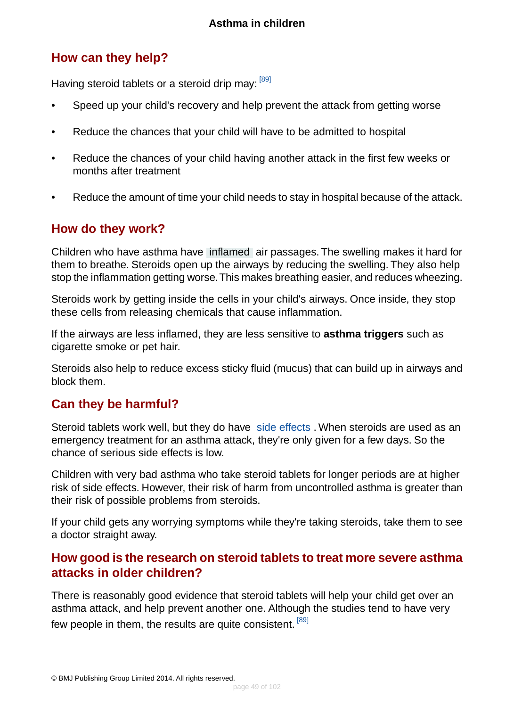## <span id="page-48-0"></span>**How can they help?**

Having steroid tablets or a steroid drip may: [\[89\]](#page-98-16)

- Speed up your child's recovery and help prevent the attack from getting worse
- Reduce the chances that your child will have to be admitted to hospital
- Reduce the chances of your child having another attack in the first few weeks or months after treatment
- <span id="page-48-1"></span>• Reduce the amount of time your child needs to stay in hospital because of the attack.

### **How do they work?**

Children who have asthma have [inflamed](#page-93-1) air passages. The swelling makes it hard for them to breathe. Steroids open up the airways by reducing the swelling. They also help stop the inflammation getting worse.This makes breathing easier, and reduces wheezing.

Steroids work by getting inside the cells in your child's airways. Once inside, they stop these cells from releasing chemicals that cause inflammation.

If the airways are less inflamed, they are less sensitive to **asthma triggers** such as cigarette smoke or pet hair.

<span id="page-48-2"></span>Steroids also help to reduce excess sticky fluid (mucus) that can build up in airways and block them.

### **Can they be harmful?**

Steroid tablets work well, but they do have [side effects](#page-89-0). When steroids are used as an emergency treatment for an asthma attack, they're only given for a few days. So the chance of serious side effects is low.

Children with very bad asthma who take steroid tablets for longer periods are at higher risk of side effects. However, their risk of harm from uncontrolled asthma is greater than their risk of possible problems from steroids.

<span id="page-48-3"></span>If your child gets any worrying symptoms while they're taking steroids, take them to see a doctor straight away.

### **How good is the research on steroid tablets to treat more severe asthma attacks in older children?**

There is reasonably good evidence that steroid tablets will help your child get over an asthma attack, and help prevent another one. Although the studies tend to have very few people in them, the results are quite consistent. [\[89\]](#page-98-16)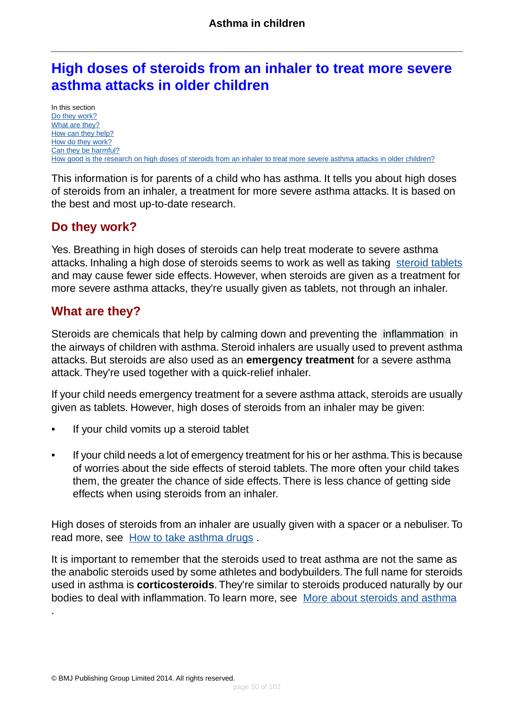# <span id="page-49-2"></span>**High doses of steroids from an inhaler to treat more severe asthma attacks in older children**

In this section [Do they work?](#page-49-0) [What are they?](#page-49-1) [How can they help?](#page-50-0) [How do they work?](#page-50-1) [Can they be harmful?](#page-50-2) [How good is the research on high doses of steroids from an inhaler to treat more severe asthma attacks in older children?](#page-50-3)

This information is for parents of a child who has asthma. It tells you about high doses of steroids from an inhaler, a treatment for more severe asthma attacks. It is based on the best and most up-to-date research.

### <span id="page-49-0"></span>**Do they work?**

<span id="page-49-1"></span>Yes. Breathing in high doses of steroids can help treat moderate to severe asthma attacks. Inhaling a high dose of steroids seems to work as well as taking [steroid tablets](#page-46-0) and may cause fewer side effects. However, when steroids are given as a treatment for more severe asthma attacks, they're usually given as tablets, not through an inhaler.

### **What are they?**

.

Steroids are chemicals that help by calming down and preventing the [inflammation](#page-93-1) in the airways of children with asthma. Steroid inhalers are usually used to prevent asthma attacks. But steroids are also used as an **emergency treatment** for a severe asthma attack. They're used together with a quick-relief inhaler.

If your child needs emergency treatment for a severe asthma attack, steroids are usually given as tablets. However, high doses of steroids from an inhaler may be given:

- If your child vomits up a steroid tablet
- If your child needs a lot of emergency treatment for his or her asthma.This is because of worries about the side effects of steroid tablets. The more often your child takes them, the greater the chance of side effects. There is less chance of getting side effects when using steroids from an inhaler.

High doses of steroids from an inhaler are usually given with a spacer or a nebuliser. To read more, see [How to take asthma drugs](#page-86-0).

It is important to remember that the steroids used to treat asthma are not the same as the anabolic steroids used by some athletes and bodybuilders.The full name for steroids used in asthma is **corticosteroids**.They're similar to steroids produced naturally by our bodies to deal with inflammation. To learn more, see [More about steroids and asthma](#page-89-0)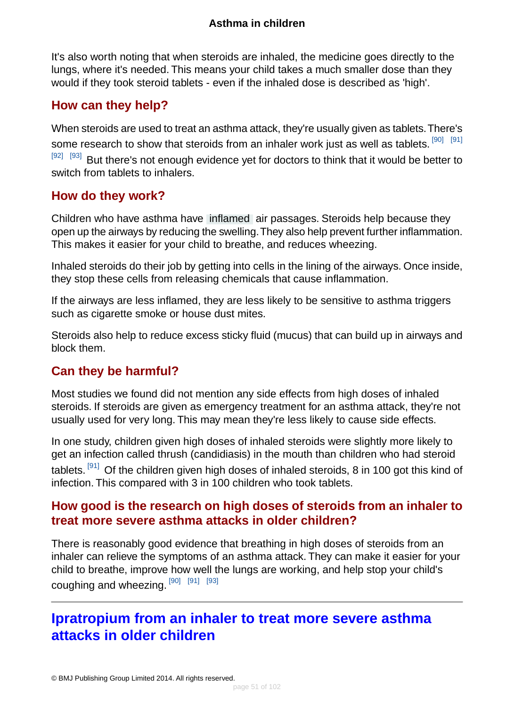It's also worth noting that when steroids are inhaled, the medicine goes directly to the lungs, where it's needed. This means your child takes a much smaller dose than they would if they took steroid tablets - even if the inhaled dose is described as 'high'.

### <span id="page-50-0"></span>**How can they help?**

When steroids are used to treat an asthma attack, they're usually given as tablets.There's some research to show that steroids from an inhaler work just as well as tablets.  $^{[90]}$  $^{[90]}$  $^{[90]}$   $^{[91]}$  $^{[91]}$  $^{[91]}$  $[92]$   $[93]$  But there's not enough evidence yet for doctors to think that it would be better to switch from tablets to inhalers.

### <span id="page-50-1"></span>**How do they work?**

Children who have asthma have [inflamed](#page-93-1) air passages. Steroids help because they open up the airways by reducing the swelling.They also help prevent further inflammation. This makes it easier for your child to breathe, and reduces wheezing.

Inhaled steroids do their job by getting into cells in the lining of the airways. Once inside, they stop these cells from releasing chemicals that cause inflammation.

If the airways are less inflamed, they are less likely to be sensitive to asthma triggers such as cigarette smoke or house dust mites.

<span id="page-50-2"></span>Steroids also help to reduce excess sticky fluid (mucus) that can build up in airways and block them.

### **Can they be harmful?**

Most studies we found did not mention any side effects from high doses of inhaled steroids. If steroids are given as emergency treatment for an asthma attack, they're not usually used for very long. This may mean they're less likely to cause side effects.

<span id="page-50-3"></span>In one study, children given high doses of inhaled steroids were slightly more likely to get an infection called thrush (candidiasis) in the mouth than children who had steroid tablets. <sup>[\[91\]](#page-98-18)</sup> Of the children given high doses of inhaled steroids, 8 in 100 got this kind of infection. This compared with 3 in 100 children who took tablets.

### **How good is the research on high doses of steroids from an inhaler to treat more severe asthma attacks in older children?**

There is reasonably good evidence that breathing in high doses of steroids from an inhaler can relieve the symptoms of an asthma attack. They can make it easier for your child to breathe, improve how well the lungs are working, and help stop your child's coughing and wheezing. [\[90\]](#page-98-17) [\[91\]](#page-98-18) [\[93\]](#page-99-0)

# **Ipratropium from an inhaler to treat more severe asthma attacks in older children**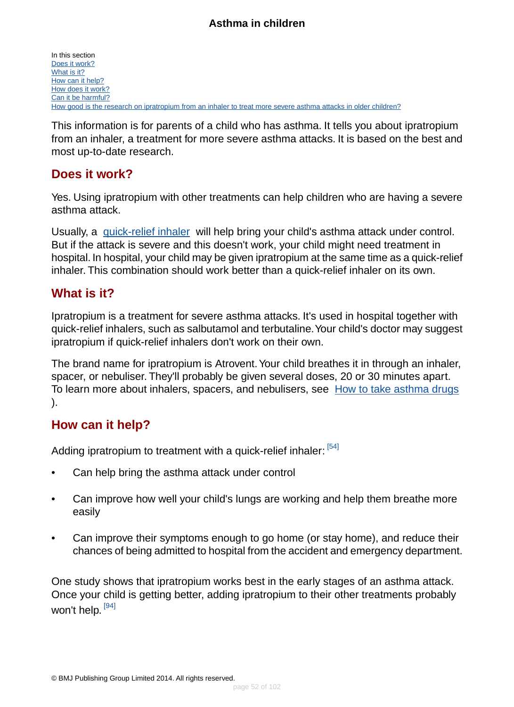In this section [Does it work?](#page-51-0) [What is it?](#page-51-1) [How can it help?](#page-51-2) [How does it work?](#page-52-0) [Can it be harmful?](#page-52-1) [How good is the research on ipratropium from an inhaler to treat more severe asthma attacks in older children?](#page-52-2)

This information is for parents of a child who has asthma. It tells you about ipratropium from an inhaler, a treatment for more severe asthma attacks. It is based on the best and most up-to-date research.

### <span id="page-51-0"></span>**Does it work?**

Yes. Using ipratropium with other treatments can help children who are having a severe asthma attack.

Usually, a [quick-relief inhaler](#page-37-0) will help bring your child's asthma attack under control. But if the attack is severe and this doesn't work, your child might need treatment in hospital. In hospital, your child may be given ipratropium at the same time as a quick-relief inhaler. This combination should work better than a quick-relief inhaler on its own.

### <span id="page-51-1"></span>**What is it?**

Ipratropium is a treatment for severe asthma attacks. It's used in hospital together with quick-relief inhalers, such as salbutamol and terbutaline.Your child's doctor may suggest ipratropium if quick-relief inhalers don't work on their own.

<span id="page-51-2"></span>The brand name for ipratropium is Atrovent.Your child breathes it in through an inhaler, spacer, or nebuliser. They'll probably be given several doses, 20 or 30 minutes apart. To learn more about inhalers, spacers, and nebulisers, see [How to take asthma drugs](#page-86-0) ).

### **How can it help?**

Adding ipratropium to treatment with a quick-relief inhaler: <sup>[\[54\]](#page-97-18)</sup>

- Can help bring the asthma attack under control
- Can improve how well your child's lungs are working and help them breathe more easily
- Can improve their symptoms enough to go home (or stay home), and reduce their chances of being admitted to hospital from the accident and emergency department.

One study shows that ipratropium works best in the early stages of an asthma attack. Once your child is getting better, adding ipratropium to their other treatments probably won't help. <sup>[\[94\]](#page-99-1)</sup>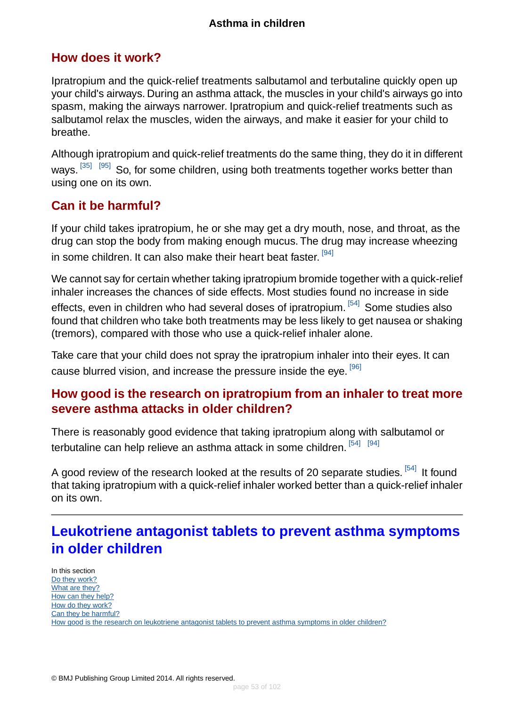### <span id="page-52-0"></span>**How does it work?**

Ipratropium and the quick-relief treatments salbutamol and terbutaline quickly open up your child's airways. During an asthma attack, the muscles in your child's airways go into spasm, making the airways narrower. Ipratropium and quick-relief treatments such as salbutamol relax the muscles, widen the airways, and make it easier for your child to breathe.

Although ipratropium and quick-relief treatments do the same thing, they do it in different ways.<sup>[\[35\]](#page-96-1) [\[95\]](#page-99-2)</sup> So, for some children, using both treatments together works better than using one on its own.

### <span id="page-52-1"></span>**Can it be harmful?**

If your child takes ipratropium, he or she may get a dry mouth, nose, and throat, as the drug can stop the body from making enough mucus. The drug may increase wheezing in some children. It can also make their heart beat faster. <sup>[\[94\]](#page-99-1)</sup>

We cannot say for certain whether taking ipratropium bromide together with a quick-relief inhaler increases the chances of side effects. Most studies found no increase in side effects, even in children who had several doses of ipratropium. <sup>[\[54\]](#page-97-18)</sup> Some studies also found that children who take both treatments may be less likely to get nausea or shaking (tremors), compared with those who use a quick-relief inhaler alone.

<span id="page-52-2"></span>Take care that your child does not spray the ipratropium inhaler into their eyes. It can cause blurred vision, and increase the pressure inside the eye. <sup>[\[96\]](#page-99-3)</sup>

### **How good is the research on ipratropium from an inhaler to treat more severe asthma attacks in older children?**

There is reasonably good evidence that taking ipratropium along with salbutamol or terbutaline can help relieve an asthma attack in some children. [\[54\]](#page-97-18) [\[94\]](#page-99-1)

A good review of the research looked at the results of 20 separate studies. <sup>[\[54\]](#page-97-18)</sup> It found that taking ipratropium with a quick-relief inhaler worked better than a quick-relief inhaler on its own.

# **Leukotriene antagonist tablets to prevent asthma symptoms in older children**

In this section [Do they work?](#page-53-0) [What are they?](#page-53-1) [How can they help?](#page-53-2) [How do they work?](#page-54-0) [Can they be harmful?](#page-54-1) [How good is the research on leukotriene antagonist tablets to prevent asthma symptoms in older children?](#page-54-2)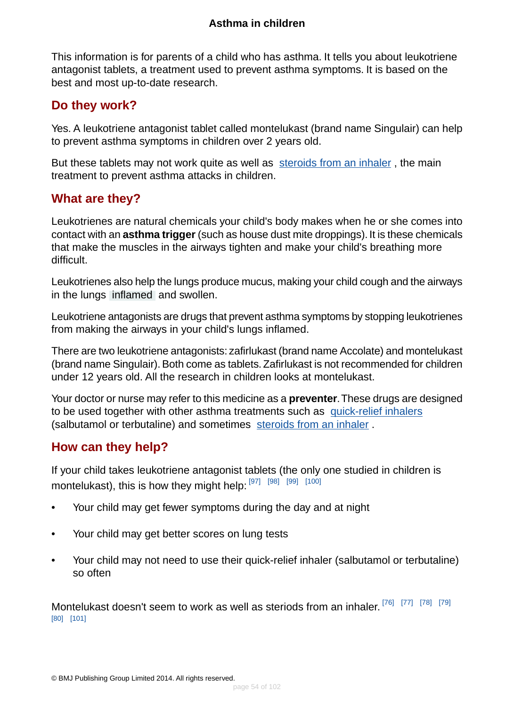This information is for parents of a child who has asthma. It tells you about leukotriene antagonist tablets, a treatment used to prevent asthma symptoms. It is based on the best and most up-to-date research.

### <span id="page-53-0"></span>**Do they work?**

Yes. A leukotriene antagonist tablet called montelukast (brand name Singulair) can help to prevent asthma symptoms in children over 2 years old.

<span id="page-53-1"></span>But these tablets may not work quite as well as [steroids from an inhaler](#page-40-0) , the main treatment to prevent asthma attacks in children.

### **What are they?**

Leukotrienes are natural chemicals your child's body makes when he or she comes into contact with an **asthma trigger** (such as house dust mite droppings). It is these chemicals that make the muscles in the airways tighten and make your child's breathing more difficult.

Leukotrienes also help the lungs produce mucus, making your child cough and the airways in the lungs [inflamed](#page-93-1) and swollen.

Leukotriene antagonists are drugs that prevent asthma symptoms by stopping leukotrienes from making the airways in your child's lungs inflamed.

There are two leukotriene antagonists: zafirlukast (brand name Accolate) and montelukast (brand name Singulair). Both come as tablets. Zafirlukast is not recommended for children under 12 years old. All the research in children looks at montelukast.

<span id="page-53-2"></span>Your doctor or nurse may refer to this medicine as a **preventer**.These drugs are designed to be used together with other asthma treatments such as [quick-relief inhalers](#page-37-0) (salbutamol or terbutaline) and sometimes [steroids from an inhaler](#page-40-0) .

### **How can they help?**

If your child takes leukotriene antagonist tablets (the only one studied in children is montelukast), this is how they might help: [\[97\]](#page-99-4) [\[98\]](#page-99-5) [\[99\]](#page-99-6) [\[100\]](#page-99-7)

- Your child may get fewer symptoms during the day and at night
- Your child may get better scores on lung tests
- Your child may not need to use their quick-relief inhaler (salbutamol or terbutaline) so often

Montelukast doesn't seem to work as well as steriods from an inhaler.<sup>[\[76\]](#page-98-3) [\[77\]](#page-98-4)</sup> [\[78\]](#page-98-5) [\[79\]](#page-98-6) [\[80\]](#page-98-7) [\[101\]](#page-99-8)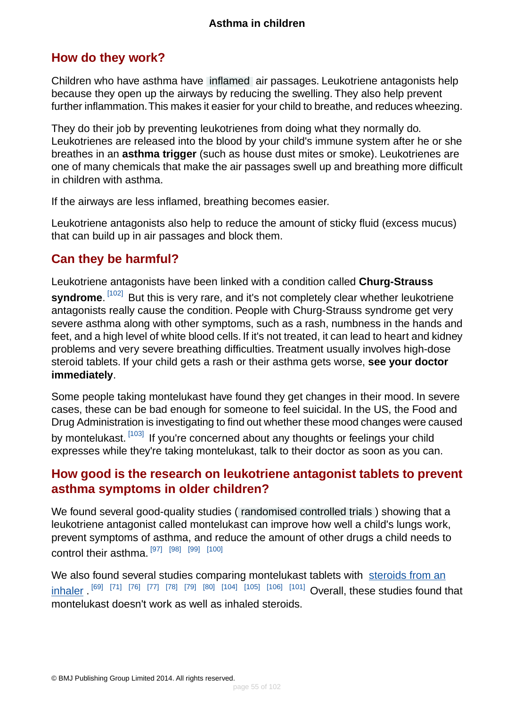### <span id="page-54-0"></span>**How do they work?**

Children who have asthma have [inflamed](#page-93-1) air passages. Leukotriene antagonists help because they open up the airways by reducing the swelling. They also help prevent further inflammation.This makes it easier for your child to breathe, and reduces wheezing.

They do their job by preventing leukotrienes from doing what they normally do. Leukotrienes are released into the blood by your child's immune system after he or she breathes in an **asthma trigger** (such as house dust mites or smoke). Leukotrienes are one of many chemicals that make the air passages swell up and breathing more difficult in children with asthma.

If the airways are less inflamed, breathing becomes easier.

<span id="page-54-1"></span>Leukotriene antagonists also help to reduce the amount of sticky fluid (excess mucus) that can build up in air passages and block them.

### **Can they be harmful?**

Leukotriene antagonists have been linked with a condition called **Churg-Strauss syndrome**. [\[102\]](#page-99-9) But this is very rare, and it's not completely clear whether leukotriene antagonists really cause the condition. People with Churg-Strauss syndrome get very severe asthma along with other symptoms, such as a rash, numbness in the hands and feet, and a high level of white blood cells. If it's not treated, it can lead to heart and kidney problems and very severe breathing difficulties. Treatment usually involves high-dose steroid tablets. If your child gets a rash or their asthma gets worse, **see your doctor immediately**.

<span id="page-54-2"></span>Some people taking montelukast have found they get changes in their mood. In severe cases, these can be bad enough for someone to feel suicidal. In the US, the Food and Drug Administration is investigating to find out whether these mood changes were caused by montelukast. [\[103\]](#page-99-10) If you're concerned about any thoughts or feelings your child expresses while they're taking montelukast, talk to their doctor as soon as you can.

### **How good is the research on leukotriene antagonist tablets to prevent asthma symptoms in older children?**

We found several good-quality studies ( [randomised controlled trials](#page-94-2) ) showing that a leukotriene antagonist called montelukast can improve how well a child's lungs work, prevent symptoms of asthma, and reduce the amount of other drugs a child needs to control their asthma. [\[97\]](#page-99-4) [\[98\]](#page-99-5) [\[99\]](#page-99-6) [\[100\]](#page-99-7)

We also found several studies comparing montelukast tablets with [steroids from an](#page-40-0) [inhaler](#page-40-0) . [\[69\]](#page-97-14) [\[71\]](#page-97-16) [\[76\]](#page-98-3) [\[77\]](#page-98-4) [\[78\]](#page-98-5) [\[79\]](#page-98-6) [\[80\]](#page-98-7) [\[104\]](#page-99-11) [\[105\]](#page-99-12) [\[106\]](#page-99-13) [\[101\]](#page-99-8) Overall, these studies found that montelukast doesn't work as well as inhaled steroids.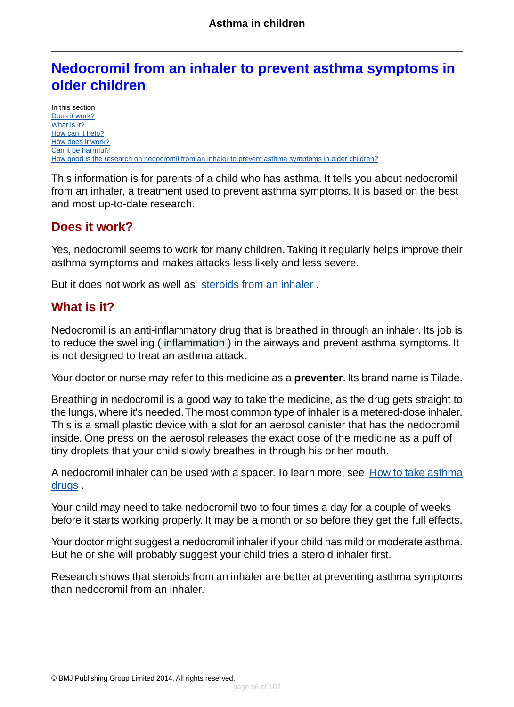# <span id="page-55-0"></span>**Nedocromil from an inhaler to prevent asthma symptoms in older children**

In this section [Does it work?](#page-55-1) [What is it?](#page-55-2) [How can it help?](#page-56-0) [How does it work?](#page-56-1) [Can it be harmful?](#page-56-2) [How good is the research on nedocromil from an inhaler to prevent asthma symptoms in older children?](#page-56-3)

This information is for parents of a child who has asthma. It tells you about nedocromil from an inhaler, a treatment used to prevent asthma symptoms. It is based on the best and most up-to-date research.

### <span id="page-55-1"></span>**Does it work?**

Yes, nedocromil seems to work for many children. Taking it regularly helps improve their asthma symptoms and makes attacks less likely and less severe.

<span id="page-55-2"></span>But it does not work as well as [steroids from an inhaler](#page-40-0).

### **What is it?**

Nedocromil is an anti-inflammatory drug that is breathed in through an inhaler. Its job is to reduce the swelling ( [inflammation](#page-93-1) ) in the airways and prevent asthma symptoms. It is not designed to treat an asthma attack.

Your doctor or nurse may refer to this medicine as a **preventer**. Its brand name is Tilade.

Breathing in nedocromil is a good way to take the medicine, as the drug gets straight to the lungs, where it's needed.The most common type of inhaler is a metered-dose inhaler. This is a small plastic device with a slot for an aerosol canister that has the nedocromil inside. One press on the aerosol releases the exact dose of the medicine as a puff of tiny droplets that your child slowly breathes in through his or her mouth.

A nedocromil inhaler can be used with a spacer. To learn more, see [How to take asthma](#page-86-0) <u>[drugs](#page-86-0)</u> .

Your child may need to take nedocromil two to four times a day for a couple of weeks before it starts working properly. It may be a month or so before they get the full effects.

Your doctor might suggest a nedocromil inhaler if your child has mild or moderate asthma. But he or she will probably suggest your child tries a steroid inhaler first.

Research shows that steroids from an inhaler are better at preventing asthma symptoms than nedocromil from an inhaler.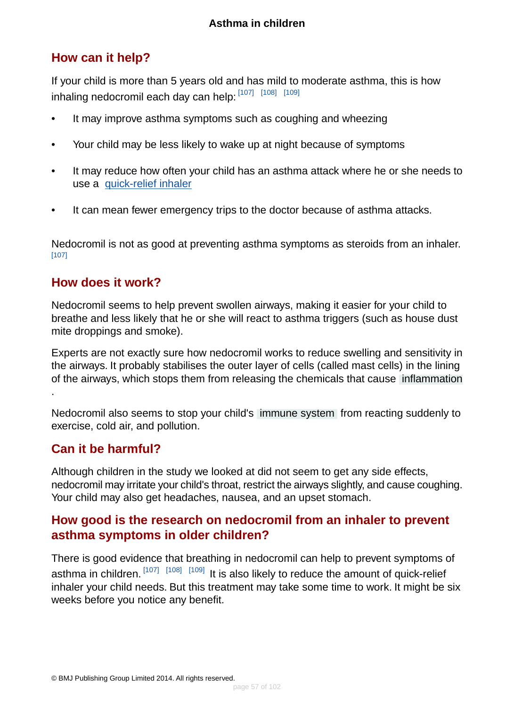## <span id="page-56-0"></span>**How can it help?**

If your child is more than 5 years old and has mild to moderate asthma, this is how inhaling nedocromil each day can help: [\[107\]](#page-99-14) [\[108\]](#page-99-15) [\[109\]](#page-99-16)

- It may improve asthma symptoms such as coughing and wheezing
- Your child may be less likely to wake up at night because of symptoms
- It may reduce how often your child has an asthma attack where he or she needs to use a [quick-relief inhaler](#page-37-0)
- It can mean fewer emergency trips to the doctor because of asthma attacks.

<span id="page-56-1"></span>Nedocromil is not as good at preventing asthma symptoms as steroids from an inhaler. [\[107\]](#page-99-14)

#### **How does it work?**

Nedocromil seems to help prevent swollen airways, making it easier for your child to breathe and less likely that he or she will react to asthma triggers (such as house dust mite droppings and smoke).

Experts are not exactly sure how nedocromil works to reduce swelling and sensitivity in the airways. It probably stabilises the outer layer of cells (called mast cells) in the lining of the airways, which stops them from releasing the chemicals that cause [inflammation](#page-93-1) .

<span id="page-56-2"></span>Nedocromil also seems to stop your child's [immune system](#page-93-0) from reacting suddenly to exercise, cold air, and pollution.

#### **Can it be harmful?**

<span id="page-56-3"></span>Although children in the study we looked at did not seem to get any side effects, nedocromil may irritate your child's throat, restrict the airways slightly, and cause coughing. Your child may also get headaches, nausea, and an upset stomach.

### **How good is the research on nedocromil from an inhaler to prevent asthma symptoms in older children?**

There is good evidence that breathing in nedocromil can help to prevent symptoms of asthma in children.  $\left[107\right]$   $\left[108\right]$   $\left[109\right]$  It is also likely to reduce the amount of quick-relief inhaler your child needs. But this treatment may take some time to work. It might be six weeks before you notice any benefit.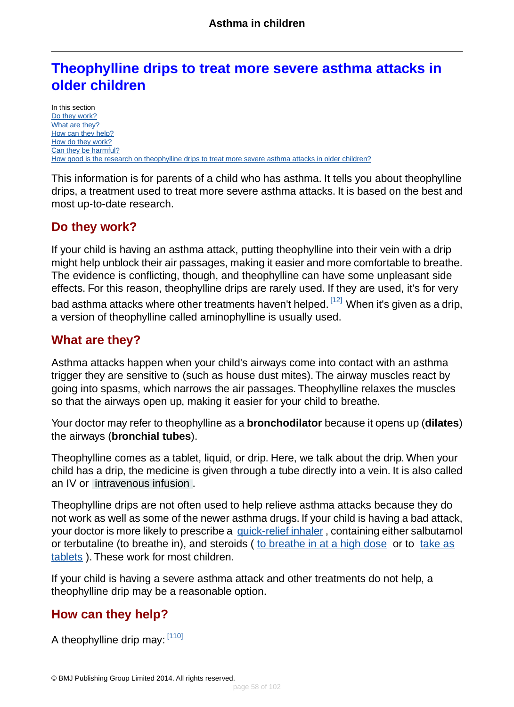# <span id="page-57-3"></span>**Theophylline drips to treat more severe asthma attacks in older children**

In this section [Do they work?](#page-57-0) [What are they?](#page-57-1) [How can they help?](#page-57-2) [How do they work?](#page-58-1) [Can they be harmful?](#page-58-2) [How good is the research on theophylline drips to treat more severe asthma attacks in older children?](#page-58-3)

This information is for parents of a child who has asthma. It tells you about theophylline drips, a treatment used to treat more severe asthma attacks. It is based on the best and most up-to-date research.

### <span id="page-57-0"></span>**Do they work?**

If your child is having an asthma attack, putting theophylline into their vein with a drip might help unblock their air passages, making it easier and more comfortable to breathe. The evidence is conflicting, though, and theophylline can have some unpleasant side effects. For this reason, theophylline drips are rarely used. If they are used, it's for very

<span id="page-57-1"></span>bad asthma attacks where other treatments haven't helped. [\[12\]](#page-95-0) When it's given as a drip, a version of theophylline called aminophylline is usually used.

### **What are they?**

Asthma attacks happen when your child's airways come into contact with an asthma trigger they are sensitive to (such as house dust mites). The airway muscles react by going into spasms, which narrows the air passages. Theophylline relaxes the muscles so that the airways open up, making it easier for your child to breathe.

Your doctor may refer to theophylline as a **bronchodilator** because it opens up (**dilates**) the airways (**bronchial tubes**).

Theophylline comes as a tablet, liquid, or drip. Here, we talk about the drip. When your child has a drip, the medicine is given through a tube directly into a vein. It is also called an IV or [intravenous infusion](#page-93-3) .

Theophylline drips are not often used to help relieve asthma attacks because they do not work as well as some of the newer asthma drugs. If your child is having a bad attack, your doctor is more likely to prescribe a [quick-relief inhaler](#page-37-0) , containing either salbutamol or terbutaline (to breathe in), and steroids ([to breathe in at a high dose](#page-49-2) or to [take as](#page-46-0) [tablets](#page-46-0) ). These work for most children.

<span id="page-57-2"></span>If your child is having a severe asthma attack and other treatments do not help, a theophylline drip may be a reasonable option.

## **How can they help?**

A theophylline drip may: [\[110\]](#page-99-17)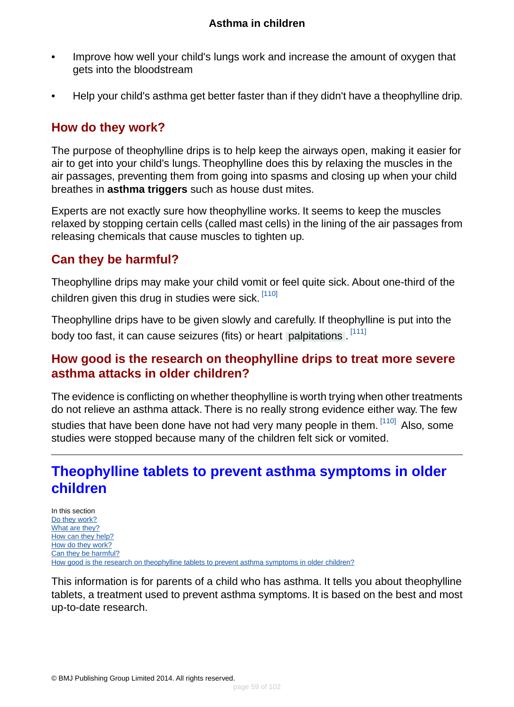- Improve how well your child's lungs work and increase the amount of oxygen that gets into the bloodstream
- Help your child's asthma get better faster than if they didn't have a theophylline drip.

### <span id="page-58-1"></span>**How do they work?**

The purpose of theophylline drips is to help keep the airways open, making it easier for air to get into your child's lungs. Theophylline does this by relaxing the muscles in the air passages, preventing them from going into spasms and closing up when your child breathes in **asthma triggers** such as house dust mites.

<span id="page-58-2"></span>Experts are not exactly sure how theophylline works. It seems to keep the muscles relaxed by stopping certain cells (called mast cells) in the lining of the air passages from releasing chemicals that cause muscles to tighten up.

### **Can they be harmful?**

Theophylline drips may make your child vomit or feel quite sick. About one-third of the children given this drug in studies were sick. [\[110\]](#page-99-17)

<span id="page-58-3"></span>Theophylline drips have to be given slowly and carefully. If theophylline is put into the body too fast, it can cause seizures (fits) or heart [palpitations](#page-94-3) . <sup>[\[111\]](#page-100-0)</sup>

### **How good is the research on theophylline drips to treat more severe asthma attacks in older children?**

<span id="page-58-0"></span>The evidence is conflicting on whether theophylline is worth trying when other treatments do not relieve an asthma attack. There is no really strong evidence either way. The few studies that have been done have not had very many people in them. [\[110\]](#page-99-17) Also, some studies were stopped because many of the children felt sick or vomited.

# **Theophylline tablets to prevent asthma symptoms in older children**

In this section [Do they work?](#page-59-0) [What are they?](#page-59-1) [How can they help?](#page-59-2) [How do they work?](#page-59-3) [Can they be harmful?](#page-60-1) [How good is the research on theophylline tablets to prevent asthma symptoms in older children?](#page-60-2)

This information is for parents of a child who has asthma. It tells you about theophylline tablets, a treatment used to prevent asthma symptoms. It is based on the best and most up-to-date research.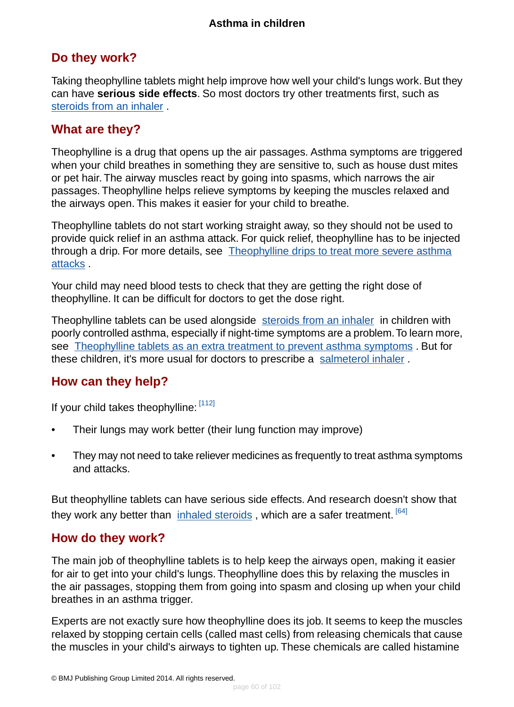### <span id="page-59-0"></span>**Do they work?**

Taking theophylline tablets might help improve how well your child's lungs work. But they can have **serious side effects**. So most doctors try other treatments first, such as [steroids from an inhaler](#page-40-0) .

### <span id="page-59-1"></span>**What are they?**

Theophylline is a drug that opens up the air passages. Asthma symptoms are triggered when your child breathes in something they are sensitive to, such as house dust mites or pet hair. The airway muscles react by going into spasms, which narrows the air passages. Theophylline helps relieve symptoms by keeping the muscles relaxed and the airways open. This makes it easier for your child to breathe.

Theophylline tablets do not start working straight away, so they should not be used to provide quick relief in an asthma attack. For quick relief, theophylline has to be injected through a drip. For more details, see [Theophylline drips to treat more severe asthma](#page-57-3) [attacks](#page-57-3) .

Your child may need blood tests to check that they are getting the right dose of theophylline. It can be difficult for doctors to get the dose right.

<span id="page-59-2"></span>Theophylline tablets can be used alongside [steroids from an inhaler](#page-40-0) in children with poorly controlled asthma, especially if night-time symptoms are a problem.To learn more, see [Theophylline tablets as an extra treatment to prevent asthma symptoms](#page-68-0). But for these children, it's more usual for doctors to prescribe a [salmeterol inhaler](#page-66-0) .

### **How can they help?**

If your child takes theophylline: [\[112\]](#page-100-1)

- Their lungs may work better (their lung function may improve)
- They may not need to take reliever medicines as frequently to treat asthma symptoms and attacks.

<span id="page-59-3"></span>But theophylline tablets can have serious side effects. And research doesn't show that they work any better than [inhaled steroids](#page-40-0), which are a safer treatment. [\[64\]](#page-97-9)

#### **How do they work?**

The main job of theophylline tablets is to help keep the airways open, making it easier for air to get into your child's lungs. Theophylline does this by relaxing the muscles in the air passages, stopping them from going into spasm and closing up when your child breathes in an asthma trigger.

Experts are not exactly sure how theophylline does its job. It seems to keep the muscles relaxed by stopping certain cells (called mast cells) from releasing chemicals that cause the muscles in your child's airways to tighten up. These chemicals are called histamine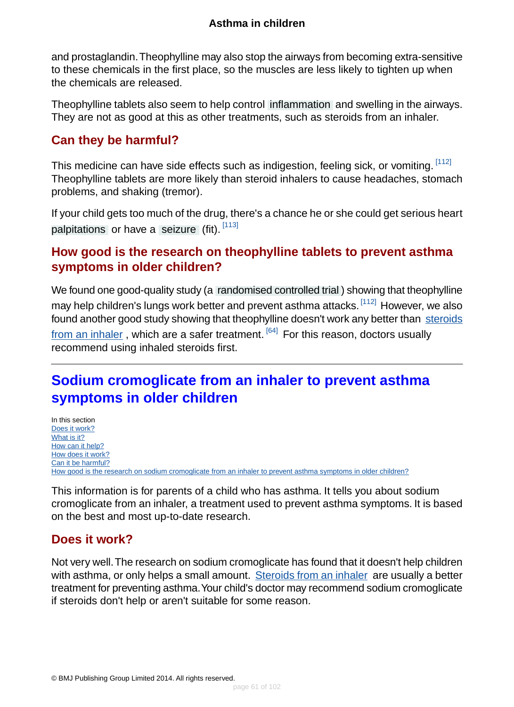and prostaglandin.Theophylline may also stop the airways from becoming extra-sensitive to these chemicals in the first place, so the muscles are less likely to tighten up when the chemicals are released.

Theophylline tablets also seem to help control [inflammation](#page-93-1) and swelling in the airways. They are not as good at this as other treatments, such as steroids from an inhaler.

## <span id="page-60-1"></span>**Can they be harmful?**

This medicine can have side effects such as indigestion, feeling sick, or vomiting. [\[112\]](#page-100-1) Theophylline tablets are more likely than steroid inhalers to cause headaches, stomach problems, and shaking (tremor).

<span id="page-60-2"></span>If your child gets too much of the drug, there's a chance he or she could get serious heart [palpitations](#page-94-3) or have a [seizure](#page-94-4) (fit). [\[113\]](#page-100-2)

### **How good is the research on theophylline tablets to prevent asthma symptoms in older children?**

We found one good-quality study (a [randomised controlled trial](#page-94-2) ) showing that theophylline may help children's lungs work better and prevent asthma attacks. <sup>[\[112\]](#page-100-1)</sup> However, we also found another good study showing that theophylline doesn't work any better than [steroids](#page-40-0) [from an inhaler](#page-40-0), which are a safer treatment.  $[64]$  For this reason, doctors usually recommend using inhaled steroids first.

# <span id="page-60-0"></span>**Sodium cromoglicate from an inhaler to prevent asthma symptoms in older children**

In this section [Does it work?](#page-60-3) [What is it?](#page-61-0) [How can it help?](#page-61-1) [How does it work?](#page-61-2) [Can it be harmful?](#page-61-3) [How good is the research on sodium cromoglicate from an inhaler to prevent asthma symptoms in older children?](#page-61-4)

<span id="page-60-3"></span>This information is for parents of a child who has asthma. It tells you about sodium cromoglicate from an inhaler, a treatment used to prevent asthma symptoms. It is based on the best and most up-to-date research.

### **Does it work?**

Not very well.The research on sodium cromoglicate has found that it doesn't help children with asthma, or only helps a small amount. [Steroids from an inhaler](#page-40-0) are usually a better treatment for preventing asthma.Your child's doctor may recommend sodium cromoglicate if steroids don't help or aren't suitable for some reason.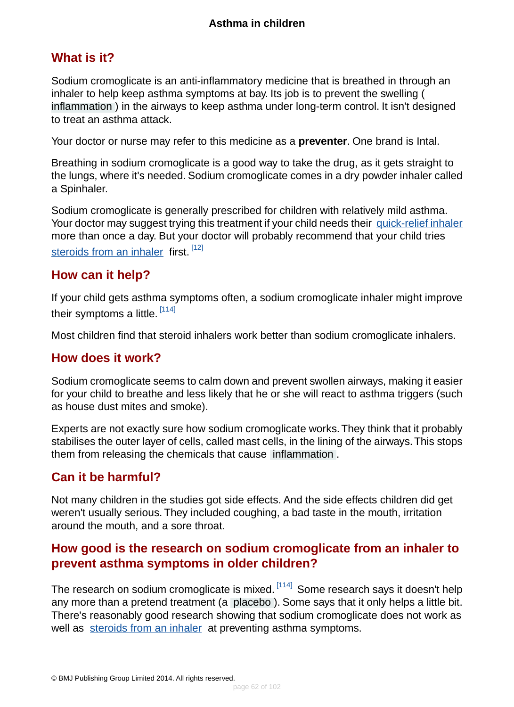### <span id="page-61-0"></span>**What is it?**

Sodium cromoglicate is an anti-inflammatory medicine that is breathed in through an inhaler to help keep asthma symptoms at bay. Its job is to prevent the swelling ( [inflammation](#page-93-1) ) in the airways to keep asthma under long-term control. It isn't designed to treat an asthma attack.

Your doctor or nurse may refer to this medicine as a **preventer**. One brand is Intal.

Breathing in sodium cromoglicate is a good way to take the drug, as it gets straight to the lungs, where it's needed. Sodium cromoglicate comes in a dry powder inhaler called a Spinhaler.

Sodium cromoglicate is generally prescribed for children with relatively mild asthma. Your doctor may suggest trying this treatment if your child needs their [quick-relief inhaler](#page-37-0) more than once a day. But your doctor will probably recommend that your child tries [steroids from an inhaler](#page-40-0) first. [\[12\]](#page-95-0)

### <span id="page-61-1"></span>**How can it help?**

If your child gets asthma symptoms often, a sodium cromoglicate inhaler might improve their symptoms a little. <sup>[\[114\]](#page-100-3)</sup>

<span id="page-61-2"></span>Most children find that steroid inhalers work better than sodium cromoglicate inhalers.

### **How does it work?**

Sodium cromoglicate seems to calm down and prevent swollen airways, making it easier for your child to breathe and less likely that he or she will react to asthma triggers (such as house dust mites and smoke).

<span id="page-61-3"></span>Experts are not exactly sure how sodium cromoglicate works.They think that it probably stabilises the outer layer of cells, called mast cells, in the lining of the airways.This stops them from releasing the chemicals that cause [inflammation](#page-93-1) .

### **Can it be harmful?**

<span id="page-61-4"></span>Not many children in the studies got side effects. And the side effects children did get weren't usually serious. They included coughing, a bad taste in the mouth, irritation around the mouth, and a sore throat.

### **How good is the research on sodium cromoglicate from an inhaler to prevent asthma symptoms in older children?**

The research on sodium cromoglicate is mixed. <sup>[\[114\]](#page-100-3)</sup> Some research says it doesn't help any more than a pretend treatment (a [placebo](#page-93-2) ). Some says that it only helps a little bit. There's reasonably good research showing that sodium cromoglicate does not work as well as [steroids from an inhaler](#page-40-0) at preventing asthma symptoms.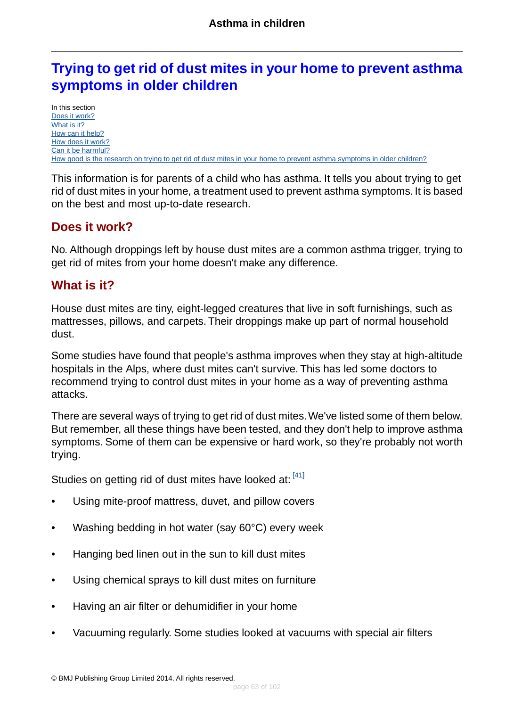# **Trying to get rid of dust mites in your home to prevent asthma symptoms in older children**

In this section [Does it work?](#page-62-0) [What is it?](#page-62-1) [How can it help?](#page-63-0) [How does it work?](#page-63-1) [Can it be harmful?](#page-63-2) [How good is the research on trying to get rid of dust mites in your home to prevent asthma symptoms in older children?](#page-63-3)

This information is for parents of a child who has asthma. It tells you about trying to get rid of dust mites in your home, a treatment used to prevent asthma symptoms. It is based on the best and most up-to-date research.

### <span id="page-62-0"></span>**Does it work?**

<span id="page-62-1"></span>No. Although droppings left by house dust mites are a common asthma trigger, trying to get rid of mites from your home doesn't make any difference.

### **What is it?**

House dust mites are tiny, eight-legged creatures that live in soft furnishings, such as mattresses, pillows, and carpets. Their droppings make up part of normal household dust.

Some studies have found that people's asthma improves when they stay at high-altitude hospitals in the Alps, where dust mites can't survive. This has led some doctors to recommend trying to control dust mites in your home as a way of preventing asthma attacks.

There are several ways of trying to get rid of dust mites.We've listed some of them below. But remember, all these things have been tested, and they don't help to improve asthma symptoms. Some of them can be expensive or hard work, so they're probably not worth trying.

Studies on getting rid of dust mites have looked at:  $[41]$ 

- Using mite-proof mattress, duvet, and pillow covers
- Washing bedding in hot water (say 60°C) every week
- Hanging bed linen out in the sun to kill dust mites
- Using chemical sprays to kill dust mites on furniture
- Having an air filter or dehumidifier in your home
- Vacuuming regularly. Some studies looked at vacuums with special air filters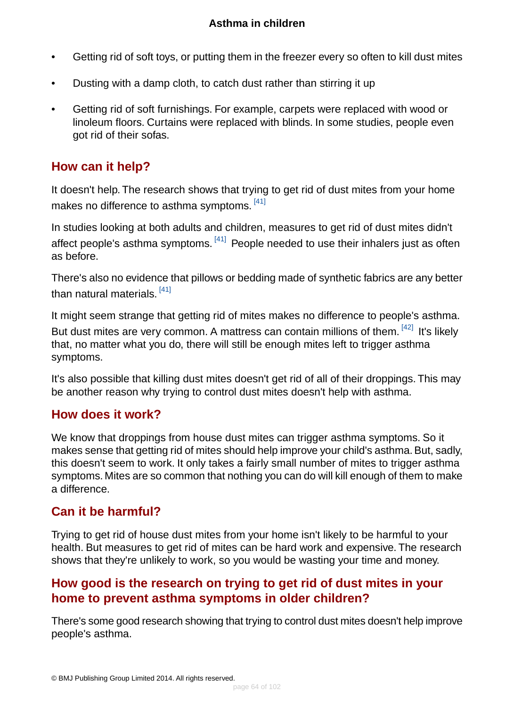- Getting rid of soft toys, or putting them in the freezer every so often to kill dust mites
- Dusting with a damp cloth, to catch dust rather than stirring it up
- Getting rid of soft furnishings. For example, carpets were replaced with wood or linoleum floors. Curtains were replaced with blinds. In some studies, people even got rid of their sofas.

### <span id="page-63-0"></span>**How can it help?**

It doesn't help. The research shows that trying to get rid of dust mites from your home makes no difference to asthma symptoms. <sup>[\[41\]](#page-96-0)</sup>

In studies looking at both adults and children, measures to get rid of dust mites didn't affect people's asthma symptoms. <sup>[\[41\]](#page-96-0)</sup> People needed to use their inhalers just as often as before.

There's also no evidence that pillows or bedding made of synthetic fabrics are any better than natural materials. <sup>[\[41\]](#page-96-0)</sup>

It might seem strange that getting rid of mites makes no difference to people's asthma. But dust mites are very common. A mattress can contain millions of them. [\[42\]](#page-96-3) It's likely that, no matter what you do, there will still be enough mites left to trigger asthma symptoms.

<span id="page-63-1"></span>It's also possible that killing dust mites doesn't get rid of all of their droppings. This may be another reason why trying to control dust mites doesn't help with asthma.

### **How does it work?**

<span id="page-63-2"></span>We know that droppings from house dust mites can trigger asthma symptoms. So it makes sense that getting rid of mites should help improve your child's asthma. But, sadly, this doesn't seem to work. It only takes a fairly small number of mites to trigger asthma symptoms. Mites are so common that nothing you can do will kill enough of them to make a difference.

## **Can it be harmful?**

<span id="page-63-3"></span>Trying to get rid of house dust mites from your home isn't likely to be harmful to your health. But measures to get rid of mites can be hard work and expensive. The research shows that they're unlikely to work, so you would be wasting your time and money.

### **How good is the research on trying to get rid of dust mites in your home to prevent asthma symptoms in older children?**

There's some good research showing that trying to control dust mites doesn't help improve people's asthma.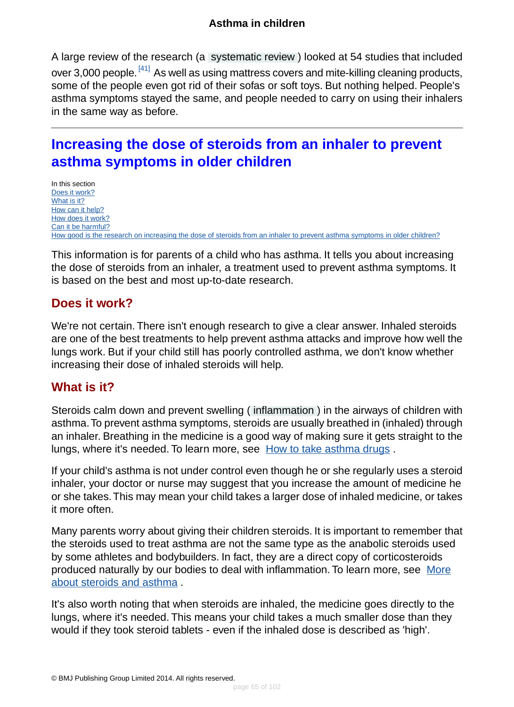A large review of the research (a [systematic review](#page-94-5) ) looked at 54 studies that included over 3,000 people. <sup>[\[41\]](#page-96-0)</sup> As well as using mattress covers and mite-killing cleaning products, some of the people even got rid of their sofas or soft toys. But nothing helped. People's asthma symptoms stayed the same, and people needed to carry on using their inhalers in the same way as before.

# **Increasing the dose of steroids from an inhaler to prevent asthma symptoms in older children**

In this section [Does it work?](#page-64-0) [What is it?](#page-64-1) [How can it help?](#page-65-0) [How does it work?](#page-65-1) [Can it be harmful?](#page-65-2) [How good is the research on increasing the dose of steroids from an inhaler to prevent asthma symptoms in older children?](#page-66-1)

<span id="page-64-0"></span>This information is for parents of a child who has asthma. It tells you about increasing the dose of steroids from an inhaler, a treatment used to prevent asthma symptoms. It is based on the best and most up-to-date research.

#### **Does it work?**

<span id="page-64-1"></span>We're not certain. There isn't enough research to give a clear answer. Inhaled steroids are one of the best treatments to help prevent asthma attacks and improve how well the lungs work. But if your child still has poorly controlled asthma, we don't know whether increasing their dose of inhaled steroids will help.

#### **What is it?**

Steroids calm down and prevent swelling ( [inflammation](#page-93-1) ) in the airways of children with asthma.To prevent asthma symptoms, steroids are usually breathed in (inhaled) through an inhaler. Breathing in the medicine is a good way of making sure it gets straight to the lungs, where it's needed. To learn more, see [How to take asthma drugs](#page-86-0).

If your child's asthma is not under control even though he or she regularly uses a steroid inhaler, your doctor or nurse may suggest that you increase the amount of medicine he or she takes.This may mean your child takes a larger dose of inhaled medicine, or takes it more often.

Many parents worry about giving their children steroids. It is important to remember that the steroids used to treat asthma are not the same type as the anabolic steroids used by some athletes and bodybuilders. In fact, they are a direct copy of corticosteroids produced naturally by our bodies to deal with inflammation. To learn more, see [More](#page-89-0) [about steroids and asthma](#page-89-0) .

It's also worth noting that when steroids are inhaled, the medicine goes directly to the lungs, where it's needed. This means your child takes a much smaller dose than they would if they took steroid tablets - even if the inhaled dose is described as 'high'.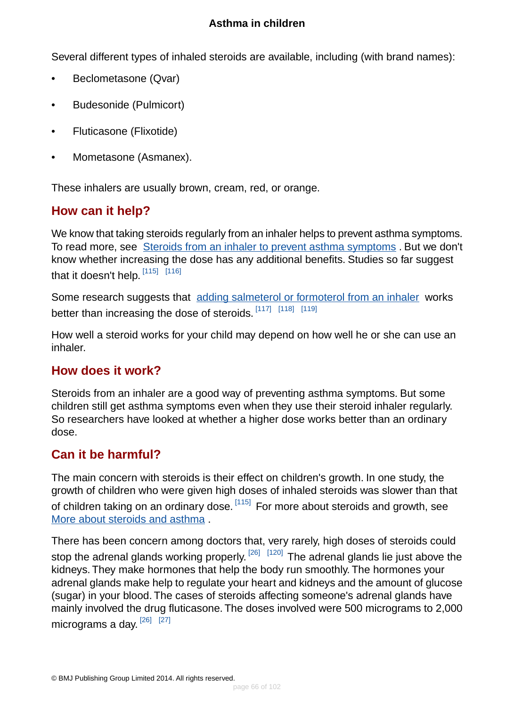Several different types of inhaled steroids are available, including (with brand names):

- Beclometasone (Qvar)
- Budesonide (Pulmicort)
- Fluticasone (Flixotide)
- Mometasone (Asmanex).

<span id="page-65-0"></span>These inhalers are usually brown, cream, red, or orange.

### **How can it help?**

We know that taking steroids regularly from an inhaler helps to prevent asthma symptoms. To read more, see [Steroids from an inhaler to prevent asthma symptoms](#page-40-0) . But we don't know whether increasing the dose has any additional benefits. Studies so far suggest that it doesn't help.  $^{\left[115\right]}$   $^{\left[116\right]}$ 

Some research suggests that [adding salmeterol or formoterol from an inhaler](#page-66-2) works better than increasing the dose of steroids.<sup>[\[117\]](#page-100-6)</sup>[\[118\]](#page-100-7)[\[119\]](#page-100-8)

<span id="page-65-1"></span>How well a steroid works for your child may depend on how well he or she can use an inhaler.

#### **How does it work?**

<span id="page-65-2"></span>Steroids from an inhaler are a good way of preventing asthma symptoms. But some children still get asthma symptoms even when they use their steroid inhaler regularly. So researchers have looked at whether a higher dose works better than an ordinary dose.

#### **Can it be harmful?**

The main concern with steroids is their effect on children's growth. In one study, the growth of children who were given high doses of inhaled steroids was slower than that of children taking on an ordinary dose. <sup>[\[115\]](#page-100-4)</sup> For more about steroids and growth, see [More about steroids and asthma](#page-89-0) .

There has been concern among doctors that, very rarely, high doses of steroids could stop the adrenal glands working properly. <sup>[\[26\]](#page-95-4) [\[120\]](#page-100-9)</sup> The adrenal glands lie just above the kidneys. They make hormones that help the body run smoothly. The hormones your adrenal glands make help to regulate your heart and kidneys and the amount of glucose (sugar) in your blood. The cases of steroids affecting someone's adrenal glands have mainly involved the drug fluticasone. The doses involved were 500 micrograms to 2,000 micrograms a day. <sup>[\[26\]](#page-95-4) [\[27\]](#page-95-5)</sup>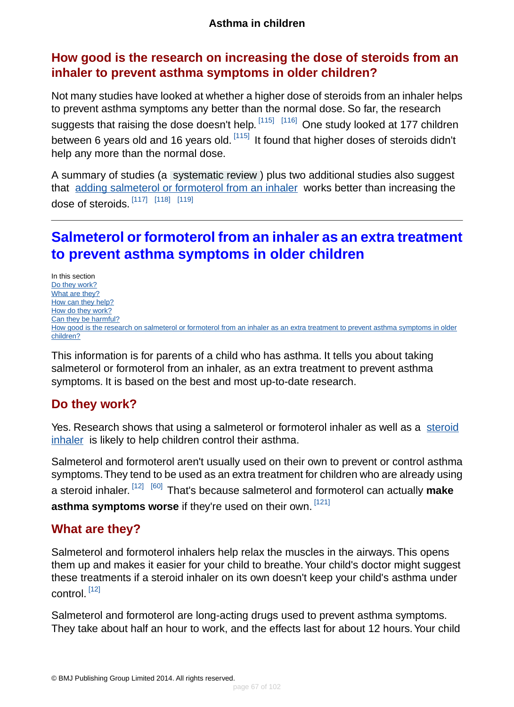### <span id="page-66-1"></span>**How good is the research on increasing the dose of steroids from an inhaler to prevent asthma symptoms in older children?**

Not many studies have looked at whether a higher dose of steroids from an inhaler helps to prevent asthma symptoms any better than the normal dose. So far, the research suggests that raising the dose doesn't help. <sup>[\[115\]](#page-100-4)</sup> <sup>[\[116\]](#page-100-5)</sup> One study looked at 177 children between 6 years old and 16 years old. <sup>[\[115\]](#page-100-4)</sup> It found that higher doses of steroids didn't help any more than the normal dose.

A summary of studies (a [systematic review](#page-94-5) ) plus two additional studies also suggest that [adding salmeterol or formoterol from an inhaler](#page-66-0) works better than increasing the dose of steroids. [\[117\]](#page-100-6) [\[118\]](#page-100-7) [\[119\]](#page-100-8)

# <span id="page-66-0"></span>**Salmeterol or formoterol from an inhaler as an extra treatment to prevent asthma symptoms in older children**

In this section [Do they work?](#page-66-3) [What are they?](#page-66-2) [How can they help?](#page-67-0) [How do they work?](#page-67-1) [Can they be harmful?](#page-67-2) [How good is the research on salmeterol or formoterol from an inhaler as an extra treatment to prevent asthma symptoms in older](#page-68-1) [children?](#page-68-1)

<span id="page-66-3"></span>This information is for parents of a child who has asthma. It tells you about taking salmeterol or formoterol from an inhaler, as an extra treatment to prevent asthma symptoms. It is based on the best and most up-to-date research.

### **Do they work?**

Yes. Research shows that using a salmeterol or formoterol inhaler as well as a [steroid](#page-40-0) [inhaler](#page-40-0) is likely to help children control their asthma.

<span id="page-66-2"></span>Salmeterol and formoterol aren't usually used on their own to prevent or control asthma symptoms.They tend to be used as an extra treatment for children who are already using a steroid inhaler. [\[12\]](#page-95-0) [\[60\]](#page-97-5) That's because salmeterol and formoterol can actually **make** asthma symptoms worse if they're used on their own. [\[121\]](#page-100-10)

### **What are they?**

Salmeterol and formoterol inhalers help relax the muscles in the airways. This opens them up and makes it easier for your child to breathe.Your child's doctor might suggest these treatments if a steroid inhaler on its own doesn't keep your child's asthma under control. [\[12\]](#page-95-0)

Salmeterol and formoterol are long-acting drugs used to prevent asthma symptoms. They take about half an hour to work, and the effects last for about 12 hours.Your child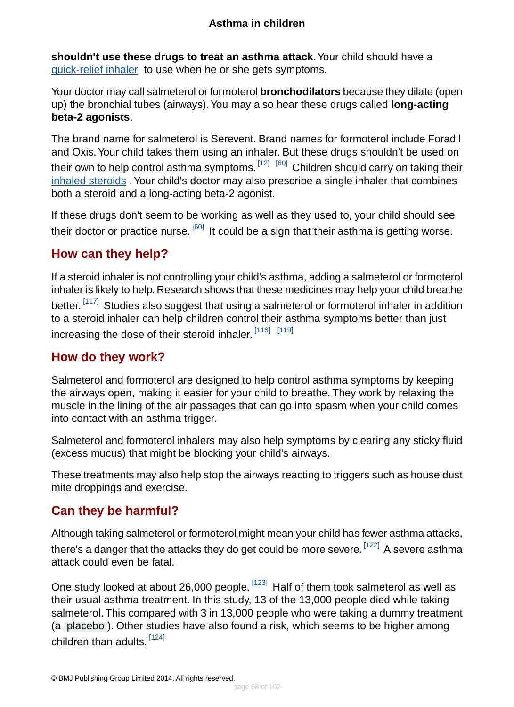**shouldn't use these drugs to treat an asthma attack**.Your child should have a [quick-relief inhaler](#page-37-0) to use when he or she gets symptoms.

Your doctor may call salmeterol or formoterol **bronchodilators** because they dilate (open up) the bronchial tubes (airways).You may also hear these drugs called **long-acting beta-2 agonists**.

The brand name for salmeterol is Serevent. Brand names for formoterol include Foradil and Oxis.Your child takes them using an inhaler. But these drugs shouldn't be used on their own to help control asthma symptoms.  $^{\lceil 12 \rceil - \lceil 60 \rceil}$  Children should carry on taking their [inhaled steroids](#page-40-0). Your child's doctor may also prescribe a single inhaler that combines both a steroid and a long-acting beta-2 agonist.

<span id="page-67-0"></span>If these drugs don't seem to be working as well as they used to, your child should see their doctor or practice nurse. <sup>[\[60\]](#page-97-5)</sup> It could be a sign that their asthma is getting worse.

## **How can they help?**

If a steroid inhaler is not controlling your child's asthma, adding a salmeterol or formoterol inhaler is likely to help. Research shows that these medicines may help your child breathe better. <sup>[\[117\]](#page-100-6)</sup> Studies also suggest that using a salmeterol or formoterol inhaler in addition to a steroid inhaler can help children control their asthma symptoms better than just increasing the dose of their steroid inhaler. [\[118\]](#page-100-7) [\[119\]](#page-100-8)

### <span id="page-67-1"></span>**How do they work?**

Salmeterol and formoterol are designed to help control asthma symptoms by keeping the airways open, making it easier for your child to breathe. They work by relaxing the muscle in the lining of the air passages that can go into spasm when your child comes into contact with an asthma trigger.

Salmeterol and formoterol inhalers may also help symptoms by clearing any sticky fluid (excess mucus) that might be blocking your child's airways.

<span id="page-67-2"></span>These treatments may also help stop the airways reacting to triggers such as house dust mite droppings and exercise.

### **Can they be harmful?**

Although taking salmeterol or formoterol might mean your child has fewer asthma attacks, there's a danger that the attacks they do get could be more severe. <sup>[\[122\]](#page-100-11)</sup> A severe asthma attack could even be fatal.

One study looked at about 26,000 people. <sup>[\[123\]](#page-100-12)</sup> Half of them took salmeterol as well as their usual asthma treatment. In this study, 13 of the 13,000 people died while taking salmeterol.This compared with 3 in 13,000 people who were taking a dummy treatment (a [placebo](#page-93-2) ). Other studies have also found a risk, which seems to be higher among children than adults. <sup>[\[124\]](#page-100-13)</sup>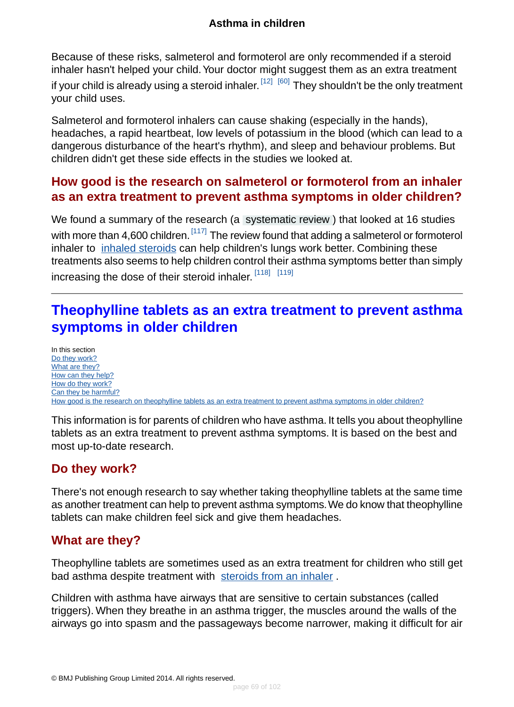Because of these risks, salmeterol and formoterol are only recommended if a steroid inhaler hasn't helped your child. Your doctor might suggest them as an extra treatment if your child is already using a steroid inhaler.  $^{\lceil 12 \rceil - \lceil 60 \rceil}$  They shouldn't be the only treatment your child uses.

Salmeterol and formoterol inhalers can cause shaking (especially in the hands), headaches, a rapid heartbeat, low levels of potassium in the blood (which can lead to a dangerous disturbance of the heart's rhythm), and sleep and behaviour problems. But children didn't get these side effects in the studies we looked at.

### <span id="page-68-1"></span>**How good is the research on salmeterol or formoterol from an inhaler as an extra treatment to prevent asthma symptoms in older children?**

We found a summary of the research (a [systematic review](#page-94-5)) that looked at 16 studies with more than 4,600 children.  $[117]$  The review found that adding a salmeterol or formoterol inhaler to *inhaled steroids* can help children's lungs work better. Combining these treatments also seems to help children control their asthma symptoms better than simply increasing the dose of their steroid inhaler. [\[118\]](#page-100-7) [\[119\]](#page-100-8)

# <span id="page-68-0"></span>**Theophylline tablets as an extra treatment to prevent asthma symptoms in older children**

In this section [Do they work?](#page-68-2) [What are they?](#page-68-3) [How can they help?](#page-69-0) [How do they work?](#page-69-1) [Can they be harmful?](#page-70-0) [How good is the research on theophylline tablets as an extra treatment to prevent asthma symptoms in older children?](#page-70-1)

<span id="page-68-2"></span>This information is for parents of children who have asthma. It tells you about theophylline tablets as an extra treatment to prevent asthma symptoms. It is based on the best and most up-to-date research.

## **Do they work?**

<span id="page-68-3"></span>There's not enough research to say whether taking theophylline tablets at the same time as another treatment can help to prevent asthma symptoms.We do know that theophylline tablets can make children feel sick and give them headaches.

### **What are they?**

Theophylline tablets are sometimes used as an extra treatment for children who still get bad asthma despite treatment with [steroids from an inhaler](#page-40-0).

Children with asthma have airways that are sensitive to certain substances (called triggers). When they breathe in an asthma trigger, the muscles around the walls of the airways go into spasm and the passageways become narrower, making it difficult for air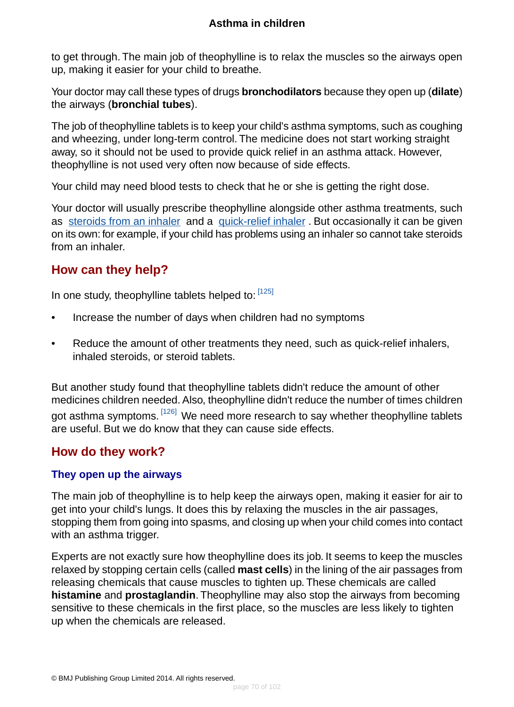to get through. The main job of theophylline is to relax the muscles so the airways open up, making it easier for your child to breathe.

Your doctor may call these types of drugs **bronchodilators** because they open up (**dilate**) the airways (**bronchial tubes**).

The job of theophylline tablets is to keep your child's asthma symptoms, such as coughing and wheezing, under long-term control. The medicine does not start working straight away, so it should not be used to provide quick relief in an asthma attack. However, theophylline is not used very often now because of side effects.

Your child may need blood tests to check that he or she is getting the right dose.

Your doctor will usually prescribe theophylline alongside other asthma treatments, such as [steroids from an inhaler](#page-40-0) and a [quick-relief inhaler](#page-37-0) . But occasionally it can be given on its own: for example, if your child has problems using an inhaler so cannot take steroids from an inhaler.

## <span id="page-69-0"></span>**How can they help?**

In one study, theophylline tablets helped to: [\[125\]](#page-100-14)

- Increase the number of days when children had no symptoms
- Reduce the amount of other treatments they need, such as quick-relief inhalers, inhaled steroids, or steroid tablets.

<span id="page-69-1"></span>But another study found that theophylline tablets didn't reduce the amount of other medicines children needed. Also, theophylline didn't reduce the number of times children got asthma symptoms. <sup>[\[126\]](#page-100-15)</sup> We need more research to say whether theophylline tablets are useful. But we do know that they can cause side effects.

### **How do they work?**

#### **They open up the airways**

The main job of theophylline is to help keep the airways open, making it easier for air to get into your child's lungs. It does this by relaxing the muscles in the air passages, stopping them from going into spasms, and closing up when your child comes into contact with an asthma trigger.

Experts are not exactly sure how theophylline does its job. It seems to keep the muscles relaxed by stopping certain cells (called **mast cells**) in the lining of the air passages from releasing chemicals that cause muscles to tighten up. These chemicals are called **histamine** and **prostaglandin**. Theophylline may also stop the airways from becoming sensitive to these chemicals in the first place, so the muscles are less likely to tighten up when the chemicals are released.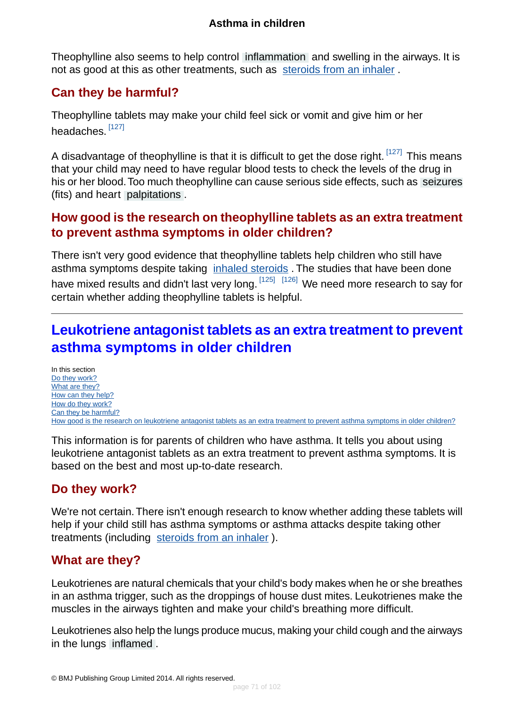Theophylline also seems to help control [inflammation](#page-93-1) and swelling in the airways. It is not as good at this as other treatments, such as [steroids from an inhaler](#page-40-0) .

## <span id="page-70-0"></span>**Can they be harmful?**

Theophylline tablets may make your child feel sick or vomit and give him or her headaches. <sup>[\[127\]](#page-100-16)</sup>

A disadvantage of theophylline is that it is difficult to get the dose right. [\[127\]](#page-100-16) This means that your child may need to have regular blood tests to check the levels of the drug in his or her blood.Too much theophylline can cause serious side effects, such as [seizures](#page-94-4) (fits) and heart [palpitations](#page-94-3) .

### <span id="page-70-1"></span>**How good is the research on theophylline tablets as an extra treatment to prevent asthma symptoms in older children?**

There isn't very good evidence that theophylline tablets help children who still have asthma symptoms despite taking *[inhaled steroids](#page-40-0)*. The studies that have been done have mixed results and didn't last very long. [\[125\]](#page-100-14) [\[126\]](#page-100-15) We need more research to say for certain whether adding theophylline tablets is helpful.

# **Leukotriene antagonist tablets as an extra treatment to prevent asthma symptoms in older children**

In this section [Do they work?](#page-70-2) [What are they?](#page-70-3) [How can they help?](#page-71-0) [How do they work?](#page-71-1) [Can they be harmful?](#page-71-2) [How good is the research on leukotriene antagonist tablets as an extra treatment to prevent asthma symptoms in older children?](#page-72-0)

<span id="page-70-2"></span>This information is for parents of children who have asthma. It tells you about using leukotriene antagonist tablets as an extra treatment to prevent asthma symptoms. It is based on the best and most up-to-date research.

## **Do they work?**

<span id="page-70-3"></span>We're not certain.There isn't enough research to know whether adding these tablets will help if your child still has asthma symptoms or asthma attacks despite taking other treatments (including [steroids from an inhaler](#page-40-0) ).

## **What are they?**

Leukotrienes are natural chemicals that your child's body makes when he or she breathes in an asthma trigger, such as the droppings of house dust mites. Leukotrienes make the muscles in the airways tighten and make your child's breathing more difficult.

Leukotrienes also help the lungs produce mucus, making your child cough and the airways in the lungs [inflamed](#page-93-1) .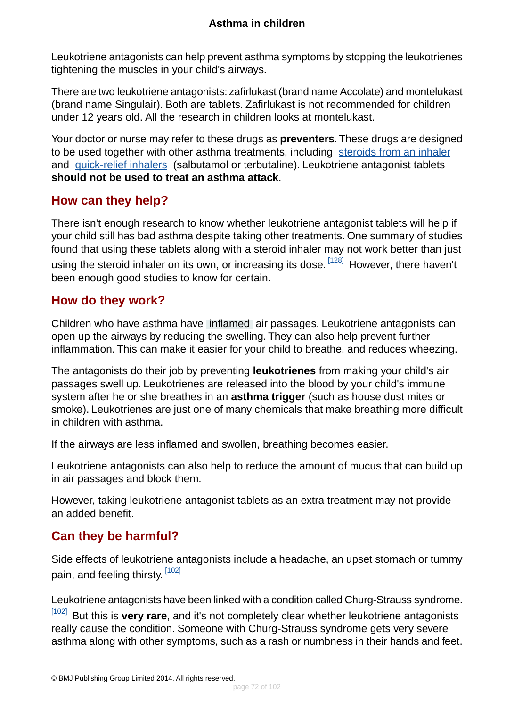Leukotriene antagonists can help prevent asthma symptoms by stopping the leukotrienes tightening the muscles in your child's airways.

There are two leukotriene antagonists: zafirlukast (brand name Accolate) and montelukast (brand name Singulair). Both are tablets. Zafirlukast is not recommended for children under 12 years old. All the research in children looks at montelukast.

Your doctor or nurse may refer to these drugs as **preventers**.These drugs are designed to be used together with other asthma treatments, including [steroids from an inhaler](#page-40-0) and [quick-relief inhalers](#page-37-0) (salbutamol or terbutaline). Leukotriene antagonist tablets **should not be used to treat an asthma attack**.

### <span id="page-71-0"></span>**How can they help?**

There isn't enough research to know whether leukotriene antagonist tablets will help if your child still has bad asthma despite taking other treatments. One summary of studies found that using these tablets along with a steroid inhaler may not work better than just using the steroid inhaler on its own, or increasing its dose. <sup>[\[128\]](#page-100-17)</sup> However, there haven't been enough good studies to know for certain.

### <span id="page-71-1"></span>**How do they work?**

Children who have asthma have [inflamed](#page-93-1) air passages. Leukotriene antagonists can open up the airways by reducing the swelling. They can also help prevent further inflammation. This can make it easier for your child to breathe, and reduces wheezing.

The antagonists do their job by preventing **leukotrienes** from making your child's air passages swell up. Leukotrienes are released into the blood by your child's immune system after he or she breathes in an **asthma trigger** (such as house dust mites or smoke). Leukotrienes are just one of many chemicals that make breathing more difficult in children with asthma.

If the airways are less inflamed and swollen, breathing becomes easier.

<span id="page-71-2"></span>Leukotriene antagonists can also help to reduce the amount of mucus that can build up in air passages and block them.

However, taking leukotriene antagonist tablets as an extra treatment may not provide an added benefit.

## **Can they be harmful?**

Side effects of leukotriene antagonists include a headache, an upset stomach or tummy pain, and feeling thirsty. [\[102\]](#page-99-9)

Leukotriene antagonists have been linked with a condition called Churg-Strauss syndrome.

[\[102\]](#page-99-9) But this is very rare, and it's not completely clear whether leukotriene antagonists really cause the condition. Someone with Churg-Strauss syndrome gets very severe asthma along with other symptoms, such as a rash or numbness in their hands and feet.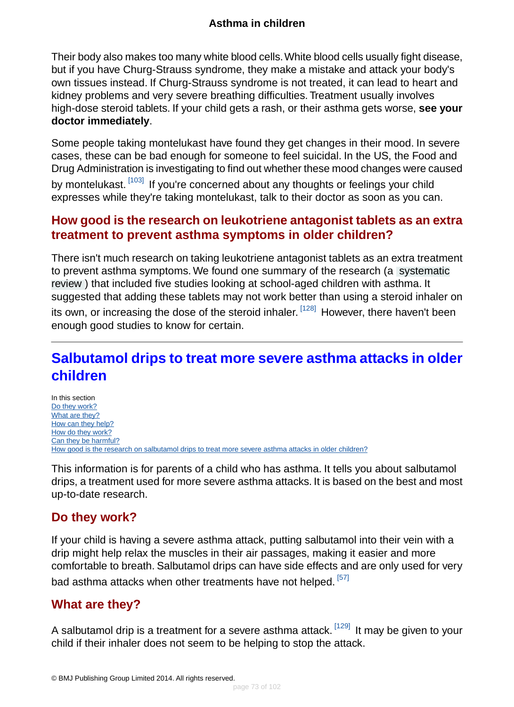Their body also makes too many white blood cells.White blood cells usually fight disease, but if you have Churg-Strauss syndrome, they make a mistake and attack your body's own tissues instead. If Churg-Strauss syndrome is not treated, it can lead to heart and kidney problems and very severe breathing difficulties. Treatment usually involves high-dose steroid tablets. If your child gets a rash, or their asthma gets worse, **see your doctor immediately**.

Some people taking montelukast have found they get changes in their mood. In severe cases, these can be bad enough for someone to feel suicidal. In the US, the Food and Drug Administration is investigating to find out whether these mood changes were caused by montelukast. [\[103\]](#page-99-0) If you're concerned about any thoughts or feelings your child expresses while they're taking montelukast, talk to their doctor as soon as you can.

## **How good is the research on leukotriene antagonist tablets as an extra treatment to prevent asthma symptoms in older children?**

There isn't much research on taking leukotriene antagonist tablets as an extra treatment to prevent asthma symptoms. We found one summary of the research (a [systematic](#page-94-0) [review](#page-94-0) ) that included five studies looking at school-aged children with asthma. It suggested that adding these tablets may not work better than using a steroid inhaler on its own, or increasing the dose of the steroid inhaler. <sup>[\[128\]](#page-100-0)</sup> However, there haven't been enough good studies to know for certain.

# **Salbutamol drips to treat more severe asthma attacks in older children**

In this section [Do they work?](#page-72-0) [What are they?](#page-72-1) [How can they help?](#page-73-0) [How do they work?](#page-73-1) [Can they be harmful?](#page-73-2) [How good is the research on salbutamol drips to treat more severe asthma attacks in older children?](#page-74-0)

<span id="page-72-0"></span>This information is for parents of a child who has asthma. It tells you about salbutamol drips, a treatment used for more severe asthma attacks. It is based on the best and most up-to-date research.

## **Do they work?**

<span id="page-72-1"></span>If your child is having a severe asthma attack, putting salbutamol into their vein with a drip might help relax the muscles in their air passages, making it easier and more comfortable to breath. Salbutamol drips can have side effects and are only used for very bad asthma attacks when other treatments have not helped. [\[57\]](#page-97-0)

### **What are they?**

A salbutamol drip is a treatment for a severe asthma attack.  $[129]$  It may be given to vour child if their inhaler does not seem to be helping to stop the attack.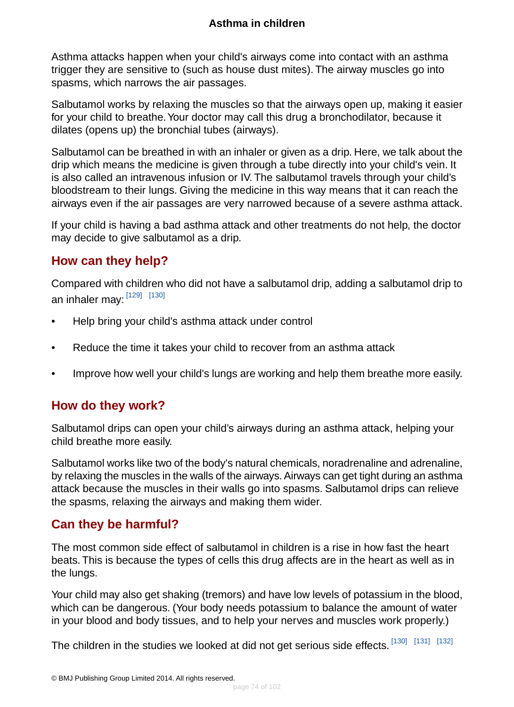Asthma attacks happen when your child's airways come into contact with an asthma trigger they are sensitive to (such as house dust mites). The airway muscles go into spasms, which narrows the air passages.

Salbutamol works by relaxing the muscles so that the airways open up, making it easier for your child to breathe. Your doctor may call this drug a bronchodilator, because it dilates (opens up) the bronchial tubes (airways).

Salbutamol can be breathed in with an inhaler or given as a drip. Here, we talk about the drip which means the medicine is given through a tube directly into your child's vein. It is also called an intravenous infusion or IV. The salbutamol travels through your child's bloodstream to their lungs. Giving the medicine in this way means that it can reach the airways even if the air passages are very narrowed because of a severe asthma attack.

<span id="page-73-0"></span>If your child is having a bad asthma attack and other treatments do not help, the doctor may decide to give salbutamol as a drip.

## **How can they help?**

Compared with children who did not have a salbutamol drip, adding a salbutamol drip to an inhaler may: <sup>[\[129\]](#page-100-1)</sup> [<sup>130]</sup>

- Help bring your child's asthma attack under control
- Reduce the time it takes your child to recover from an asthma attack
- <span id="page-73-1"></span>• Improve how well your child's lungs are working and help them breathe more easily.

## **How do they work?**

Salbutamol drips can open your child's airways during an asthma attack, helping your child breathe more easily.

<span id="page-73-2"></span>Salbutamol works like two of the body's natural chemicals, noradrenaline and adrenaline, by relaxing the muscles in the walls of the airways. Airways can get tight during an asthma attack because the muscles in their walls go into spasms. Salbutamol drips can relieve the spasms, relaxing the airways and making them wider.

## **Can they be harmful?**

The most common side effect of salbutamol in children is a rise in how fast the heart beats. This is because the types of cells this drug affects are in the heart as well as in the lungs.

Your child may also get shaking (tremors) and have low levels of potassium in the blood, which can be dangerous. (Your body needs potassium to balance the amount of water in your blood and body tissues, and to help your nerves and muscles work properly.)

The children in the studies we looked at did not get serious side effects. [\[130\]](#page-100-2) [\[131\]](#page-101-0) [\[132\]](#page-101-1)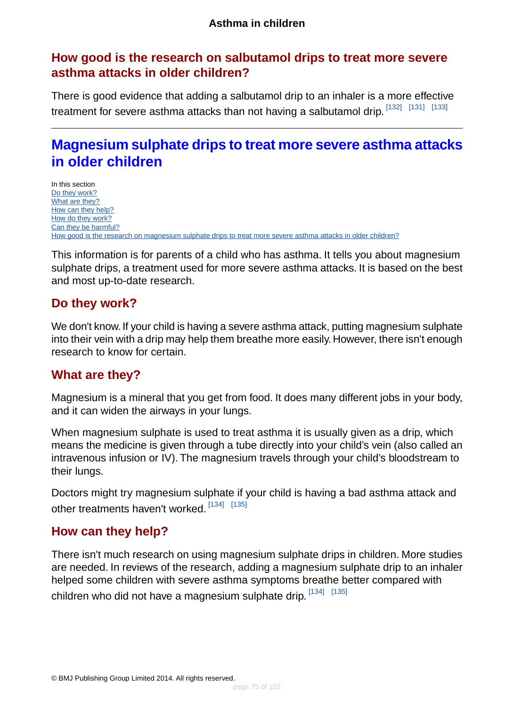## <span id="page-74-0"></span>**How good is the research on salbutamol drips to treat more severe asthma attacks in older children?**

There is good evidence that adding a salbutamol drip to an inhaler is a more effective treatment for severe asthma attacks than not having a salbutamol drip. [\[132\]](#page-101-1) [\[131\]](#page-101-0) [\[133\]](#page-101-2)

# **Magnesium sulphate drips to treat more severe asthma attacks in older children**

In this section [Do they work?](#page-74-1) [What are they?](#page-74-2) [How can they help?](#page-74-3) [How do they work?](#page-75-0) [Can they be harmful?](#page-75-1) [How good is the research on magnesium sulphate drips to treat more severe asthma attacks in older children?](#page-75-2)

<span id="page-74-1"></span>This information is for parents of a child who has asthma. It tells you about magnesium sulphate drips, a treatment used for more severe asthma attacks. It is based on the best and most up-to-date research.

### **Do they work?**

<span id="page-74-2"></span>We don't know. If your child is having a severe asthma attack, putting magnesium sulphate into their vein with a drip may help them breathe more easily. However, there isn't enough research to know for certain.

## **What are they?**

Magnesium is a mineral that you get from food. It does many different jobs in your body, and it can widen the airways in your lungs.

When magnesium sulphate is used to treat asthma it is usually given as a drip, which means the medicine is given through a tube directly into your child's vein (also called an intravenous infusion or IV). The magnesium travels through your child's bloodstream to their lungs.

<span id="page-74-3"></span>Doctors might try magnesium sulphate if your child is having a bad asthma attack and other treatments haven't worked. [\[134\]](#page-101-3) [\[135\]](#page-101-4)

## **How can they help?**

There isn't much research on using magnesium sulphate drips in children. More studies are needed. In reviews of the research, adding a magnesium sulphate drip to an inhaler helped some children with severe asthma symptoms breathe better compared with children who did not have a magnesium sulphate drip. [\[134\]](#page-101-3) [\[135\]](#page-101-4)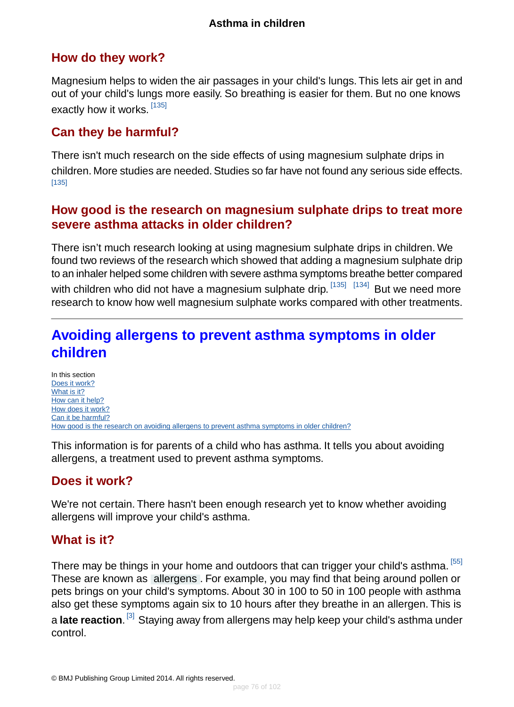## <span id="page-75-0"></span>**How do they work?**

Magnesium helps to widen the air passages in your child's lungs. This lets air get in and out of your child's lungs more easily. So breathing is easier for them. But no one knows exactly how it works. [\[135\]](#page-101-4)

## <span id="page-75-1"></span>**Can they be harmful?**

There isn't much research on the side effects of using magnesium sulphate drips in children. More studies are needed. Studies so far have not found any serious side effects. [\[135\]](#page-101-4)

## <span id="page-75-2"></span>**How good is the research on magnesium sulphate drips to treat more severe asthma attacks in older children?**

There isn't much research looking at using magnesium sulphate drips in children. We found two reviews of the research which showed that adding a magnesium sulphate drip to an inhaler helped some children with severe asthma symptoms breathe better compared with children who did not have a magnesium sulphate drip.<sup>[\[135\]](#page-101-4)</sup> [<sup>134]</sup> But we need more research to know how well magnesium sulphate works compared with other treatments.

# **Avoiding allergens to prevent asthma symptoms in older children**

In this section [Does it work?](#page-75-3) [What is it?](#page-75-4) [How can it help?](#page-76-0) [How does it work?](#page-77-0) [Can it be harmful?](#page-77-1) [How good is the research on avoiding allergens to prevent asthma symptoms in older children?](#page-77-2)

<span id="page-75-3"></span>This information is for parents of a child who has asthma. It tells you about avoiding allergens, a treatment used to prevent asthma symptoms.

## <span id="page-75-4"></span>**Does it work?**

We're not certain. There hasn't been enough research yet to know whether avoiding allergens will improve your child's asthma.

## **What is it?**

There may be things in your home and outdoors that can trigger your child's asthma.<sup>[\[55\]](#page-97-1)</sup> These are known as [allergens](#page-94-1) . For example, you may find that being around pollen or pets brings on your child's symptoms. About 30 in 100 to 50 in 100 people with asthma also get these symptoms again six to 10 hours after they breathe in an allergen. This is a **late reaction**. <sup>[\[3\]](#page-94-2)</sup> Staying away from allergens may help keep your child's asthma under control.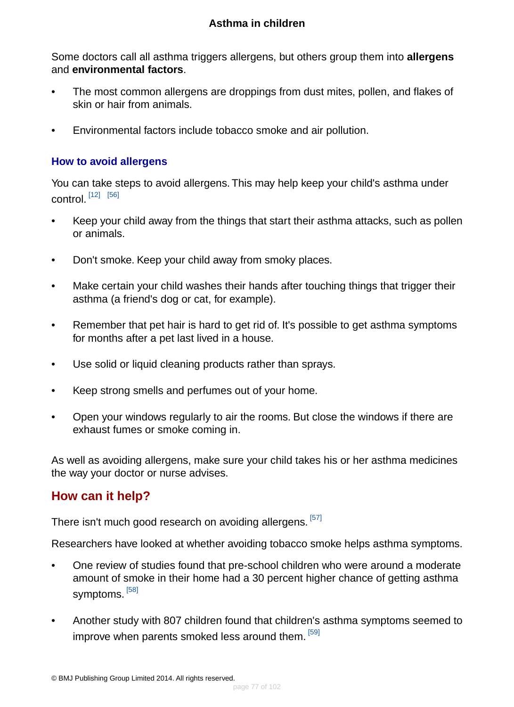Some doctors call all asthma triggers allergens, but others group them into **allergens** and **environmental factors**.

- The most common allergens are droppings from dust mites, pollen, and flakes of skin or hair from animals.
- Environmental factors include tobacco smoke and air pollution.

#### **How to avoid allergens**

You can take steps to avoid allergens. This may help keep your child's asthma under control. [\[12\]](#page-95-0) [\[56\]](#page-97-2)

- Keep your child away from the things that start their asthma attacks, such as pollen or animals.
- Don't smoke. Keep your child away from smoky places.
- Make certain your child washes their hands after touching things that trigger their asthma (a friend's dog or cat, for example).
- Remember that pet hair is hard to get rid of. It's possible to get asthma symptoms for months after a pet last lived in a house.
- Use solid or liquid cleaning products rather than sprays.
- Keep strong smells and perfumes out of your home.
- Open your windows regularly to air the rooms. But close the windows if there are exhaust fumes or smoke coming in.

<span id="page-76-0"></span>As well as avoiding allergens, make sure your child takes his or her asthma medicines the way your doctor or nurse advises.

### **How can it help?**

There isn't much good research on avoiding allergens. <sup>[\[57\]](#page-97-0)</sup>

Researchers have looked at whether avoiding tobacco smoke helps asthma symptoms.

- One review of studies found that pre-school children who were around a moderate amount of smoke in their home had a 30 percent higher chance of getting asthma symptoms. <sup>[\[58\]](#page-97-3)</sup>
- Another study with 807 children found that children's asthma symptoms seemed to improve when parents smoked less around them. [\[59\]](#page-97-4)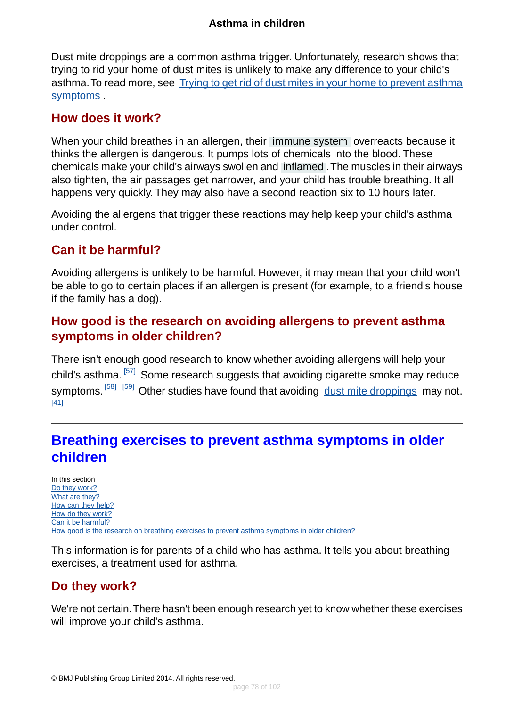Dust mite droppings are a common asthma trigger. Unfortunately, research shows that trying to rid your home of dust mites is unlikely to make any difference to your child's asthma. To read more, see [Trying to get rid of dust mites in your home to prevent asthma](#page-62-0) [symptoms](#page-62-0) .

### <span id="page-77-0"></span>**How does it work?**

When your child breathes in an allergen, their [immune system](#page-93-0) overreacts because it thinks the allergen is dangerous. It pumps lots of chemicals into the blood. These chemicals make your child's airways swollen and [inflamed](#page-93-1) .The muscles in their airways also tighten, the air passages get narrower, and your child has trouble breathing. It all happens very quickly. They may also have a second reaction six to 10 hours later.

<span id="page-77-1"></span>Avoiding the allergens that trigger these reactions may help keep your child's asthma under control.

## **Can it be harmful?**

<span id="page-77-2"></span>Avoiding allergens is unlikely to be harmful. However, it may mean that your child won't be able to go to certain places if an allergen is present (for example, to a friend's house if the family has a dog).

## **How good is the research on avoiding allergens to prevent asthma symptoms in older children?**

There isn't enough good research to know whether avoiding allergens will help your child's asthma. [\[57\]](#page-97-0) Some research suggests that avoiding cigarette smoke may reduce symptoms. <sup>[\[58\]](#page-97-3)</sup> <sup>[\[59\]](#page-97-4)</sup> Other studies have found that avoiding [dust mite droppings](#page-62-0) may not. [\[41\]](#page-96-0)

# **Breathing exercises to prevent asthma symptoms in older children**

In this section [Do they work?](#page-77-3) [What are they?](#page-78-0) [How can they help?](#page-78-1) [How do they work?](#page-79-0) [Can it be harmful?](#page-79-1) [How good is the research on breathing exercises to prevent asthma symptoms in older children?](#page-80-0)

<span id="page-77-3"></span>This information is for parents of a child who has asthma. It tells you about breathing exercises, a treatment used for asthma.

## **Do they work?**

We're not certain.There hasn't been enough research yet to know whether these exercises will improve your child's asthma.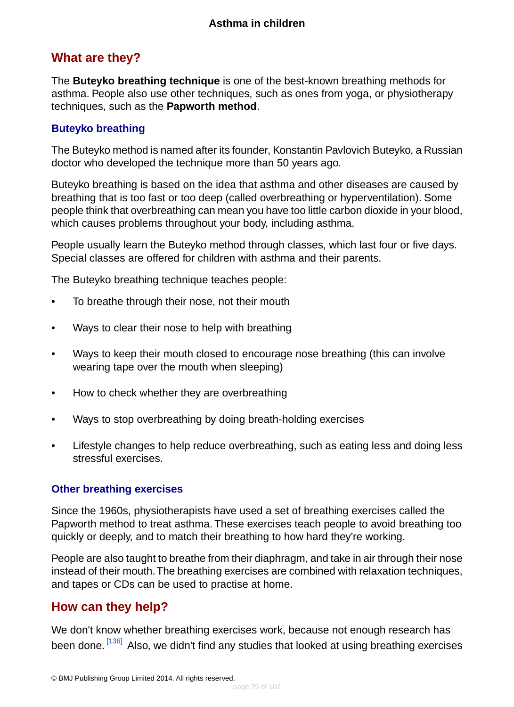## <span id="page-78-0"></span>**What are they?**

The **Buteyko breathing technique** is one of the best-known breathing methods for asthma. People also use other techniques, such as ones from yoga, or physiotherapy techniques, such as the **Papworth method**.

### **Buteyko breathing**

The Buteyko method is named after its founder, Konstantin Pavlovich Buteyko, a Russian doctor who developed the technique more than 50 years ago.

Buteyko breathing is based on the idea that asthma and other diseases are caused by breathing that is too fast or too deep (called overbreathing or hyperventilation). Some people think that overbreathing can mean you have too little carbon dioxide in your blood, which causes problems throughout your body, including asthma.

People usually learn the Buteyko method through classes, which last four or five days. Special classes are offered for children with asthma and their parents.

The Buteyko breathing technique teaches people:

- To breathe through their nose, not their mouth
- Ways to clear their nose to help with breathing
- Ways to keep their mouth closed to encourage nose breathing (this can involve wearing tape over the mouth when sleeping)
- How to check whether they are overbreathing
- Ways to stop overbreathing by doing breath-holding exercises
- Lifestyle changes to help reduce overbreathing, such as eating less and doing less stressful exercises.

#### **Other breathing exercises**

Since the 1960s, physiotherapists have used a set of breathing exercises called the Papworth method to treat asthma. These exercises teach people to avoid breathing too quickly or deeply, and to match their breathing to how hard they're working.

<span id="page-78-1"></span>People are also taught to breathe from their diaphragm, and take in air through their nose instead of their mouth.The breathing exercises are combined with relaxation techniques, and tapes or CDs can be used to practise at home.

## **How can they help?**

We don't know whether breathing exercises work, because not enough research has been done. <sup>[\[136\]](#page-101-5)</sup> Also, we didn't find any studies that looked at using breathing exercises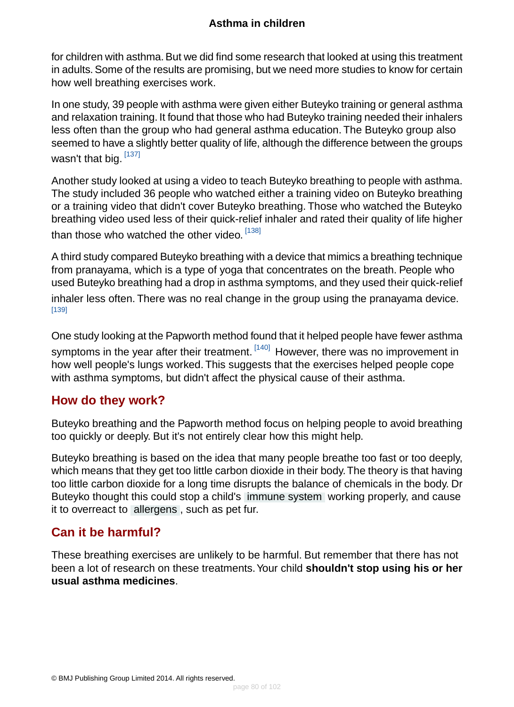for children with asthma. But we did find some research that looked at using this treatment in adults. Some of the results are promising, but we need more studies to know for certain how well breathing exercises work.

In one study, 39 people with asthma were given either Buteyko training or general asthma and relaxation training. It found that those who had Buteyko training needed their inhalers less often than the group who had general asthma education. The Buteyko group also seemed to have a slightly better quality of life, although the difference between the groups wasn't that big. [\[137\]](#page-101-6)

Another study looked at using a video to teach Buteyko breathing to people with asthma. The study included 36 people who watched either a training video on Buteyko breathing or a training video that didn't cover Buteyko breathing. Those who watched the Buteyko breathing video used less of their quick-relief inhaler and rated their quality of life higher than those who watched the other video. [\[138\]](#page-101-7)

A third study compared Buteyko breathing with a device that mimics a breathing technique from pranayama, which is a type of yoga that concentrates on the breath. People who used Buteyko breathing had a drop in asthma symptoms, and they used their quick-relief inhaler less often. There was no real change in the group using the pranayama device. [\[139\]](#page-101-8)

<span id="page-79-0"></span>One study looking at the Papworth method found that it helped people have fewer asthma symptoms in the year after their treatment. <sup>[\[140\]](#page-101-9)</sup> However, there was no improvement in how well people's lungs worked. This suggests that the exercises helped people cope with asthma symptoms, but didn't affect the physical cause of their asthma.

## **How do they work?**

Buteyko breathing and the Papworth method focus on helping people to avoid breathing too quickly or deeply. But it's not entirely clear how this might help.

<span id="page-79-1"></span>Buteyko breathing is based on the idea that many people breathe too fast or too deeply, which means that they get too little carbon dioxide in their body.The theory is that having too little carbon dioxide for a long time disrupts the balance of chemicals in the body. Dr Buteyko thought this could stop a child's [immune system](#page-93-0) working properly, and cause it to overreact to [allergens](#page-94-1) , such as pet fur.

## **Can it be harmful?**

These breathing exercises are unlikely to be harmful. But remember that there has not been a lot of research on these treatments.Your child **shouldn't stop using his or her usual asthma medicines**.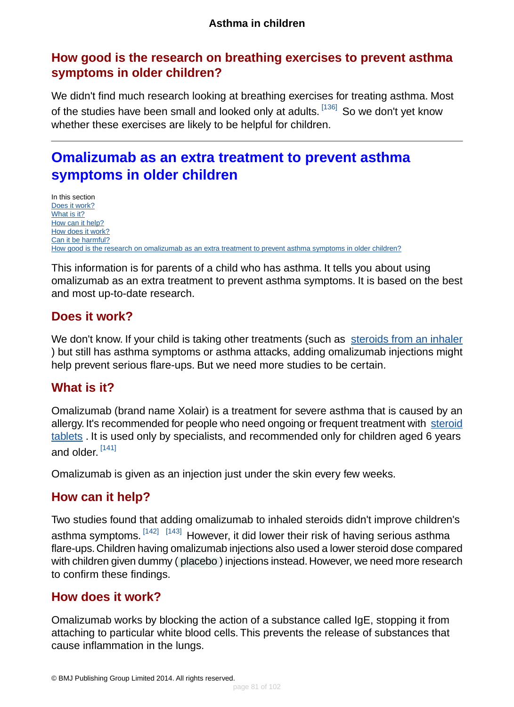## <span id="page-80-0"></span>**How good is the research on breathing exercises to prevent asthma symptoms in older children?**

We didn't find much research looking at breathing exercises for treating asthma. Most of the studies have been small and looked only at adults. <sup>[\[136\]](#page-101-5)</sup> So we don't yet know whether these exercises are likely to be helpful for children.

# **Omalizumab as an extra treatment to prevent asthma symptoms in older children**

In this section [Does it work?](#page-80-1) [What is it?](#page-80-2) [How can it help?](#page-80-3) [How does it work?](#page-80-4) [Can it be harmful?](#page-81-0) [How good is the research on omalizumab as an extra treatment to prevent asthma symptoms in older children?](#page-81-1)

<span id="page-80-1"></span>This information is for parents of a child who has asthma. It tells you about using omalizumab as an extra treatment to prevent asthma symptoms. It is based on the best and most up-to-date research.

## **Does it work?**

<span id="page-80-2"></span>We don't know. If your child is taking other treatments (such as [steroids from an inhaler](#page-40-0) ) but still has asthma symptoms or asthma attacks, adding omalizumab injections might help prevent serious flare-ups. But we need more studies to be certain.

## **What is it?**

Omalizumab (brand name Xolair) is a treatment for severe asthma that is caused by an allergy. It's recommended for people who need ongoing or frequent treatment with [steroid](#page-46-0) [tablets](#page-46-0). It is used only by specialists, and recommended only for children aged 6 years and older.  $^{\left[141\right]}$ 

<span id="page-80-3"></span>Omalizumab is given as an injection just under the skin every few weeks.

## **How can it help?**

<span id="page-80-4"></span>Two studies found that adding omalizumab to inhaled steroids didn't improve children's asthma symptoms. <sup>[\[142\]](#page-101-11) [\[143\]](#page-101-12)</sup> However, it did lower their risk of having serious asthma flare-ups. Children having omalizumab injections also used a lower steroid dose compared with children given dummy ( [placebo](#page-93-2) ) injections instead. However, we need more research to confirm these findings.

### **How does it work?**

Omalizumab works by blocking the action of a substance called IgE, stopping it from attaching to particular white blood cells. This prevents the release of substances that cause inflammation in the lungs.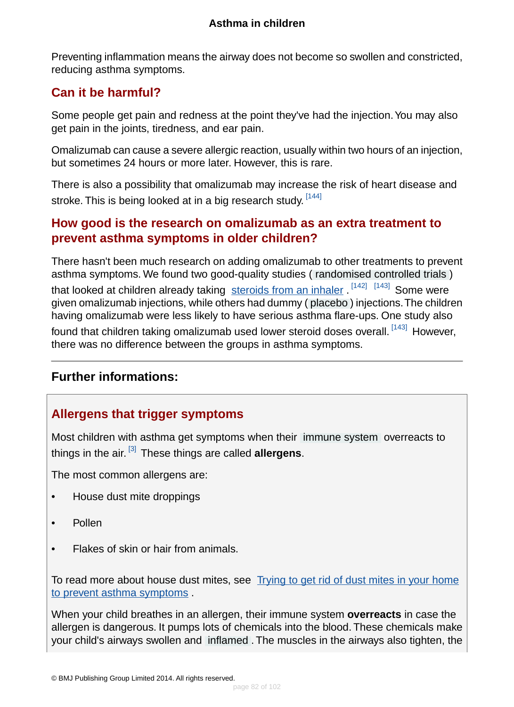Preventing inflammation means the airway does not become so swollen and constricted, reducing asthma symptoms.

# <span id="page-81-0"></span>**Can it be harmful?**

Some people get pain and redness at the point they've had the injection. You may also get pain in the joints, tiredness, and ear pain.

Omalizumab can cause a severe allergic reaction, usually within two hours of an injection, but sometimes 24 hours or more later. However, this is rare.

<span id="page-81-1"></span>There is also a possibility that omalizumab may increase the risk of heart disease and stroke. This is being looked at in a big research study. <sup>[\[144\]](#page-101-13)</sup>

## **How good is the research on omalizumab as an extra treatment to prevent asthma symptoms in older children?**

There hasn't been much research on adding omalizumab to other treatments to prevent asthma symptoms. We found two good-quality studies ( [randomised controlled trials](#page-94-3) ) that looked at children already taking [steroids from an inhaler](#page-40-0). <sup>[\[142\]](#page-101-11) [\[143\]](#page-101-12)</sup> Some were given omalizumab injections, while others had dummy ( [placebo](#page-93-2) ) injections.The children having omalizumab were less likely to have serious asthma flare-ups. One study also found that children taking omalizumab used lower steroid doses overall.<sup>[\[143\]](#page-101-12)</sup> However, there was no difference between the groups in asthma symptoms.

## **Further informations:**

## **Allergens that trigger symptoms**

Most children with asthma get symptoms when their [immune system](#page-93-0) overreacts to things in the air. [\[3\]](#page-94-2) These things are called **allergens**.

The most common allergens are:

- House dust mite droppings
- Pollen
- Flakes of skin or hair from animals.

To read more about house dust mites, see [Trying to get rid of dust mites in your home](#page-62-0) [to prevent asthma symptoms](#page-62-0) .

When your child breathes in an allergen, their immune system **overreacts** in case the allergen is dangerous. It pumps lots of chemicals into the blood. These chemicals make your child's airways swollen and [inflamed](#page-93-1) . The muscles in the airways also tighten, the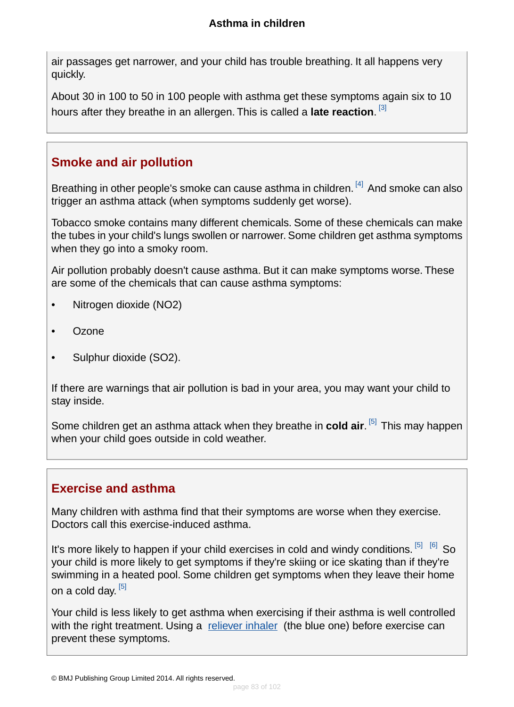air passages get narrower, and your child has trouble breathing. It all happens very quickly.

About 30 in 100 to 50 in 100 people with asthma get these symptoms again six to 10 hours after they breathe in an allergen. This is called a **late reaction**. [\[3\]](#page-94-2)

## **Smoke and air pollution**

Breathing in other people's smoke can cause asthma in children. <sup>[\[4\]](#page-94-4)</sup> And smoke can also trigger an asthma attack (when symptoms suddenly get worse).

Tobacco smoke contains many different chemicals. Some of these chemicals can make the tubes in your child's lungs swollen or narrower. Some children get asthma symptoms when they go into a smoky room.

Air pollution probably doesn't cause asthma. But it can make symptoms worse. These are some of the chemicals that can cause asthma symptoms:

- Nitrogen dioxide (NO2)
- Ozone
- Sulphur dioxide (SO2).

If there are warnings that air pollution is bad in your area, you may want your child to stay inside.

Some children get an asthma attack when they breathe in **cold air**.<sup>[\[5\]](#page-94-5)</sup> This may happen when your child goes outside in cold weather.

## **Exercise and asthma**

Many children with asthma find that their symptoms are worse when they exercise. Doctors call this exercise-induced asthma.

It's more likely to happen if your child exercises in cold and windy conditions. <sup>[\[5\]](#page-94-5) [\[6\]](#page-94-6)</sup> So your child is more likely to get symptoms if they're skiing or ice skating than if they're swimming in a heated pool. Some children get symptoms when they leave their home on a cold day. <sup>[\[5\]](#page-94-5)</sup>

Your child is less likely to get asthma when exercising if their asthma is well controlled with the right treatment. Using a [reliever inhaler](#page-37-0) (the blue one) before exercise can prevent these symptoms.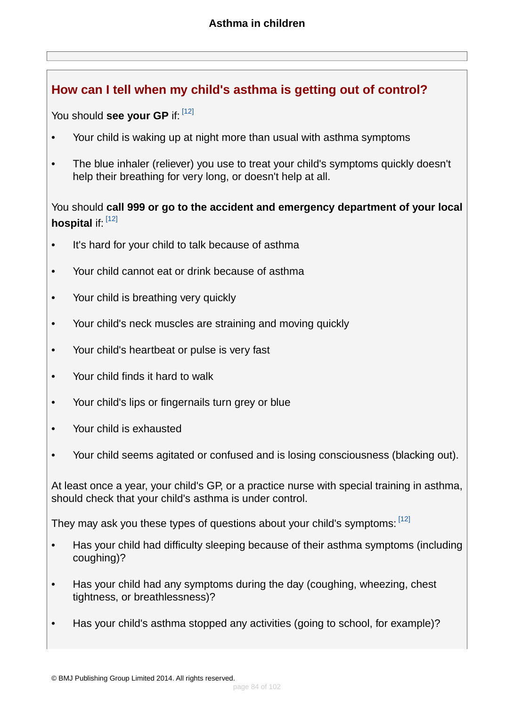## **How can I tell when my child's asthma is getting out of control?**

You should **see your GP** if: [\[12\]](#page-95-0)

- Your child is waking up at night more than usual with asthma symptoms
- The blue inhaler (reliever) you use to treat your child's symptoms quickly doesn't help their breathing for very long, or doesn't help at all.

## You should **call 999 or go to the accident and emergency department of your local hospital** if: [\[12\]](#page-95-0)

- It's hard for your child to talk because of asthma
- Your child cannot eat or drink because of asthma
- Your child is breathing very quickly
- Your child's neck muscles are straining and moving quickly
- Your child's heartbeat or pulse is very fast
- Your child finds it hard to walk
- Your child's lips or fingernails turn grey or blue
- Your child is exhausted
- Your child seems agitated or confused and is losing consciousness (blacking out).

At least once a year, your child's GP, or a practice nurse with special training in asthma, should check that your child's asthma is under control.

They may ask you these types of questions about your child's symptoms: [\[12\]](#page-95-0)

- Has your child had difficulty sleeping because of their asthma symptoms (including coughing)?
- Has your child had any symptoms during the day (coughing, wheezing, chest tightness, or breathlessness)?
- Has your child's asthma stopped any activities (going to school, for example)?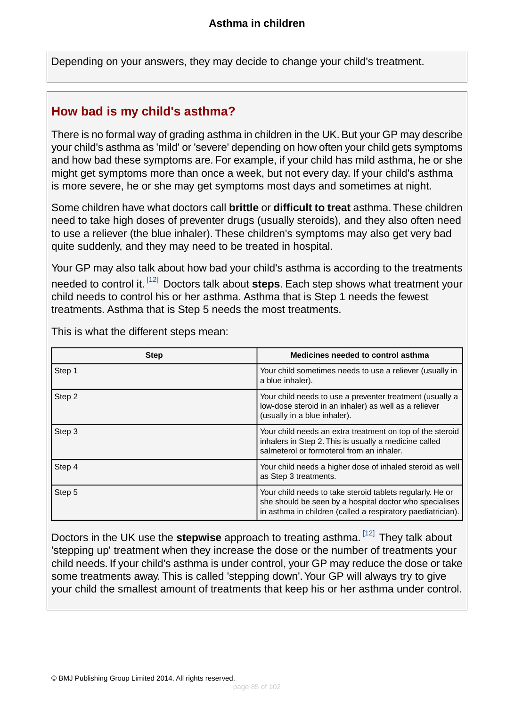Depending on your answers, they may decide to change your child's treatment.

## <span id="page-84-0"></span>**How bad is my child's asthma?**

There is no formal way of grading asthma in children in the UK. But your GP may describe your child's asthma as 'mild' or 'severe' depending on how often your child gets symptoms and how bad these symptoms are. For example, if your child has mild asthma, he or she might get symptoms more than once a week, but not every day. If your child's asthma is more severe, he or she may get symptoms most days and sometimes at night.

Some children have what doctors call **brittle** or **difficult to treat** asthma.These children need to take high doses of preventer drugs (usually steroids), and they also often need to use a reliever (the blue inhaler). These children's symptoms may also get very bad quite suddenly, and they may need to be treated in hospital.

Your GP may also talk about how bad your child's asthma is according to the treatments needed to control it. [\[12\]](#page-95-0) Doctors talk about **steps**. Each step shows what treatment your child needs to control his or her asthma. Asthma that is Step 1 needs the fewest treatments. Asthma that is Step 5 needs the most treatments.

| <b>Step</b> | Medicines needed to control asthma                                                                                                                                                  |
|-------------|-------------------------------------------------------------------------------------------------------------------------------------------------------------------------------------|
| Step 1      | Your child sometimes needs to use a reliever (usually in<br>a blue inhaler).                                                                                                        |
| Step 2      | Your child needs to use a preventer treatment (usually a<br>low-dose steroid in an inhaler) as well as a reliever<br>(usually in a blue inhaler).                                   |
| Step 3      | Your child needs an extra treatment on top of the steroid<br>inhalers in Step 2. This is usually a medicine called<br>salmeterol or formoterol from an inhaler.                     |
| Step 4      | Your child needs a higher dose of inhaled steroid as well<br>as Step 3 treatments.                                                                                                  |
| Step 5      | Your child needs to take steroid tablets regularly. He or<br>she should be seen by a hospital doctor who specialises<br>in asthma in children (called a respiratory paediatrician). |

This is what the different steps mean:

Doctors in the UK use the **stepwise** approach to treating asthma. [\[12\]](#page-95-0) They talk about 'stepping up' treatment when they increase the dose or the number of treatments your child needs. If your child's asthma is under control, your GP may reduce the dose or take some treatments away. This is called 'stepping down'. Your GP will always try to give your child the smallest amount of treatments that keep his or her asthma under control.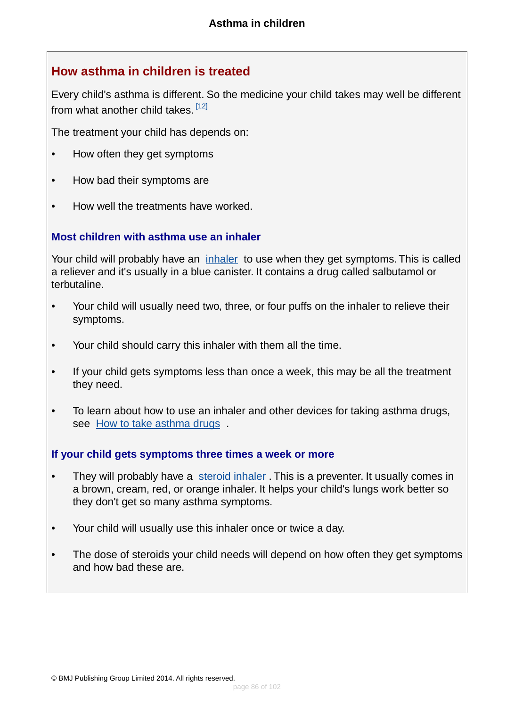## **How asthma in children is treated**

Every child's asthma is different. So the medicine your child takes may well be different from what another child takes. <sup>[\[12\]](#page-95-0)</sup>

The treatment your child has depends on:

- How often they get symptoms
- How bad their symptoms are
- How well the treatments have worked.

#### **Most children with asthma use an inhaler**

Your child will probably have an [inhaler](#page-37-0) to use when they get symptoms. This is called a reliever and it's usually in a blue canister. It contains a drug called salbutamol or terbutaline.

- Your child will usually need two, three, or four puffs on the inhaler to relieve their symptoms.
- Your child should carry this inhaler with them all the time.
- If your child gets symptoms less than once a week, this may be all the treatment they need.
- To learn about how to use an inhaler and other devices for taking asthma drugs, see [How to take asthma drugs](#page-86-0) .

#### **If your child gets symptoms three times a week or more**

- They will probably have a [steroid inhaler](#page-40-0). This is a preventer. It usually comes in a brown, cream, red, or orange inhaler. It helps your child's lungs work better so they don't get so many asthma symptoms.
- Your child will usually use this inhaler once or twice a day.
- The dose of steroids your child needs will depend on how often they get symptoms and how bad these are.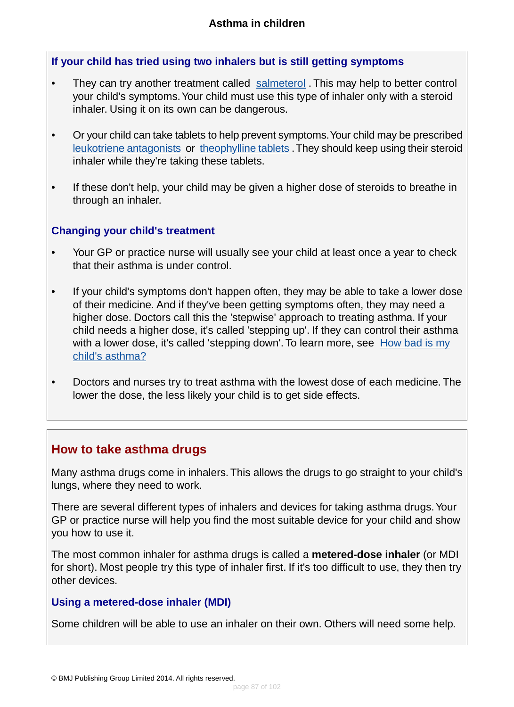### **If your child has tried using two inhalers but is still getting symptoms**

- They can try another treatment called [salmeterol](#page-66-0). This may help to better control your child's symptoms.Your child must use this type of inhaler only with a steroid inhaler. Using it on its own can be dangerous.
- Or your child can take tablets to help prevent symptoms.Your child may be prescribed [leukotriene antagonists](#page-52-0) or [theophylline tablets](#page-58-0) .They should keep using their steroid inhaler while they're taking these tablets.
- If these don't help, your child may be given a higher dose of steroids to breathe in through an inhaler.

#### **Changing your child's treatment**

- Your GP or practice nurse will usually see your child at least once a year to check that their asthma is under control.
- If your child's symptoms don't happen often, they may be able to take a lower dose of their medicine. And if they've been getting symptoms often, they may need a higher dose. Doctors call this the 'stepwise' approach to treating asthma. If your child needs a higher dose, it's called 'stepping up'. If they can control their asthma with a lower dose, it's called 'stepping down'. To learn more, see  $\frac{How bad is my}{...}$  $\frac{How bad is my}{...}$  $\frac{How bad is my}{...}$ [child's asthma?](#page-84-0)
- <span id="page-86-0"></span>• Doctors and nurses try to treat asthma with the lowest dose of each medicine. The lower the dose, the less likely your child is to get side effects.

## **How to take asthma drugs**

Many asthma drugs come in inhalers. This allows the drugs to go straight to your child's lungs, where they need to work.

There are several different types of inhalers and devices for taking asthma drugs.Your GP or practice nurse will help you find the most suitable device for your child and show you how to use it.

The most common inhaler for asthma drugs is called a **metered-dose inhaler** (or MDI for short). Most people try this type of inhaler first. If it's too difficult to use, they then try other devices.

#### **Using a metered-dose inhaler (MDI)**

Some children will be able to use an inhaler on their own. Others will need some help.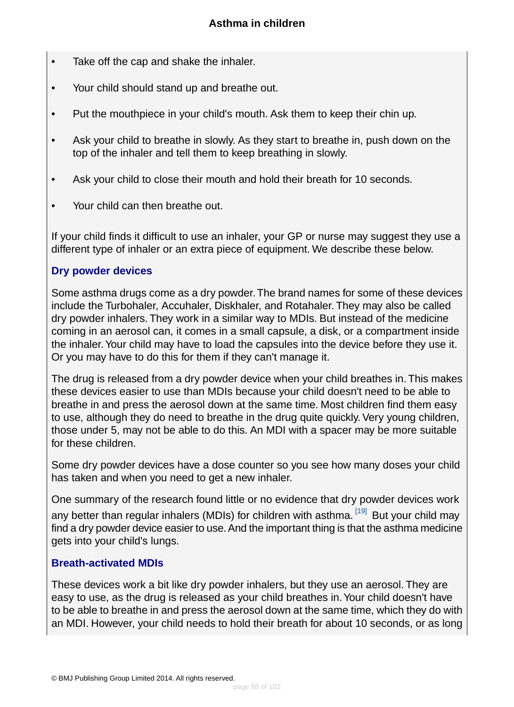- Take off the cap and shake the inhaler.
- Your child should stand up and breathe out.
- Put the mouthpiece in your child's mouth. Ask them to keep their chin up.
- Ask your child to breathe in slowly. As they start to breathe in, push down on the top of the inhaler and tell them to keep breathing in slowly.
- Ask your child to close their mouth and hold their breath for 10 seconds.
- Your child can then breathe out.

If your child finds it difficult to use an inhaler, your GP or nurse may suggest they use a different type of inhaler or an extra piece of equipment. We describe these below.

#### **Dry powder devices**

Some asthma drugs come as a dry powder.The brand names for some of these devices include the Turbohaler, Accuhaler, Diskhaler, and Rotahaler. They may also be called dry powder inhalers. They work in a similar way to MDIs. But instead of the medicine coming in an aerosol can, it comes in a small capsule, a disk, or a compartment inside the inhaler.Your child may have to load the capsules into the device before they use it. Or you may have to do this for them if they can't manage it.

The drug is released from a dry powder device when your child breathes in. This makes these devices easier to use than MDIs because your child doesn't need to be able to breathe in and press the aerosol down at the same time. Most children find them easy to use, although they do need to breathe in the drug quite quickly. Very young children, those under 5, may not be able to do this. An MDI with a spacer may be more suitable for these children.

Some dry powder devices have a dose counter so you see how many doses your child has taken and when you need to get a new inhaler.

One summary of the research found little or no evidence that dry powder devices work any better than regular inhalers (MDIs) for children with asthma. <sup>[\[19\]](#page-95-1)</sup> But your child may find a dry powder device easier to use. And the important thing is that the asthma medicine gets into your child's lungs.

#### **Breath-activated MDIs**

These devices work a bit like dry powder inhalers, but they use an aerosol. They are easy to use, as the drug is released as your child breathes in. Your child doesn't have to be able to breathe in and press the aerosol down at the same time, which they do with an MDI. However, your child needs to hold their breath for about 10 seconds, or as long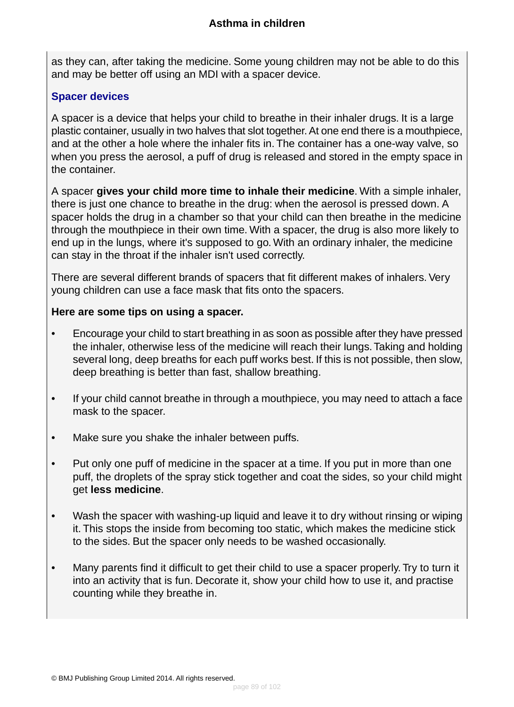as they can, after taking the medicine. Some young children may not be able to do this and may be better off using an MDI with a spacer device.

### **Spacer devices**

A spacer is a device that helps your child to breathe in their inhaler drugs. It is a large plastic container, usually in two halves that slot together. At one end there is a mouthpiece, and at the other a hole where the inhaler fits in. The container has a one-way valve, so when you press the aerosol, a puff of drug is released and stored in the empty space in the container.

A spacer **gives your child more time to inhale their medicine**. With a simple inhaler, there is just one chance to breathe in the drug: when the aerosol is pressed down. A spacer holds the drug in a chamber so that your child can then breathe in the medicine through the mouthpiece in their own time. With a spacer, the drug is also more likely to end up in the lungs, where it's supposed to go. With an ordinary inhaler, the medicine can stay in the throat if the inhaler isn't used correctly.

There are several different brands of spacers that fit different makes of inhalers. Very young children can use a face mask that fits onto the spacers.

### **Here are some tips on using a spacer.**

- Encourage your child to start breathing in as soon as possible after they have pressed the inhaler, otherwise less of the medicine will reach their lungs.Taking and holding several long, deep breaths for each puff works best. If this is not possible, then slow, deep breathing is better than fast, shallow breathing.
- If your child cannot breathe in through a mouthpiece, you may need to attach a face mask to the spacer.
- Make sure you shake the inhaler between puffs.
- Put only one puff of medicine in the spacer at a time. If you put in more than one puff, the droplets of the spray stick together and coat the sides, so your child might get **less medicine**.
- Wash the spacer with washing-up liquid and leave it to dry without rinsing or wiping it. This stops the inside from becoming too static, which makes the medicine stick to the sides. But the spacer only needs to be washed occasionally.
- Many parents find it difficult to get their child to use a spacer properly. Try to turn it into an activity that is fun. Decorate it, show your child how to use it, and practise counting while they breathe in.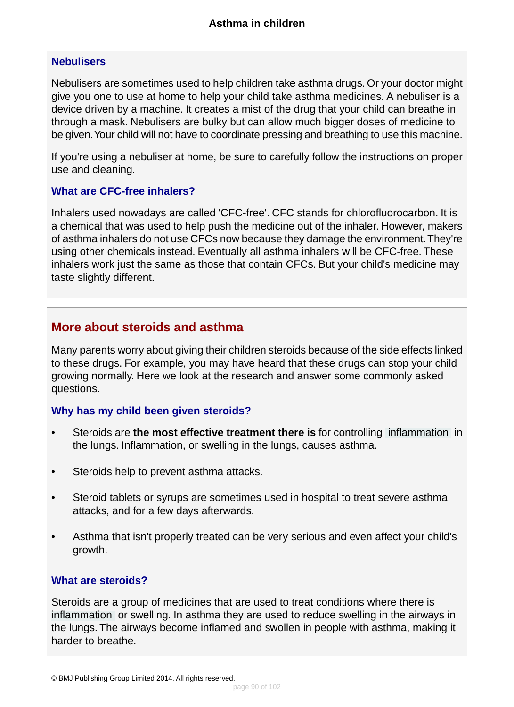### **Nebulisers**

Nebulisers are sometimes used to help children take asthma drugs. Or your doctor might give you one to use at home to help your child take asthma medicines. A nebuliser is a device driven by a machine. It creates a mist of the drug that your child can breathe in through a mask. Nebulisers are bulky but can allow much bigger doses of medicine to be given.Your child will not have to coordinate pressing and breathing to use this machine.

If you're using a nebuliser at home, be sure to carefully follow the instructions on proper use and cleaning.

### **What are CFC-free inhalers?**

Inhalers used nowadays are called 'CFC-free'. CFC stands for chlorofluorocarbon. It is a chemical that was used to help push the medicine out of the inhaler. However, makers of asthma inhalers do not use CFCs now because they damage the environment.They're using other chemicals instead. Eventually all asthma inhalers will be CFC-free. These inhalers work just the same as those that contain CFCs. But your child's medicine may taste slightly different.

## **More about steroids and asthma**

Many parents worry about giving their children steroids because of the side effects linked to these drugs. For example, you may have heard that these drugs can stop your child growing normally. Here we look at the research and answer some commonly asked questions.

### **Why has my child been given steroids?**

- Steroids are **the most effective treatment there is** for controlling [inflammation](#page-93-1) in the lungs. Inflammation, or swelling in the lungs, causes asthma.
- Steroids help to prevent asthma attacks.
- Steroid tablets or syrups are sometimes used in hospital to treat severe asthma attacks, and for a few days afterwards.
- Asthma that isn't properly treated can be very serious and even affect your child's growth.

### **What are steroids?**

Steroids are a group of medicines that are used to treat conditions where there is [inflammation](#page-93-1) or swelling. In asthma they are used to reduce swelling in the airways in the lungs. The airways become inflamed and swollen in people with asthma, making it harder to breathe.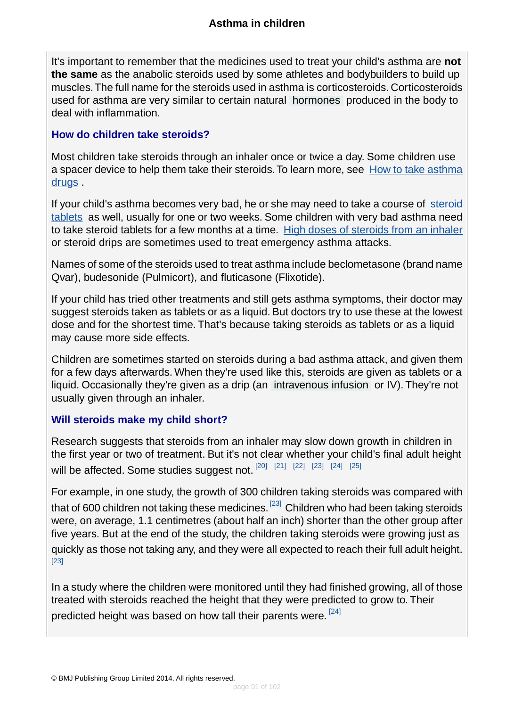It's important to remember that the medicines used to treat your child's asthma are **not the same** as the anabolic steroids used by some athletes and bodybuilders to build up muscles.The full name for the steroids used in asthma is corticosteroids. Corticosteroids used for asthma are very similar to certain natural [hormones](#page-93-3) produced in the body to deal with inflammation.

#### **How do children take steroids?**

Most children take steroids through an inhaler once or twice a day. Some children use a spacer device to help them take their steroids. To learn more, see [How to take asthma](#page-86-0) [drugs](#page-86-0) .

If your child's asthma becomes very bad, he or she may need to take a course of [steroid](#page-46-0) [tablets](#page-46-0) as well, usually for one or two weeks. Some children with very bad asthma need to take steroid tablets for a few months at a time. [High doses of steroids from an inhaler](#page-49-0) or steroid drips are sometimes used to treat emergency asthma attacks.

Names of some of the steroids used to treat asthma include beclometasone (brand name Qvar), budesonide (Pulmicort), and fluticasone (Flixotide).

If your child has tried other treatments and still gets asthma symptoms, their doctor may suggest steroids taken as tablets or as a liquid. But doctors try to use these at the lowest dose and for the shortest time. That's because taking steroids as tablets or as a liquid may cause more side effects.

Children are sometimes started on steroids during a bad asthma attack, and given them for a few days afterwards. When they're used like this, steroids are given as tablets or a liquid. Occasionally they're given as a drip (an [intravenous infusion](#page-93-4) or IV). They're not usually given through an inhaler.

### **Will steroids make my child short?**

Research suggests that steroids from an inhaler may slow down growth in children in the first year or two of treatment. But it's not clear whether your child's final adult height will be affected. Some studies suggest not. [\[20\]](#page-95-2) [\[21\]](#page-95-3) [\[22\]](#page-95-4) [\[23\]](#page-95-5) [\[24\]](#page-95-6) [\[25\]](#page-95-7)

For example, in one study, the growth of 300 children taking steroids was compared with that of 600 children not taking these medicines. <sup>[\[23\]](#page-95-5)</sup> Children who had been taking steroids were, on average, 1.1 centimetres (about half an inch) shorter than the other group after five years. But at the end of the study, the children taking steroids were growing just as quickly as those not taking any, and they were all expected to reach their full adult height. [\[23\]](#page-95-5)

In a study where the children were monitored until they had finished growing, all of those treated with steroids reached the height that they were predicted to grow to. Their predicted height was based on how tall their parents were.  $^{[24]}$  $^{[24]}$  $^{[24]}$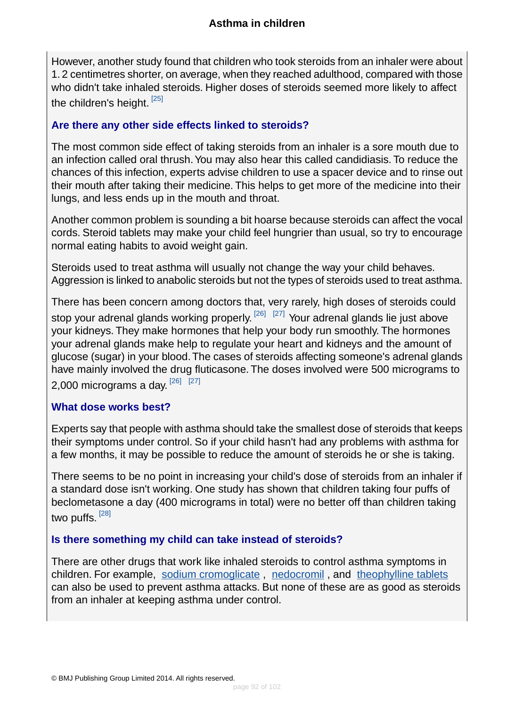However, another study found that children who took steroids from an inhaler were about 1. 2 centimetres shorter, on average, when they reached adulthood, compared with those who didn't take inhaled steroids. Higher doses of steroids seemed more likely to affect the children's height.<sup>[\[25\]](#page-95-7)</sup>

### **Are there any other side effects linked to steroids?**

The most common side effect of taking steroids from an inhaler is a sore mouth due to an infection called oral thrush.You may also hear this called candidiasis. To reduce the chances of this infection, experts advise children to use a spacer device and to rinse out their mouth after taking their medicine. This helps to get more of the medicine into their lungs, and less ends up in the mouth and throat.

Another common problem is sounding a bit hoarse because steroids can affect the vocal cords. Steroid tablets may make your child feel hungrier than usual, so try to encourage normal eating habits to avoid weight gain.

Steroids used to treat asthma will usually not change the way your child behaves. Aggression is linked to anabolic steroids but not the types of steroids used to treat asthma.

There has been concern among doctors that, very rarely, high doses of steroids could stop your adrenal glands working properly. <sup>[\[26\]](#page-95-8) [\[27\]](#page-95-9)</sup> Your adrenal glands lie just above your kidneys. They make hormones that help your body run smoothly. The hormones your adrenal glands make help to regulate your heart and kidneys and the amount of glucose (sugar) in your blood.The cases of steroids affecting someone's adrenal glands have mainly involved the drug fluticasone. The doses involved were 500 micrograms to 2,000 micrograms a day.  $^{[26]}$  $^{[26]}$  $^{[26]}$   $^{[27]}$  $^{[27]}$  $^{[27]}$ 

### **What dose works best?**

Experts say that people with asthma should take the smallest dose of steroids that keeps their symptoms under control. So if your child hasn't had any problems with asthma for a few months, it may be possible to reduce the amount of steroids he or she is taking.

There seems to be no point in increasing your child's dose of steroids from an inhaler if a standard dose isn't working. One study has shown that children taking four puffs of beclometasone a day (400 micrograms in total) were no better off than children taking two puffs.  $^{\rm [28]}$  $^{\rm [28]}$  $^{\rm [28]}$ 

### **Is there something my child can take instead of steroids?**

There are other drugs that work like inhaled steroids to control asthma symptoms in children. For example, [sodium cromoglicate](#page-60-0), [nedocromil](#page-55-0), and [theophylline tablets](#page-58-0) can also be used to prevent asthma attacks. But none of these are as good as steroids from an inhaler at keeping asthma under control.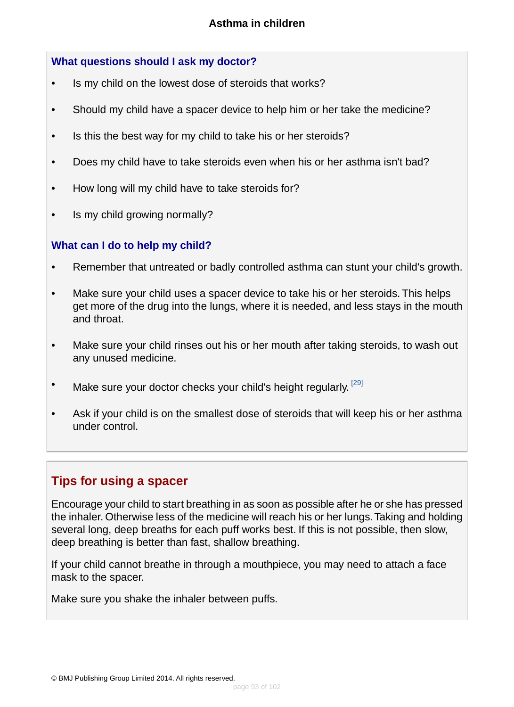### **What questions should I ask my doctor?**

- Is my child on the lowest dose of steroids that works?
- Should my child have a spacer device to help him or her take the medicine?
- Is this the best way for my child to take his or her steroids?
- Does my child have to take steroids even when his or her asthma isn't bad?
- How long will my child have to take steroids for?
- Is my child growing normally?

### **What can I do to help my child?**

- Remember that untreated or badly controlled asthma can stunt your child's growth.
- Make sure your child uses a spacer device to take his or her steroids. This helps get more of the drug into the lungs, where it is needed, and less stays in the mouth and throat.
- Make sure your child rinses out his or her mouth after taking steroids, to wash out any unused medicine.
- Make sure your doctor checks your child's height regularly.  $^{[29]}$  $^{[29]}$  $^{[29]}$
- Ask if your child is on the smallest dose of steroids that will keep his or her asthma under control.

## **Tips for using a spacer**

Encourage your child to start breathing in as soon as possible after he or she has pressed the inhaler. Otherwise less of the medicine will reach his or her lungs.Taking and holding several long, deep breaths for each puff works best. If this is not possible, then slow, deep breathing is better than fast, shallow breathing.

If your child cannot breathe in through a mouthpiece, you may need to attach a face mask to the spacer.

Make sure you shake the inhaler between puffs.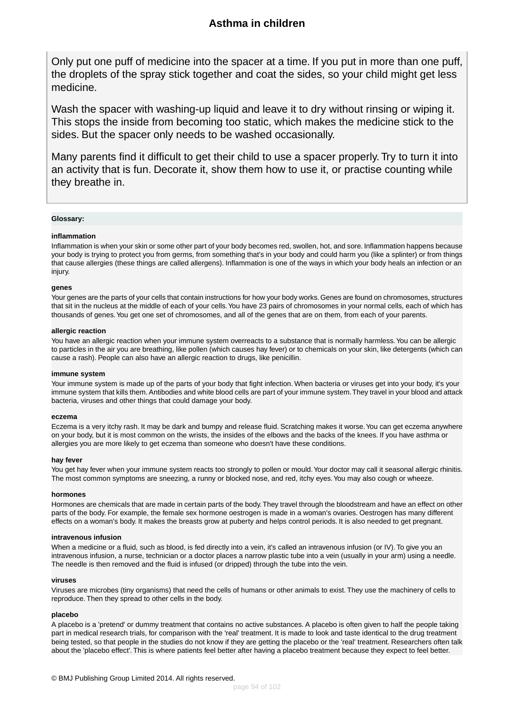Only put one puff of medicine into the spacer at a time. If you put in more than one puff, the droplets of the spray stick together and coat the sides, so your child might get less medicine.

Wash the spacer with washing-up liquid and leave it to dry without rinsing or wiping it. This stops the inside from becoming too static, which makes the medicine stick to the sides. But the spacer only needs to be washed occasionally.

Many parents find it difficult to get their child to use a spacer properly. Try to turn it into an activity that is fun. Decorate it, show them how to use it, or practise counting while they breathe in.

#### <span id="page-93-1"></span>**Glossary:**

#### **inflammation**

Inflammation is when your skin or some other part of your body becomes red, swollen, hot, and sore. Inflammation happens because your body is trying to protect you from germs, from something that's in your body and could harm you (like a splinter) or from things that cause allergies (these things are called allergens). Inflammation is one of the ways in which your body heals an infection or an injury.

#### **genes**

Your genes are the parts of your cells that contain instructions for how your body works. Genes are found on chromosomes, structures that sit in the nucleus at the middle of each of your cells.You have 23 pairs of chromosomes in your normal cells, each of which has thousands of genes.You get one set of chromosomes, and all of the genes that are on them, from each of your parents.

#### <span id="page-93-0"></span>**allergic reaction**

You have an allergic reaction when your immune system overreacts to a substance that is normally harmless.You can be allergic to particles in the air you are breathing, like pollen (which causes hay fever) or to chemicals on your skin, like detergents (which can cause a rash). People can also have an allergic reaction to drugs, like penicillin.

#### **immune system**

Your immune system is made up of the parts of your body that fight infection. When bacteria or viruses get into your body, it's your immune system that kills them. Antibodies and white blood cells are part of your immune system.They travel in your blood and attack bacteria, viruses and other things that could damage your body.

#### **eczema**

<span id="page-93-3"></span>Eczema is a very itchy rash. It may be dark and bumpy and release fluid. Scratching makes it worse.You can get eczema anywhere on your body, but it is most common on the wrists, the insides of the elbows and the backs of the knees. If you have asthma or allergies you are more likely to get eczema than someone who doesn't have these conditions.

#### **hay fever**

<span id="page-93-4"></span>You get hay fever when your immune system reacts too strongly to pollen or mould. Your doctor may call it seasonal allergic rhinitis. The most common symptoms are sneezing, a runny or blocked nose, and red, itchy eyes.You may also cough or wheeze.

#### **hormones**

Hormones are chemicals that are made in certain parts of the body.They travel through the bloodstream and have an effect on other parts of the body. For example, the female sex hormone oestrogen is made in a woman's ovaries. Oestrogen has many different effects on a woman's body. It makes the breasts grow at puberty and helps control periods. It is also needed to get pregnant.

#### **intravenous infusion**

<span id="page-93-2"></span>When a medicine or a fluid, such as blood, is fed directly into a vein, it's called an intravenous infusion (or IV). To give you an intravenous infusion, a nurse, technician or a doctor places a narrow plastic tube into a vein (usually in your arm) using a needle. The needle is then removed and the fluid is infused (or dripped) through the tube into the vein.

#### **viruses**

Viruses are microbes (tiny organisms) that need the cells of humans or other animals to exist. They use the machinery of cells to reproduce. Then they spread to other cells in the body.

#### **placebo**

A placebo is a 'pretend' or dummy treatment that contains no active substances. A placebo is often given to half the people taking part in medical research trials, for comparison with the 'real' treatment. It is made to look and taste identical to the drug treatment being tested, so that people in the studies do not know if they are getting the placebo or the 'real' treatment. Researchers often talk about the 'placebo effect'. This is where patients feel better after having a placebo treatment because they expect to feel better.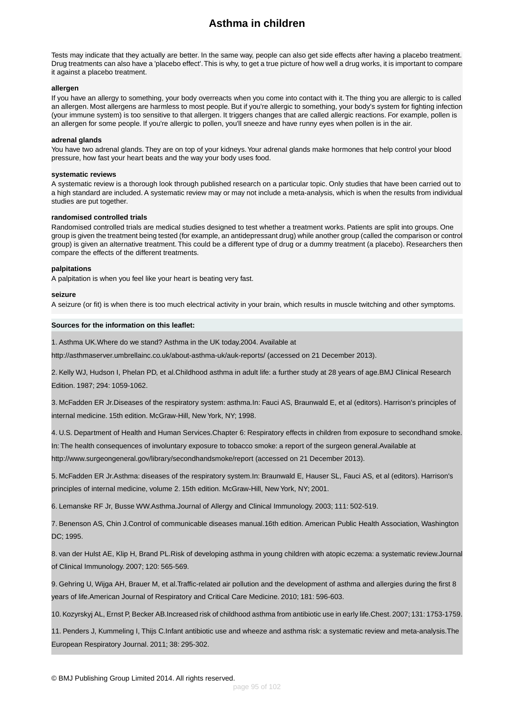Tests may indicate that they actually are better. In the same way, people can also get side effects after having a placebo treatment. Drug treatments can also have a 'placebo effect'.This is why, to get a true picture of how well a drug works, it is important to compare it against a placebo treatment.

#### <span id="page-94-1"></span>**allergen**

If you have an allergy to something, your body overreacts when you come into contact with it. The thing you are allergic to is called an allergen. Most allergens are harmless to most people. But if you're allergic to something, your body's system for fighting infection (your immune system) is too sensitive to that allergen. It triggers changes that are called allergic reactions. For example, pollen is an allergen for some people. If you're allergic to pollen, you'll sneeze and have runny eyes when pollen is in the air.

#### **adrenal glands**

<span id="page-94-0"></span>You have two adrenal glands. They are on top of your kidneys. Your adrenal glands make hormones that help control your blood pressure, how fast your heart beats and the way your body uses food.

#### **systematic reviews**

<span id="page-94-3"></span>A systematic review is a thorough look through published research on a particular topic. Only studies that have been carried out to a high standard are included. A systematic review may or may not include a meta-analysis, which is when the results from individual studies are put together.

#### **randomised controlled trials**

Randomised controlled trials are medical studies designed to test whether a treatment works. Patients are split into groups. One group is given the treatment being tested (for example, an antidepressant drug) while another group (called the comparison or control group) is given an alternative treatment. This could be a different type of drug or a dummy treatment (a placebo). Researchers then compare the effects of the different treatments.

#### **palpitations**

A palpitation is when you feel like your heart is beating very fast.

#### **seizure**

A seizure (or fit) is when there is too much electrical activity in your brain, which results in muscle twitching and other symptoms.

#### **Sources for the information on this leaflet:**

1. Asthma UK.Where do we stand? Asthma in the UK today.2004. Available at

<span id="page-94-2"></span>http://asthmaserver.umbrellainc.co.uk/about-asthma-uk/auk-reports/ (accessed on 21 December 2013).

2. Kelly WJ, Hudson I, Phelan PD, et al.Childhood asthma in adult life: a further study at 28 years of age.BMJ Clinical Research Edition. 1987; 294: 1059-1062.

<span id="page-94-4"></span>3. McFadden ER Jr.Diseases of the respiratory system: asthma.In: Fauci AS, Braunwald E, et al (editors). Harrison's principles of internal medicine. 15th edition. McGraw-Hill, New York, NY; 1998.

<span id="page-94-5"></span>4. U.S. Department of Health and Human Services.Chapter 6: Respiratory effects in children from exposure to secondhand smoke.

In: The health consequences of involuntary exposure to tobacco smoke: a report of the surgeon general.Available at

<span id="page-94-6"></span>http://www.surgeongeneral.gov/library/secondhandsmoke/report (accessed on 21 December 2013).

5. McFadden ER Jr.Asthma: diseases of the respiratory system.In: Braunwald E, Hauser SL, Fauci AS, et al (editors). Harrison's principles of internal medicine, volume 2. 15th edition. McGraw-Hill, New York, NY; 2001.

6. Lemanske RF Jr, Busse WW.Asthma.Journal of Allergy and Clinical Immunology. 2003; 111: 502-519.

7. Benenson AS, Chin J.Control of communicable diseases manual.16th edition. American Public Health Association, Washington DC; 1995.

8. van der Hulst AE, Klip H, Brand PL.Risk of developing asthma in young children with atopic eczema: a systematic review.Journal of Clinical Immunology. 2007; 120: 565-569.

9. Gehring U, Wijga AH, Brauer M, et al.Traffic-related air pollution and the development of asthma and allergies during the first 8 years of life.American Journal of Respiratory and Critical Care Medicine. 2010; 181: 596-603.

10. Kozyrskyj AL, Ernst P, Becker AB.Increased risk of childhood asthma from antibiotic use in early life.Chest. 2007; 131: 1753-1759.

11. Penders J, Kummeling I, Thijs C.Infant antibiotic use and wheeze and asthma risk: a systematic review and meta-analysis.The European Respiratory Journal. 2011; 38: 295-302.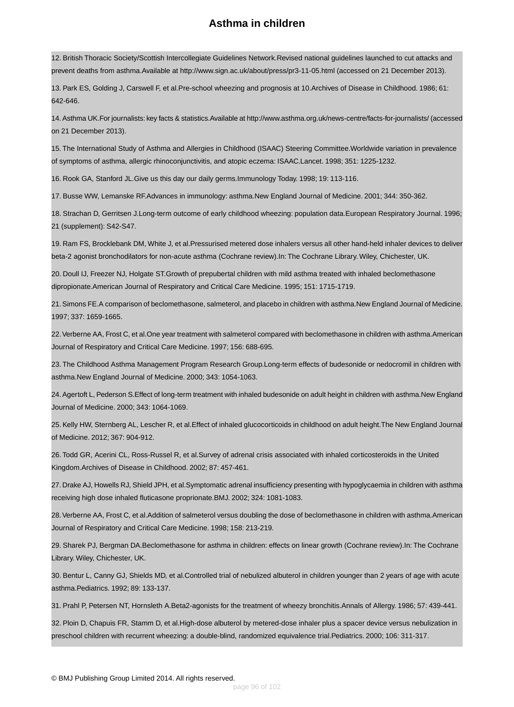<span id="page-95-0"></span>12. British Thoracic Society/Scottish Intercollegiate Guidelines Network.Revised national guidelines launched to cut attacks and prevent deaths from asthma.Available at http://www.sign.ac.uk/about/press/pr3-11-05.html (accessed on 21 December 2013).

13. Park ES, Golding J, Carswell F, et al.Pre-school wheezing and prognosis at 10.Archives of Disease in Childhood. 1986; 61: 642-646.

14. Asthma UK.For journalists: key facts & statistics.Available at http://www.asthma.org.uk/news-centre/facts-for-journalists/ (accessed on 21 December 2013).

15. The International Study of Asthma and Allergies in Childhood (ISAAC) Steering Committee.Worldwide variation in prevalence of symptoms of asthma, allergic rhinoconjunctivitis, and atopic eczema: ISAAC.Lancet. 1998; 351: 1225-1232.

16. Rook GA, Stanford JL.Give us this day our daily germs.Immunology Today. 1998; 19: 113-116.

17. Busse WW, Lemanske RF.Advances in immunology: asthma.New England Journal of Medicine. 2001; 344: 350-362.

<span id="page-95-1"></span>18. Strachan D, Gerritsen J.Long-term outcome of early childhood wheezing: population data.European Respiratory Journal. 1996; 21 (supplement): S42-S47.

<span id="page-95-2"></span>19. Ram FS, Brocklebank DM, White J, et al.Pressurised metered dose inhalers versus all other hand-held inhaler devices to deliver beta-2 agonist bronchodilators for non-acute asthma (Cochrane review).In: The Cochrane Library. Wiley, Chichester, UK.

<span id="page-95-3"></span>20. Doull IJ, Freezer NJ, Holgate ST.Growth of prepubertal children with mild asthma treated with inhaled beclomethasone dipropionate.American Journal of Respiratory and Critical Care Medicine. 1995; 151: 1715-1719.

<span id="page-95-4"></span>21. Simons FE.A comparison of beclomethasone, salmeterol, and placebo in children with asthma.New England Journal of Medicine. 1997; 337: 1659-1665.

<span id="page-95-5"></span>22.Verberne AA, Frost C, et al.One year treatment with salmeterol compared with beclomethasone in children with asthma.American Journal of Respiratory and Critical Care Medicine. 1997; 156: 688-695.

<span id="page-95-7"></span><span id="page-95-6"></span>23. The Childhood Asthma Management Program Research Group.Long-term effects of budesonide or nedocromil in children with asthma.New England Journal of Medicine. 2000; 343: 1054-1063.

<span id="page-95-8"></span>24. Agertoft L, Pederson S.Effect of long-term treatment with inhaled budesonide on adult height in children with asthma.New England Journal of Medicine. 2000; 343: 1064-1069.

<span id="page-95-9"></span>25. Kelly HW, Sternberg AL, Lescher R, et al.Effect of inhaled glucocorticoids in childhood on adult height.The New England Journal of Medicine. 2012; 367: 904-912.

<span id="page-95-10"></span>26. Todd GR, Acerini CL, Ross-Russel R, et al.Survey of adrenal crisis associated with inhaled corticosteroids in the United Kingdom.Archives of Disease in Childhood. 2002; 87: 457-461.

<span id="page-95-11"></span>27. Drake AJ, Howells RJ, Shield JPH, et al.Symptomatic adrenal insufficiency presenting with hypoglycaemia in children with asthma receiving high dose inhaled fluticasone proprionate.BMJ. 2002; 324: 1081-1083.

28.Verberne AA, Frost C, et al.Addition of salmeterol versus doubling the dose of beclomethasone in children with asthma.American Journal of Respiratory and Critical Care Medicine. 1998; 158: 213-219.

29. Sharek PJ, Bergman DA.Beclomethasone for asthma in children: effects on linear growth (Cochrane review).In: The Cochrane Library. Wiley, Chichester, UK.

30. Bentur L, Canny GJ, Shields MD, et al.Controlled trial of nebulized albuterol in children younger than 2 years of age with acute asthma.Pediatrics. 1992; 89: 133-137.

31. Prahl P, Petersen NT, Hornsleth A.Beta2-agonists for the treatment of wheezy bronchitis.Annals of Allergy. 1986; 57: 439-441.

32. Ploin D, Chapuis FR, Stamm D, et al.High-dose albuterol by metered-dose inhaler plus a spacer device versus nebulization in preschool children with recurrent wheezing: a double-blind, randomized equivalence trial.Pediatrics. 2000; 106: 311-317.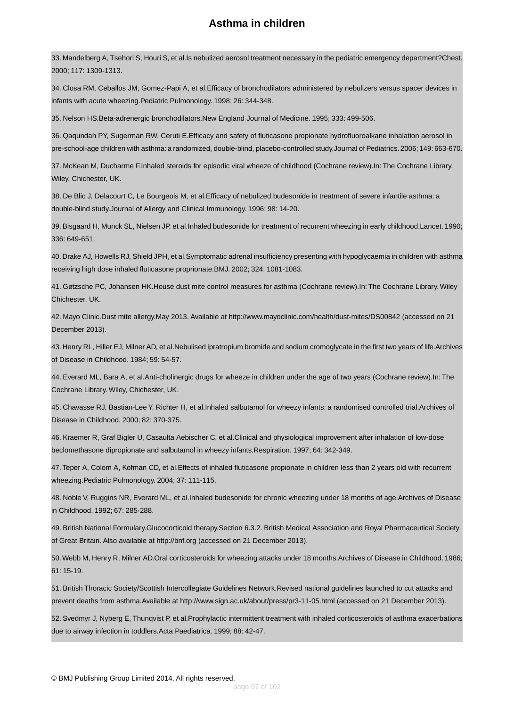33. Mandelberg A, Tsehori S, Houri S, et al.Is nebulized aerosol treatment necessary in the pediatric emergency department?Chest. 2000; 117: 1309-1313.

34. Closa RM, Ceballos JM, Gomez-Papi A, et al.Efficacy of bronchodilators administered by nebulizers versus spacer devices in infants with acute wheezing.Pediatric Pulmonology. 1998; 26: 344-348.

35. Nelson HS.Beta-adrenergic bronchodilators.New England Journal of Medicine. 1995; 333: 499-506.

36. Qaqundah PY, Sugerman RW, Ceruti E.Efficacy and safety of fluticasone propionate hydrofluoroalkane inhalation aerosol in pre-school-age children with asthma: a randomized, double-blind, placebo-controlled study.Journal of Pediatrics. 2006; 149: 663-670.

37. McKean M, Ducharme F.Inhaled steroids for episodic viral wheeze of childhood (Cochrane review).In: The Cochrane Library. Wiley, Chichester, UK.

38. De Blic J, Delacourt C, Le Bourgeois M, et al.Efficacy of nebulized budesonide in treatment of severe infantile asthma: a double-blind study.Journal of Allergy and Clinical Immunology. 1996; 98: 14-20.

39. Bisgaard H, Munck SL, Nielsen JP, et al.Inhaled budesonide for treatment of recurrent wheezing in early childhood.Lancet. 1990; 336: 649-651.

<span id="page-96-0"></span>40. Drake AJ, Howells RJ, Shield JPH, et al.Symptomatic adrenal insufficiency presenting with hypoglycaemia in children with asthma receiving high dose inhaled fluticasone proprionate.BMJ. 2002; 324: 1081-1083.

41. Gøtzsche PC, Johansen HK.House dust mite control measures for asthma (Cochrane review).In: The Cochrane Library. Wiley Chichester, UK.

42. Mayo Clinic.Dust mite allergy.May 2013. Available at http://www.mayoclinic.com/health/dust-mites/DS00842 (accessed on 21 December 2013).

43. Henry RL, Hiller EJ, Milner AD, et al.Nebulised ipratropium bromide and sodium cromoglycate in the first two years of life.Archives of Disease in Childhood. 1984; 59: 54-57.

44. Everard ML, Bara A, et al.Anti-cholinergic drugs for wheeze in children under the age of two years (Cochrane review).In: The Cochrane Library. Wiley, Chichester, UK.

45. Chavasse RJ, Bastian-Lee Y, Richter H, et al.Inhaled salbutamol for wheezy infants: a randomised controlled trial.Archives of Disease in Childhood. 2000; 82: 370-375.

46. Kraemer R, Graf Bigler U, Casaulta Aebischer C, et al.Clinical and physiological improvement after inhalation of low-dose beclomethasone dipropionate and salbutamol in wheezy infants.Respiration. 1997; 64: 342-349.

47. Teper A, Colom A, Kofman CD, et al.Effects of inhaled fluticasone propionate in children less than 2 years old with recurrent wheezing.Pediatric Pulmonology. 2004; 37: 111-115.

48. Noble V, Ruggins NR, Everard ML, et al.Inhaled budesonide for chronic wheezing under 18 months of age.Archives of Disease in Childhood. 1992; 67: 285-288.

49. British National Formulary.Glucocorticoid therapy.Section 6.3.2. British Medical Association and Royal Pharmaceutical Society of Great Britain. Also available at http://bnf.org (accessed on 21 December 2013).

50.Webb M, Henry R, Milner AD.Oral corticosteroids for wheezing attacks under 18 months.Archives of Disease in Childhood. 1986; 61: 15-19.

51. British Thoracic Society/Scottish Intercollegiate Guidelines Network.Revised national guidelines launched to cut attacks and prevent deaths from asthma.Available at http://www.sign.ac.uk/about/press/pr3-11-05.html (accessed on 21 December 2013).

52. Svedmyr J, Nyberg E, Thunqvist P, et al.Prophylactic intermittent treatment with inhaled corticosteroids of asthma exacerbations due to airway infection in toddlers.Acta Paediatrica. 1999; 88: 42-47.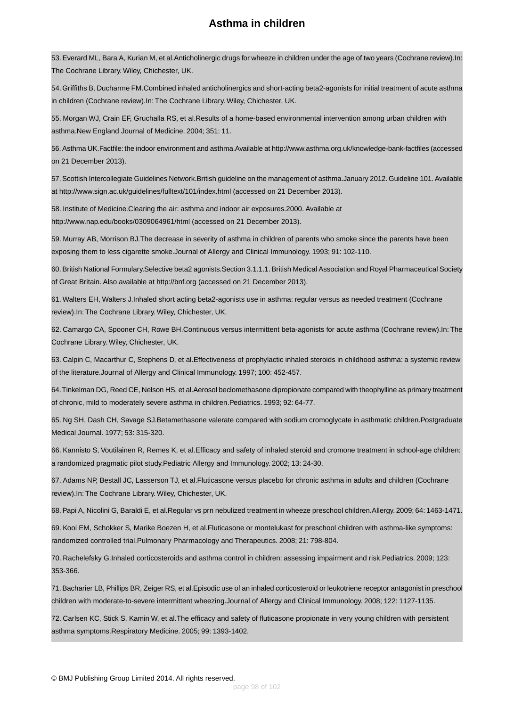53. Everard ML, Bara A, Kurian M, et al.Anticholinergic drugs for wheeze in children under the age of two years (Cochrane review).In: The Cochrane Library. Wiley, Chichester, UK.

54. Griffiths B, Ducharme FM.Combined inhaled anticholinergics and short-acting beta2-agonists for initial treatment of acute asthma in children (Cochrane review).In: The Cochrane Library. Wiley, Chichester, UK.

<span id="page-97-2"></span><span id="page-97-1"></span>55. Morgan WJ, Crain EF, Gruchalla RS, et al.Results of a home-based environmental intervention among urban children with asthma.New England Journal of Medicine. 2004; 351: 11.

<span id="page-97-0"></span>56. Asthma UK.Factfile: the indoor environment and asthma.Available at http://www.asthma.org.uk/knowledge-bank-factfiles (accessed on 21 December 2013).

<span id="page-97-3"></span>57. Scottish Intercollegiate Guidelines Network.British guideline on the management of asthma.January 2012. Guideline 101. Available at http://www.sign.ac.uk/guidelines/fulltext/101/index.html (accessed on 21 December 2013).

<span id="page-97-4"></span>58. Institute of Medicine.Clearing the air: asthma and indoor air exposures.2000. Available at http://www.nap.edu/books/0309064961/html (accessed on 21 December 2013).

59. Murray AB, Morrison BJ.The decrease in severity of asthma in children of parents who smoke since the parents have been exposing them to less cigarette smoke.Journal of Allergy and Clinical Immunology. 1993; 91: 102-110.

60. British National Formulary.Selective beta2 agonists.Section 3.1.1.1. British Medical Association and Royal Pharmaceutical Society of Great Britain. Also available at http://bnf.org (accessed on 21 December 2013).

61. Walters EH, Walters J.Inhaled short acting beta2-agonists use in asthma: regular versus as needed treatment (Cochrane review).In: The Cochrane Library. Wiley, Chichester, UK.

62. Camargo CA, Spooner CH, Rowe BH.Continuous versus intermittent beta-agonists for acute asthma (Cochrane review).In: The Cochrane Library. Wiley, Chichester, UK.

63. Calpin C, Macarthur C, Stephens D, et al.Effectiveness of prophylactic inhaled steroids in childhood asthma: a systemic review of the literature.Journal of Allergy and Clinical Immunology. 1997; 100: 452-457.

64.Tinkelman DG, Reed CE, Nelson HS, et al.Aerosol beclomethasone dipropionate compared with theophylline as primary treatment of chronic, mild to moderately severe asthma in children.Pediatrics. 1993; 92: 64-77.

65. Ng SH, Dash CH, Savage SJ.Betamethasone valerate compared with sodium cromoglycate in asthmatic children.Postgraduate Medical Journal. 1977; 53: 315-320.

66. Kannisto S, Voutilainen R, Remes K, et al.Efficacy and safety of inhaled steroid and cromone treatment in school-age children: a randomized pragmatic pilot study.Pediatric Allergy and Immunology. 2002; 13: 24-30.

67. Adams NP, Bestall JC, Lasserson TJ, et al.Fluticasone versus placebo for chronic asthma in adults and children (Cochrane review).In: The Cochrane Library. Wiley, Chichester, UK.

68. Papi A, Nicolini G, Baraldi E, et al.Regular vs prn nebulized treatment in wheeze preschool children.Allergy. 2009; 64: 1463-1471.

69. Kooi EM, Schokker S, Marike Boezen H, et al.Fluticasone or montelukast for preschool children with asthma-like symptoms: randomized controlled trial.Pulmonary Pharmacology and Therapeutics. 2008; 21: 798-804.

70. Rachelefsky G.Inhaled corticosteroids and asthma control in children: assessing impairment and risk.Pediatrics. 2009; 123: 353-366.

71. Bacharier LB, Phillips BR, Zeiger RS, et al.Episodic use of an inhaled corticosteroid or leukotriene receptor antagonist in preschool children with moderate-to-severe intermittent wheezing.Journal of Allergy and Clinical Immunology. 2008; 122: 1127-1135.

72. Carlsen KC, Stick S, Kamin W, et al.The efficacy and safety of fluticasone propionate in very young children with persistent asthma symptoms.Respiratory Medicine. 2005; 99: 1393-1402.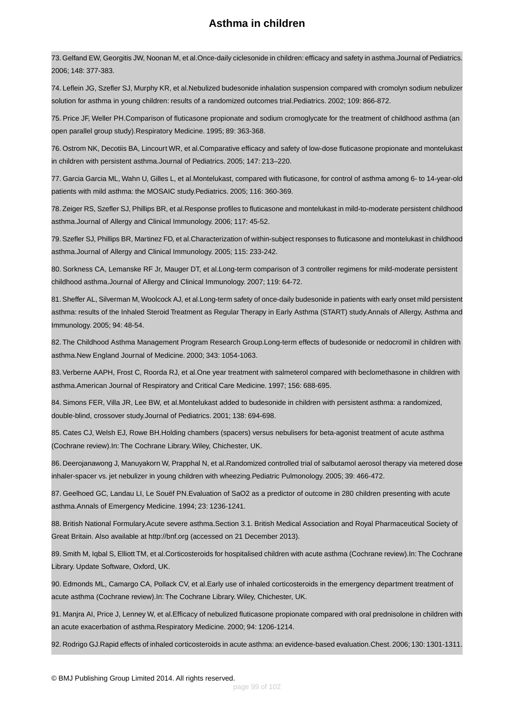73. Gelfand EW, Georgitis JW, Noonan M, et al.Once-daily ciclesonide in children: efficacy and safety in asthma.Journal of Pediatrics. 2006; 148: 377-383.

74. Leflein JG, Szefler SJ, Murphy KR, et al.Nebulized budesonide inhalation suspension compared with cromolyn sodium nebulizer solution for asthma in young children: results of a randomized outcomes trial.Pediatrics. 2002; 109: 866-872.

75. Price JF, Weller PH.Comparison of fluticasone propionate and sodium cromoglycate for the treatment of childhood asthma (an open parallel group study).Respiratory Medicine. 1995; 89: 363-368.

76. Ostrom NK, Decotiis BA, Lincourt WR, et al.Comparative efficacy and safety of low-dose fluticasone propionate and montelukast in children with persistent asthma.Journal of Pediatrics. 2005; 147: 213–220.

77. Garcia Garcia ML, Wahn U, Gilles L, et al.Montelukast, compared with fluticasone, for control of asthma among 6- to 14-year-old patients with mild asthma: the MOSAIC study.Pediatrics. 2005; 116: 360-369.

78. Zeiger RS, Szefler SJ, Phillips BR, et al.Response profiles to fluticasone and montelukast in mild-to-moderate persistent childhood asthma.Journal of Allergy and Clinical Immunology. 2006; 117: 45-52.

79. Szefler SJ, Phillips BR, Martinez FD, et al.Characterization of within-subject responses to fluticasone and montelukast in childhood asthma.Journal of Allergy and Clinical Immunology. 2005; 115: 233-242.

80. Sorkness CA, Lemanske RF Jr, Mauger DT, et al.Long-term comparison of 3 controller regimens for mild-moderate persistent childhood asthma.Journal of Allergy and Clinical Immunology. 2007; 119: 64-72.

81. Sheffer AL, Silverman M, Woolcock AJ, et al.Long-term safety of once-daily budesonide in patients with early onset mild persistent asthma: results of the Inhaled Steroid Treatment as Regular Therapy in Early Asthma (START) study.Annals of Allergy, Asthma and Immunology. 2005; 94: 48-54.

82. The Childhood Asthma Management Program Research Group.Long-term effects of budesonide or nedocromil in children with asthma.New England Journal of Medicine. 2000; 343: 1054-1063.

83. Verberne AAPH, Frost C, Roorda RJ, et al.One year treatment with salmeterol compared with beclomethasone in children with asthma.American Journal of Respiratory and Critical Care Medicine. 1997; 156: 688-695.

84. Simons FER, Villa JR, Lee BW, et al.Montelukast added to budesonide in children with persistent asthma: a randomized, double-blind, crossover study.Journal of Pediatrics. 2001; 138: 694-698.

85. Cates CJ, Welsh EJ, Rowe BH.Holding chambers (spacers) versus nebulisers for beta-agonist treatment of acute asthma (Cochrane review).In: The Cochrane Library. Wiley, Chichester, UK.

86. Deerojanawong J, Manuyakorn W, Prapphal N, et al.Randomized controlled trial of salbutamol aerosol therapy via metered dose inhaler-spacer vs. jet nebulizer in young children with wheezing.Pediatric Pulmonology. 2005; 39: 466-472.

87. Geelhoed GC, Landau LI, Le Souëf PN.Evaluation of SaO2 as a predictor of outcome in 280 children presenting with acute asthma.Annals of Emergency Medicine. 1994; 23: 1236-1241.

88. British National Formulary.Acute severe asthma.Section 3.1. British Medical Association and Royal Pharmaceutical Society of Great Britain. Also available at http://bnf.org (accessed on 21 December 2013).

89. Smith M, Iqbal S, Elliott TM, et al.Corticosteroids for hospitalised children with acute asthma (Cochrane review).In:The Cochrane Library. Update Software, Oxford, UK.

90. Edmonds ML, Camargo CA, Pollack CV, et al.Early use of inhaled corticosteroids in the emergency department treatment of acute asthma (Cochrane review).In: The Cochrane Library. Wiley, Chichester, UK.

91. Manjra AI, Price J, Lenney W, et al.Efficacy of nebulized fluticasone propionate compared with oral prednisolone in children with an acute exacerbation of asthma.Respiratory Medicine. 2000; 94: 1206-1214.

92. Rodrigo GJ.Rapid effects of inhaled corticosteroids in acute asthma: an evidence-based evaluation.Chest. 2006; 130: 1301-1311.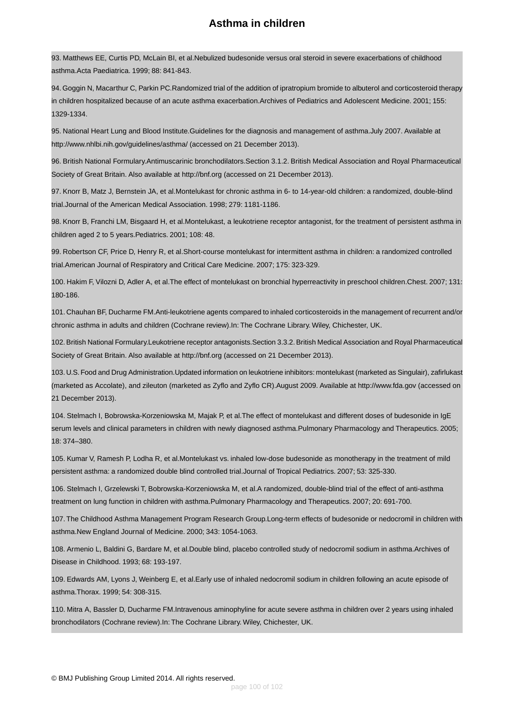93. Matthews EE, Curtis PD, McLain BI, et al.Nebulized budesonide versus oral steroid in severe exacerbations of childhood asthma.Acta Paediatrica. 1999; 88: 841-843.

94. Goggin N, Macarthur C, Parkin PC.Randomized trial of the addition of ipratropium bromide to albuterol and corticosteroid therapy in children hospitalized because of an acute asthma exacerbation.Archives of Pediatrics and Adolescent Medicine. 2001; 155: 1329-1334.

95. National Heart Lung and Blood Institute.Guidelines for the diagnosis and management of asthma.July 2007. Available at http://www.nhlbi.nih.gov/guidelines/asthma/ (accessed on 21 December 2013).

96. British National Formulary.Antimuscarinic bronchodilators.Section 3.1.2. British Medical Association and Royal Pharmaceutical Society of Great Britain. Also available at http://bnf.org (accessed on 21 December 2013).

97. Knorr B, Matz J, Bernstein JA, et al.Montelukast for chronic asthma in 6- to 14-year-old children: a randomized, double-blind trial.Journal of the American Medical Association. 1998; 279: 1181-1186.

98. Knorr B, Franchi LM, Bisgaard H, et al.Montelukast, a leukotriene receptor antagonist, for the treatment of persistent asthma in children aged 2 to 5 years.Pediatrics. 2001; 108: 48.

99. Robertson CF, Price D, Henry R, et al.Short-course montelukast for intermittent asthma in children: a randomized controlled trial.American Journal of Respiratory and Critical Care Medicine. 2007; 175: 323-329.

100. Hakim F, Vilozni D, Adler A, et al.The effect of montelukast on bronchial hyperreactivity in preschool children.Chest. 2007; 131: 180-186.

101. Chauhan BF, Ducharme FM.Anti-leukotriene agents compared to inhaled corticosteroids in the management of recurrent and/or chronic asthma in adults and children (Cochrane review).In: The Cochrane Library. Wiley, Chichester, UK.

<span id="page-99-0"></span>102. British National Formulary.Leukotriene receptor antagonists.Section 3.3.2. British Medical Association and Royal Pharmaceutical Society of Great Britain. Also available at http://bnf.org (accessed on 21 December 2013).

103. U.S. Food and Drug Administration.Updated information on leukotriene inhibitors: montelukast (marketed as Singulair), zafirlukast (marketed as Accolate), and zileuton (marketed as Zyflo and Zyflo CR).August 2009. Available at http://www.fda.gov (accessed on 21 December 2013).

104. Stelmach I, Bobrowska-Korzeniowska M, Majak P, et al.The effect of montelukast and different doses of budesonide in IgE serum levels and clinical parameters in children with newly diagnosed asthma.Pulmonary Pharmacology and Therapeutics. 2005; 18: 374–380.

105. Kumar V, Ramesh P, Lodha R, et al.Montelukast vs. inhaled low-dose budesonide as monotherapy in the treatment of mild persistent asthma: a randomized double blind controlled trial.Journal of Tropical Pediatrics. 2007; 53: 325-330.

106. Stelmach I, Grzelewski T, Bobrowska-Korzeniowska M, et al.A randomized, double-blind trial of the effect of anti-asthma treatment on lung function in children with asthma.Pulmonary Pharmacology and Therapeutics. 2007; 20: 691-700.

107.The Childhood Asthma Management Program Research Group.Long-term effects of budesonide or nedocromil in children with asthma.New England Journal of Medicine. 2000; 343: 1054-1063.

108. Armenio L, Baldini G, Bardare M, et al.Double blind, placebo controlled study of nedocromil sodium in asthma.Archives of Disease in Childhood. 1993; 68: 193-197.

109. Edwards AM, Lyons J, Weinberg E, et al.Early use of inhaled nedocromil sodium in children following an acute episode of asthma.Thorax. 1999; 54: 308-315.

110. Mitra A, Bassler D, Ducharme FM.Intravenous aminophyline for acute severe asthma in children over 2 years using inhaled bronchodilators (Cochrane review).In: The Cochrane Library. Wiley, Chichester, UK.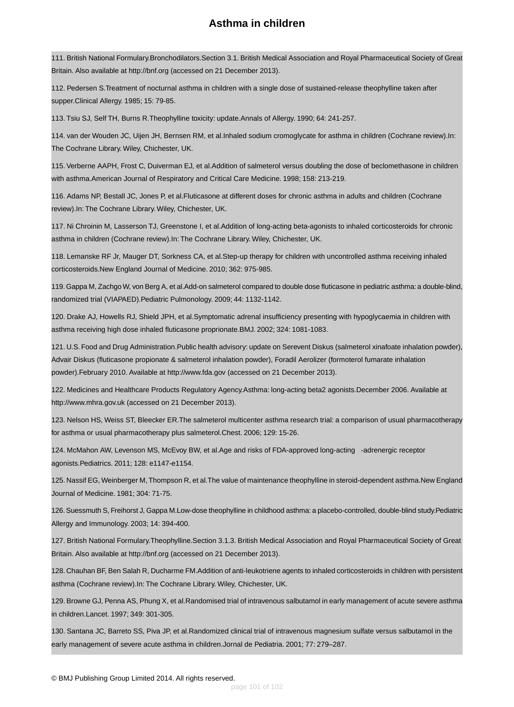111. British National Formulary.Bronchodilators.Section 3.1. British Medical Association and Royal Pharmaceutical Society of Great Britain. Also available at http://bnf.org (accessed on 21 December 2013).

112. Pedersen S.Treatment of nocturnal asthma in children with a single dose of sustained-release theophylline taken after supper.Clinical Allergy. 1985; 15: 79-85.

113. Tsiu SJ, Self TH, Burns R.Theophylline toxicity: update.Annals of Allergy. 1990; 64: 241-257.

114. van der Wouden JC, Uijen JH, Bernsen RM, et al.Inhaled sodium cromoglycate for asthma in children (Cochrane review).In: The Cochrane Library. Wiley, Chichester, UK.

115. Verberne AAPH, Frost C, Duiverman EJ, et al.Addition of salmeterol versus doubling the dose of beclomethasone in children with asthma.American Journal of Respiratory and Critical Care Medicine. 1998; 158: 213-219.

116. Adams NP, Bestall JC, Jones P, et al.Fluticasone at different doses for chronic asthma in adults and children (Cochrane review).In: The Cochrane Library. Wiley, Chichester, UK.

117. Ni Chroinin M, Lasserson TJ, Greenstone I, et al.Addition of long-acting beta-agonists to inhaled corticosteroids for chronic asthma in children (Cochrane review).In: The Cochrane Library. Wiley, Chichester, UK.

118. Lemanske RF Jr, Mauger DT, Sorkness CA, et al.Step-up therapy for children with uncontrolled asthma receiving inhaled corticosteroids.New England Journal of Medicine. 2010; 362: 975-985.

119. Gappa M, Zachgo W, von Berg A, et al.Add-on salmeterol compared to double dose fluticasone in pediatric asthma: a double-blind, randomized trial (VIAPAED).Pediatric Pulmonology. 2009; 44: 1132-1142.

120. Drake AJ, Howells RJ, Shield JPH, et al.Symptomatic adrenal insufficiency presenting with hypoglycaemia in children with asthma receiving high dose inhaled fluticasone proprionate.BMJ. 2002; 324: 1081-1083.

121. U.S. Food and Drug Administration.Public health advisory: update on Serevent Diskus (salmeterol xinafoate inhalation powder), Advair Diskus (fluticasone propionate & salmeterol inhalation powder), Foradil Aerolizer (formoterol fumarate inhalation powder).February 2010. Available at http://www.fda.gov (accessed on 21 December 2013).

122. Medicines and Healthcare Products Regulatory Agency.Asthma: long-acting beta2 agonists.December 2006. Available at http://www.mhra.gov.uk (accessed on 21 December 2013).

123. Nelson HS, Weiss ST, Bleecker ER.The salmeterol multicenter asthma research trial: a comparison of usual pharmacotherapy for asthma or usual pharmacotherapy plus salmeterol.Chest. 2006; 129: 15-26.

124. McMahon AW, Levenson MS, McEvoy BW, et al.Age and risks of FDA-approved long-acting -adrenergic receptor agonists.Pediatrics. 2011; 128: e1147-e1154.

125. Nassif EG, Weinberger M, Thompson R, et al.The value of maintenance theophylline in steroid-dependent asthma.New England Journal of Medicine. 1981; 304: 71-75.

<span id="page-100-0"></span>126. Suessmuth S, Freihorst J, Gappa M.Low-dose theophylline in childhood asthma: a placebo-controlled, double-blind study.Pediatric Allergy and Immunology. 2003; 14: 394-400.

<span id="page-100-1"></span>127. British National Formulary.Theophylline.Section 3.1.3. British Medical Association and Royal Pharmaceutical Society of Great Britain. Also available at http://bnf.org (accessed on 21 December 2013).

<span id="page-100-2"></span>128. Chauhan BF, Ben Salah R, Ducharme FM.Addition of anti-leukotriene agents to inhaled corticosteroids in children with persistent asthma (Cochrane review).In: The Cochrane Library. Wiley, Chichester, UK.

129. Browne GJ, Penna AS, Phung X, et al.Randomised trial of intravenous salbutamol in early management of acute severe asthma in children.Lancet. 1997; 349: 301-305.

130. Santana JC, Barreto SS, Piva JP, et al.Randomized clinical trial of intravenous magnesium sulfate versus salbutamol in the early management of severe acute asthma in children.Jornal de Pediatria. 2001; 77: 279–287.